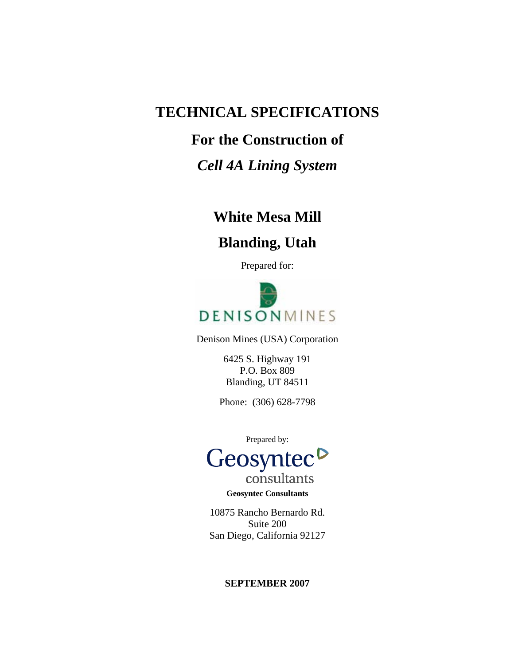# **TECHNICAL SPECIFICATIONS**

# **For the Construction of**

# *Cell 4A Lining System*

# **White Mesa Mill**

# **Blanding, Utah**

Prepared for:



Denison Mines (USA) Corporation

6425 S. Highway 191 P.O. Box 809 Blanding, UT 84511

Phone: (306) 628-7798

Prepared by:



consultants **Geosyntec Consultants** 

10875 Rancho Bernardo Rd. Suite 200 San Diego, California 92127

# **SEPTEMBER 2007**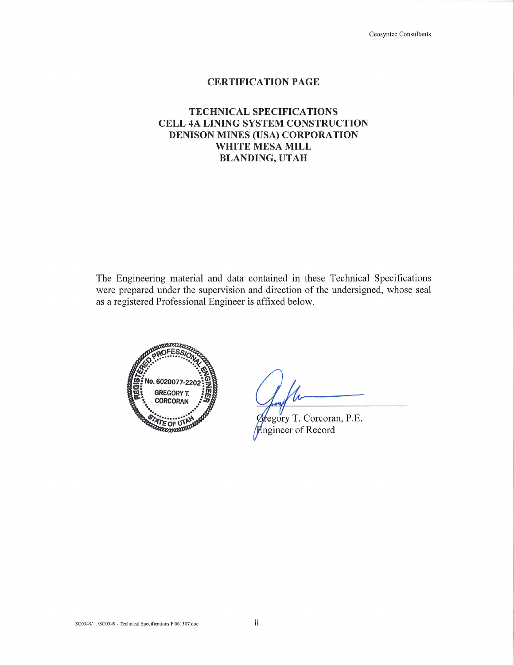Geosyntec Consultants

# **CERTIFICATION PAGE**

# **TECHNICAL SPECIFICATIONS** CELL 4A LINING SYSTEM CONSTRUCTION **DENISON MINES (USA) CORPORATION** WHITE MESA MILL **BLANDING, UTAH**

The Engineering material and data contained in these Technical Specifications were prepared under the supervision and direction of the undersigned, whose seal as a registered Professional Engineer is affixed below.



regory T. Corcoran, P.E. **Engineer of Record**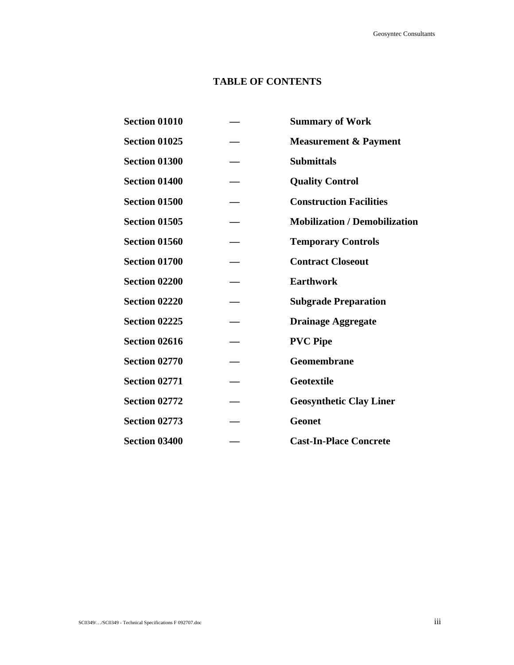# **TABLE OF CONTENTS**

**Section 01010 — Summary of Work Section 01025 — Measurement & Payment Section 01300 — Submittals Section 01400 — Quality Control Section 01500 — Construction Facilities Section 01505 — Mobilization / Demobilization Section 01560 — Temporary Controls Section 01700 — Contract Closeout Section 02200 — Earthwork Section 02220 — Subgrade Preparation Section 02225 — Drainage Aggregate**  Section 02616 — PVC Pipe Section 02770 — Geomembrane **Section 02771 — Geotextile**  Section 02772 – Geosynthetic Clay Liner Section 02773 — Geonet **Section 03400 — Cast-In-Place Concrete**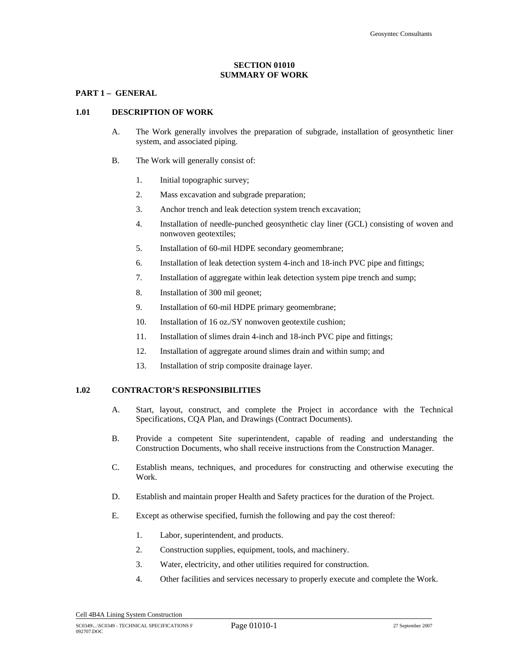# **SECTION 01010 SUMMARY OF WORK**

# **PART 1 – GENERAL**

#### **1.01 DESCRIPTION OF WORK**

- A. The Work generally involves the preparation of subgrade, installation of geosynthetic liner system, and associated piping.
- B. The Work will generally consist of:
	- 1. Initial topographic survey;
	- 2. Mass excavation and subgrade preparation;
	- 3. Anchor trench and leak detection system trench excavation;
	- 4. Installation of needle-punched geosynthetic clay liner (GCL) consisting of woven and nonwoven geotextiles;
	- 5. Installation of 60-mil HDPE secondary geomembrane;
	- 6. Installation of leak detection system 4-inch and 18-inch PVC pipe and fittings;
	- 7. Installation of aggregate within leak detection system pipe trench and sump;
	- 8. Installation of 300 mil geonet;
	- 9. Installation of 60-mil HDPE primary geomembrane;
	- 10. Installation of 16 oz./SY nonwoven geotextile cushion;
	- 11. Installation of slimes drain 4-inch and 18-inch PVC pipe and fittings;
	- 12. Installation of aggregate around slimes drain and within sump; and
	- 13. Installation of strip composite drainage layer.

### **1.02 CONTRACTOR'S RESPONSIBILITIES**

- A. Start, layout, construct, and complete the Project in accordance with the Technical Specifications, CQA Plan, and Drawings (Contract Documents).
- B. Provide a competent Site superintendent, capable of reading and understanding the Construction Documents, who shall receive instructions from the Construction Manager.
- C. Establish means, techniques, and procedures for constructing and otherwise executing the Work.
- D. Establish and maintain proper Health and Safety practices for the duration of the Project.
- E. Except as otherwise specified, furnish the following and pay the cost thereof:
	- 1. Labor, superintendent, and products.
	- 2. Construction supplies, equipment, tools, and machinery.
	- 3. Water, electricity, and other utilities required for construction.
	- 4. Other facilities and services necessary to properly execute and complete the Work.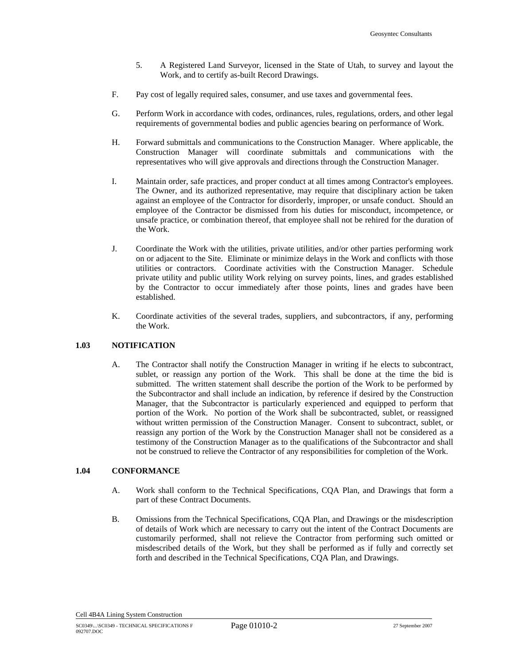- 5. A Registered Land Surveyor, licensed in the State of Utah, to survey and layout the Work, and to certify as-built Record Drawings.
- F. Pay cost of legally required sales, consumer, and use taxes and governmental fees.
- G. Perform Work in accordance with codes, ordinances, rules, regulations, orders, and other legal requirements of governmental bodies and public agencies bearing on performance of Work.
- H. Forward submittals and communications to the Construction Manager. Where applicable, the Construction Manager will coordinate submittals and communications with the representatives who will give approvals and directions through the Construction Manager.
- I. Maintain order, safe practices, and proper conduct at all times among Contractor's employees. The Owner, and its authorized representative, may require that disciplinary action be taken against an employee of the Contractor for disorderly, improper, or unsafe conduct. Should an employee of the Contractor be dismissed from his duties for misconduct, incompetence, or unsafe practice, or combination thereof, that employee shall not be rehired for the duration of the Work.
- J. Coordinate the Work with the utilities, private utilities, and/or other parties performing work on or adjacent to the Site. Eliminate or minimize delays in the Work and conflicts with those utilities or contractors. Coordinate activities with the Construction Manager. Schedule private utility and public utility Work relying on survey points, lines, and grades established by the Contractor to occur immediately after those points, lines and grades have been established.
- K. Coordinate activities of the several trades, suppliers, and subcontractors, if any, performing the Work.

#### **1.03 NOTIFICATION**

A. The Contractor shall notify the Construction Manager in writing if he elects to subcontract, sublet, or reassign any portion of the Work. This shall be done at the time the bid is submitted. The written statement shall describe the portion of the Work to be performed by the Subcontractor and shall include an indication, by reference if desired by the Construction Manager, that the Subcontractor is particularly experienced and equipped to perform that portion of the Work. No portion of the Work shall be subcontracted, sublet, or reassigned without written permission of the Construction Manager. Consent to subcontract, sublet, or reassign any portion of the Work by the Construction Manager shall not be considered as a testimony of the Construction Manager as to the qualifications of the Subcontractor and shall not be construed to relieve the Contractor of any responsibilities for completion of the Work.

# **1.04 CONFORMANCE**

- A. Work shall conform to the Technical Specifications, CQA Plan, and Drawings that form a part of these Contract Documents.
- B. Omissions from the Technical Specifications, CQA Plan, and Drawings or the misdescription of details of Work which are necessary to carry out the intent of the Contract Documents are customarily performed, shall not relieve the Contractor from performing such omitted or misdescribed details of the Work, but they shall be performed as if fully and correctly set forth and described in the Technical Specifications, CQA Plan, and Drawings.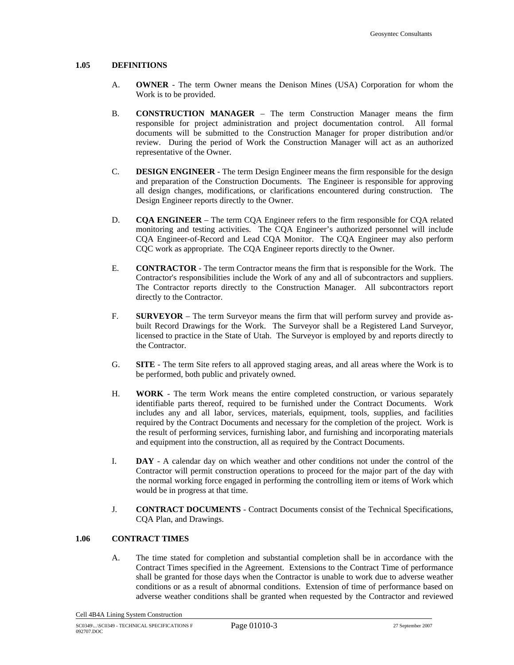#### **1.05 DEFINITIONS**

- A. **OWNER** The term Owner means the Denison Mines (USA) Corporation for whom the Work is to be provided.
- B. **CONSTRUCTION MANAGER**  The term Construction Manager means the firm responsible for project administration and project documentation control. All formal documents will be submitted to the Construction Manager for proper distribution and/or review. During the period of Work the Construction Manager will act as an authorized representative of the Owner.
- C. **DESIGN ENGINEER** The term Design Engineer means the firm responsible for the design and preparation of the Construction Documents. The Engineer is responsible for approving all design changes, modifications, or clarifications encountered during construction. The Design Engineer reports directly to the Owner.
- D. **CQA ENGINEER**  The term CQA Engineer refers to the firm responsible for CQA related monitoring and testing activities. The CQA Engineer's authorized personnel will include CQA Engineer-of-Record and Lead CQA Monitor. The CQA Engineer may also perform CQC work as appropriate. The CQA Engineer reports directly to the Owner.
- E. **CONTRACTOR** The term Contractor means the firm that is responsible for the Work. The Contractor's responsibilities include the Work of any and all of subcontractors and suppliers. The Contractor reports directly to the Construction Manager. All subcontractors report directly to the Contractor.
- F. **SURVEYOR**  The term Surveyor means the firm that will perform survey and provide asbuilt Record Drawings for the Work. The Surveyor shall be a Registered Land Surveyor, licensed to practice in the State of Utah. The Surveyor is employed by and reports directly to the Contractor.
- G. **SITE** The term Site refers to all approved staging areas, and all areas where the Work is to be performed, both public and privately owned.
- H. **WORK** The term Work means the entire completed construction, or various separately identifiable parts thereof, required to be furnished under the Contract Documents. Work includes any and all labor, services, materials, equipment, tools, supplies, and facilities required by the Contract Documents and necessary for the completion of the project. Work is the result of performing services, furnishing labor, and furnishing and incorporating materials and equipment into the construction, all as required by the Contract Documents.
- I. **DAY** A calendar day on which weather and other conditions not under the control of the Contractor will permit construction operations to proceed for the major part of the day with the normal working force engaged in performing the controlling item or items of Work which would be in progress at that time.
- J. **CONTRACT DOCUMENTS** Contract Documents consist of the Technical Specifications, CQA Plan, and Drawings.

## **1.06 CONTRACT TIMES**

A. The time stated for completion and substantial completion shall be in accordance with the Contract Times specified in the Agreement. Extensions to the Contract Time of performance shall be granted for those days when the Contractor is unable to work due to adverse weather conditions or as a result of abnormal conditions. Extension of time of performance based on adverse weather conditions shall be granted when requested by the Contractor and reviewed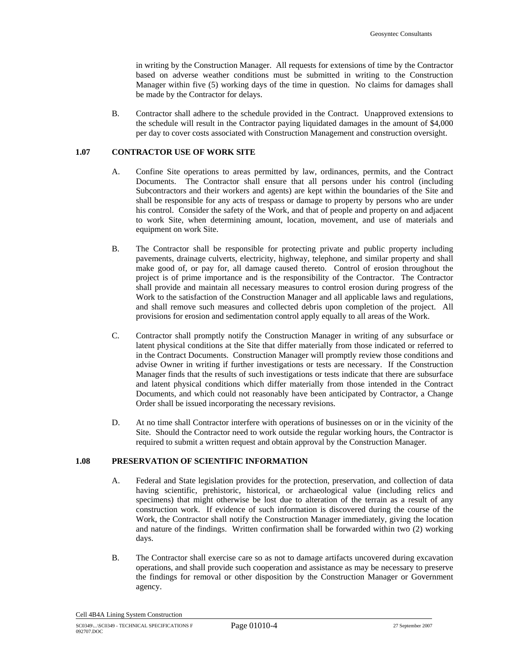in writing by the Construction Manager. All requests for extensions of time by the Contractor based on adverse weather conditions must be submitted in writing to the Construction Manager within five (5) working days of the time in question. No claims for damages shall be made by the Contractor for delays.

B. Contractor shall adhere to the schedule provided in the Contract. Unapproved extensions to the schedule will result in the Contractor paying liquidated damages in the amount of \$4,000 per day to cover costs associated with Construction Management and construction oversight.

#### **1.07 CONTRACTOR USE OF WORK SITE**

- A. Confine Site operations to areas permitted by law, ordinances, permits, and the Contract Documents. The Contractor shall ensure that all persons under his control (including Subcontractors and their workers and agents) are kept within the boundaries of the Site and shall be responsible for any acts of trespass or damage to property by persons who are under his control. Consider the safety of the Work, and that of people and property on and adjacent to work Site, when determining amount, location, movement, and use of materials and equipment on work Site.
- B. The Contractor shall be responsible for protecting private and public property including pavements, drainage culverts, electricity, highway, telephone, and similar property and shall make good of, or pay for, all damage caused thereto. Control of erosion throughout the project is of prime importance and is the responsibility of the Contractor. The Contractor shall provide and maintain all necessary measures to control erosion during progress of the Work to the satisfaction of the Construction Manager and all applicable laws and regulations, and shall remove such measures and collected debris upon completion of the project. All provisions for erosion and sedimentation control apply equally to all areas of the Work.
- C. Contractor shall promptly notify the Construction Manager in writing of any subsurface or latent physical conditions at the Site that differ materially from those indicated or referred to in the Contract Documents. Construction Manager will promptly review those conditions and advise Owner in writing if further investigations or tests are necessary. If the Construction Manager finds that the results of such investigations or tests indicate that there are subsurface and latent physical conditions which differ materially from those intended in the Contract Documents, and which could not reasonably have been anticipated by Contractor, a Change Order shall be issued incorporating the necessary revisions.
- D. At no time shall Contractor interfere with operations of businesses on or in the vicinity of the Site. Should the Contractor need to work outside the regular working hours, the Contractor is required to submit a written request and obtain approval by the Construction Manager.

#### **1.08 PRESERVATION OF SCIENTIFIC INFORMATION**

- A. Federal and State legislation provides for the protection, preservation, and collection of data having scientific, prehistoric, historical, or archaeological value (including relics and specimens) that might otherwise be lost due to alteration of the terrain as a result of any construction work. If evidence of such information is discovered during the course of the Work, the Contractor shall notify the Construction Manager immediately, giving the location and nature of the findings. Written confirmation shall be forwarded within two (2) working days.
- B. The Contractor shall exercise care so as not to damage artifacts uncovered during excavation operations, and shall provide such cooperation and assistance as may be necessary to preserve the findings for removal or other disposition by the Construction Manager or Government agency.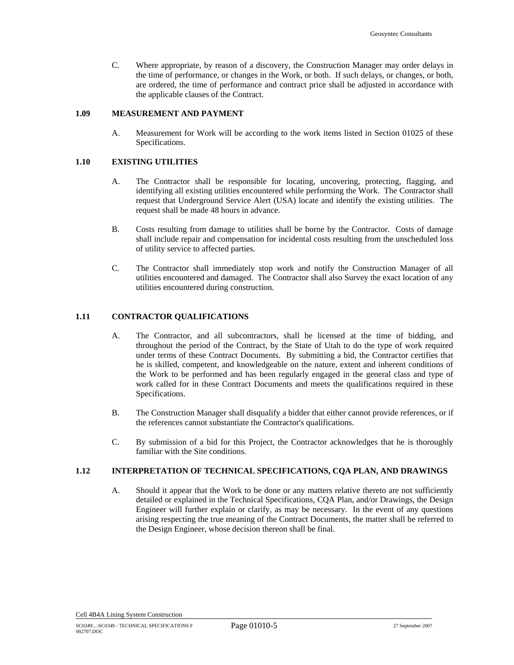C. Where appropriate, by reason of a discovery, the Construction Manager may order delays in the time of performance, or changes in the Work, or both. If such delays, or changes, or both, are ordered, the time of performance and contract price shall be adjusted in accordance with the applicable clauses of the Contract.

#### **1.09 MEASUREMENT AND PAYMENT**

A. Measurement for Work will be according to the work items listed in Section 01025 of these Specifications.

#### **1.10 EXISTING UTILITIES**

- A. The Contractor shall be responsible for locating, uncovering, protecting, flagging, and identifying all existing utilities encountered while performing the Work. The Contractor shall request that Underground Service Alert (USA) locate and identify the existing utilities. The request shall be made 48 hours in advance.
- B. Costs resulting from damage to utilities shall be borne by the Contractor. Costs of damage shall include repair and compensation for incidental costs resulting from the unscheduled loss of utility service to affected parties.
- C. The Contractor shall immediately stop work and notify the Construction Manager of all utilities encountered and damaged. The Contractor shall also Survey the exact location of any utilities encountered during construction.

### **1.11 CONTRACTOR QUALIFICATIONS**

- A. The Contractor, and all subcontractors, shall be licensed at the time of bidding, and throughout the period of the Contract, by the State of Utah to do the type of work required under terms of these Contract Documents. By submitting a bid, the Contractor certifies that he is skilled, competent, and knowledgeable on the nature, extent and inherent conditions of the Work to be performed and has been regularly engaged in the general class and type of work called for in these Contract Documents and meets the qualifications required in these Specifications.
- B. The Construction Manager shall disqualify a bidder that either cannot provide references, or if the references cannot substantiate the Contractor's qualifications.
- C. By submission of a bid for this Project, the Contractor acknowledges that he is thoroughly familiar with the Site conditions.

# **1.12 INTERPRETATION OF TECHNICAL SPECIFICATIONS, CQA PLAN, AND DRAWINGS**

A. Should it appear that the Work to be done or any matters relative thereto are not sufficiently detailed or explained in the Technical Specifications, CQA Plan, and/or Drawings, the Design Engineer will further explain or clarify, as may be necessary. In the event of any questions arising respecting the true meaning of the Contract Documents, the matter shall be referred to the Design Engineer, whose decision thereon shall be final.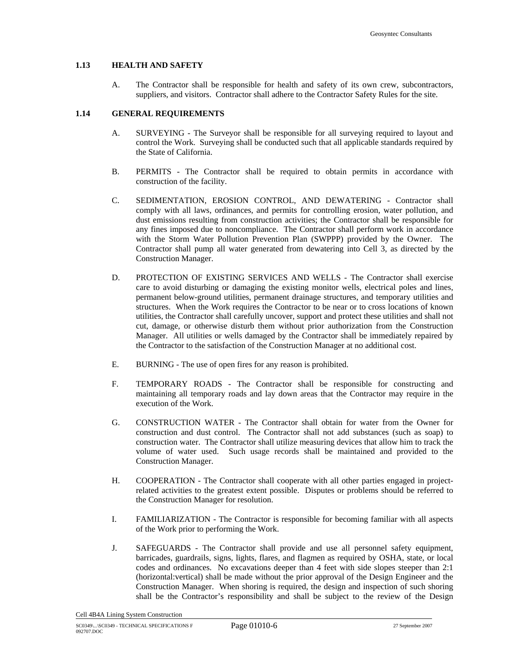## **1.13 HEALTH AND SAFETY**

A. The Contractor shall be responsible for health and safety of its own crew, subcontractors, suppliers, and visitors. Contractor shall adhere to the Contractor Safety Rules for the site.

#### **1.14 GENERAL REQUIREMENTS**

- A. SURVEYING The Surveyor shall be responsible for all surveying required to layout and control the Work. Surveying shall be conducted such that all applicable standards required by the State of California.
- B. PERMITS The Contractor shall be required to obtain permits in accordance with construction of the facility.
- C. SEDIMENTATION, EROSION CONTROL, AND DEWATERING Contractor shall comply with all laws, ordinances, and permits for controlling erosion, water pollution, and dust emissions resulting from construction activities; the Contractor shall be responsible for any fines imposed due to noncompliance. The Contractor shall perform work in accordance with the Storm Water Pollution Prevention Plan (SWPPP) provided by the Owner. The Contractor shall pump all water generated from dewatering into Cell 3, as directed by the Construction Manager.
- D. PROTECTION OF EXISTING SERVICES AND WELLS The Contractor shall exercise care to avoid disturbing or damaging the existing monitor wells, electrical poles and lines, permanent below-ground utilities, permanent drainage structures, and temporary utilities and structures. When the Work requires the Contractor to be near or to cross locations of known utilities, the Contractor shall carefully uncover, support and protect these utilities and shall not cut, damage, or otherwise disturb them without prior authorization from the Construction Manager. All utilities or wells damaged by the Contractor shall be immediately repaired by the Contractor to the satisfaction of the Construction Manager at no additional cost.
- E. BURNING The use of open fires for any reason is prohibited.
- F. TEMPORARY ROADS The Contractor shall be responsible for constructing and maintaining all temporary roads and lay down areas that the Contractor may require in the execution of the Work.
- G. CONSTRUCTION WATER The Contractor shall obtain for water from the Owner for construction and dust control. The Contractor shall not add substances (such as soap) to construction water. The Contractor shall utilize measuring devices that allow him to track the volume of water used. Such usage records shall be maintained and provided to the Construction Manager.
- H. COOPERATION The Contractor shall cooperate with all other parties engaged in projectrelated activities to the greatest extent possible. Disputes or problems should be referred to the Construction Manager for resolution.
- I. FAMILIARIZATION The Contractor is responsible for becoming familiar with all aspects of the Work prior to performing the Work.
- J. SAFEGUARDS The Contractor shall provide and use all personnel safety equipment, barricades, guardrails, signs, lights, flares, and flagmen as required by OSHA, state, or local codes and ordinances. No excavations deeper than 4 feet with side slopes steeper than 2:1 (horizontal:vertical) shall be made without the prior approval of the Design Engineer and the Construction Manager. When shoring is required, the design and inspection of such shoring shall be the Contractor's responsibility and shall be subject to the review of the Design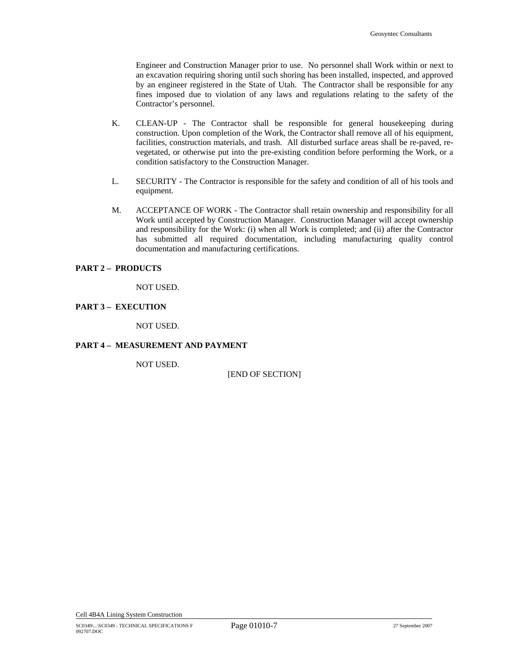Engineer and Construction Manager prior to use. No personnel shall Work within or next to an excavation requiring shoring until such shoring has been installed, inspected, and approved by an engineer registered in the State of Utah. The Contractor shall be responsible for any fines imposed due to violation of any laws and regulations relating to the safety of the Contractor's personnel.

- K. CLEAN-UP The Contractor shall be responsible for general housekeeping during construction. Upon completion of the Work, the Contractor shall remove all of his equipment, facilities, construction materials, and trash. All disturbed surface areas shall be re-paved, revegetated, or otherwise put into the pre-existing condition before performing the Work, or a condition satisfactory to the Construction Manager.
- L. SECURITY The Contractor is responsible for the safety and condition of all of his tools and equipment.
- M. ACCEPTANCE OF WORK The Contractor shall retain ownership and responsibility for all Work until accepted by Construction Manager. Construction Manager will accept ownership and responsibility for the Work: (i) when all Work is completed; and (ii) after the Contractor has submitted all required documentation, including manufacturing quality control documentation and manufacturing certifications.

#### **PART 2 – PRODUCTS**

NOT USED.

#### **PART 3 – EXECUTION**

NOT USED.

#### **PART 4 – MEASUREMENT AND PAYMENT**

NOT USED.

[END OF SECTION]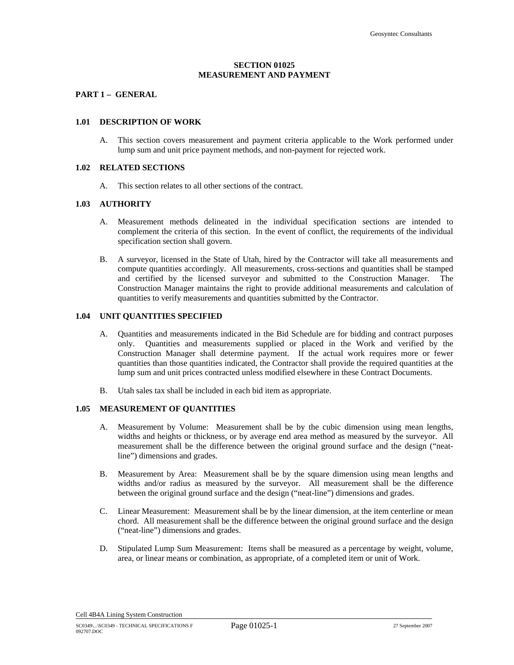## **SECTION 01025 MEASUREMENT AND PAYMENT**

# **PART 1 – GENERAL**

# **1.01 DESCRIPTION OF WORK**

A. This section covers measurement and payment criteria applicable to the Work performed under lump sum and unit price payment methods, and non-payment for rejected work.

#### **1.02 RELATED SECTIONS**

A. This section relates to all other sections of the contract.

#### **1.03 AUTHORITY**

- A. Measurement methods delineated in the individual specification sections are intended to complement the criteria of this section. In the event of conflict, the requirements of the individual specification section shall govern.
- B. A surveyor, licensed in the State of Utah, hired by the Contractor will take all measurements and compute quantities accordingly. All measurements, cross-sections and quantities shall be stamped and certified by the licensed surveyor and submitted to the Construction Manager. The Construction Manager maintains the right to provide additional measurements and calculation of quantities to verify measurements and quantities submitted by the Contractor.

#### **1.04 UNIT QUANTITIES SPECIFIED**

- A. Quantities and measurements indicated in the Bid Schedule are for bidding and contract purposes only. Quantities and measurements supplied or placed in the Work and verified by the Construction Manager shall determine payment. If the actual work requires more or fewer quantities than those quantities indicated, the Contractor shall provide the required quantities at the lump sum and unit prices contracted unless modified elsewhere in these Contract Documents.
- B. Utah sales tax shall be included in each bid item as appropriate.

#### **1.05 MEASUREMENT OF QUANTITIES**

- A. Measurement by Volume: Measurement shall be by the cubic dimension using mean lengths, widths and heights or thickness, or by average end area method as measured by the surveyor. All measurement shall be the difference between the original ground surface and the design ("neatline") dimensions and grades.
- B. Measurement by Area: Measurement shall be by the square dimension using mean lengths and widths and/or radius as measured by the surveyor. All measurement shall be the difference between the original ground surface and the design ("neat-line") dimensions and grades.
- C. Linear Measurement: Measurement shall be by the linear dimension, at the item centerline or mean chord. All measurement shall be the difference between the original ground surface and the design ("neat-line") dimensions and grades.
- D. Stipulated Lump Sum Measurement: Items shall be measured as a percentage by weight, volume, area, or linear means or combination, as appropriate, of a completed item or unit of Work.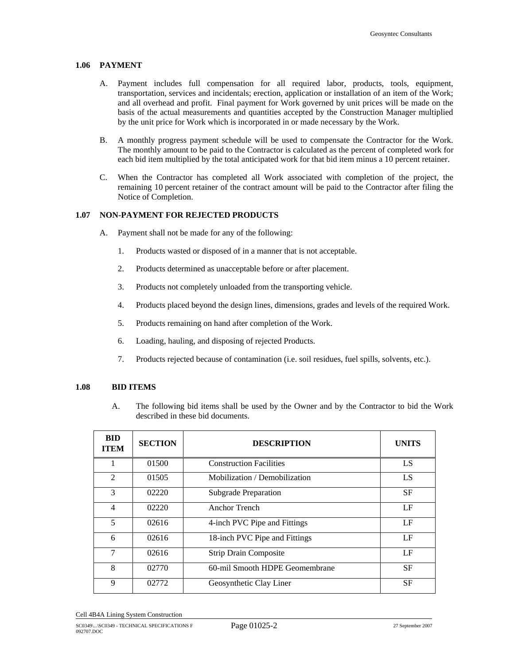### **1.06 PAYMENT**

- A. Payment includes full compensation for all required labor, products, tools, equipment, transportation, services and incidentals; erection, application or installation of an item of the Work; and all overhead and profit. Final payment for Work governed by unit prices will be made on the basis of the actual measurements and quantities accepted by the Construction Manager multiplied by the unit price for Work which is incorporated in or made necessary by the Work.
- B. A monthly progress payment schedule will be used to compensate the Contractor for the Work. The monthly amount to be paid to the Contractor is calculated as the percent of completed work for each bid item multiplied by the total anticipated work for that bid item minus a 10 percent retainer.
- C. When the Contractor has completed all Work associated with completion of the project, the remaining 10 percent retainer of the contract amount will be paid to the Contractor after filing the Notice of Completion.

## **1.07 NON-PAYMENT FOR REJECTED PRODUCTS**

- A. Payment shall not be made for any of the following:
	- 1. Products wasted or disposed of in a manner that is not acceptable.
	- 2. Products determined as unacceptable before or after placement.
	- 3. Products not completely unloaded from the transporting vehicle.
	- 4. Products placed beyond the design lines, dimensions, grades and levels of the required Work.
	- 5. Products remaining on hand after completion of the Work.
	- 6. Loading, hauling, and disposing of rejected Products.
	- 7. Products rejected because of contamination (i.e. soil residues, fuel spills, solvents, etc.).

#### **1.08 BID ITEMS**

A. The following bid items shall be used by the Owner and by the Contractor to bid the Work described in these bid documents.

| <b>BID</b><br><b>ITEM</b> | <b>SECTION</b> | <b>DESCRIPTION</b>             | <b>UNITS</b> |
|---------------------------|----------------|--------------------------------|--------------|
|                           | 01500          | <b>Construction Facilities</b> | LS           |
| $\overline{2}$            | 01505          | Mobilization / Demobilization  | LS           |
| 3                         | 02220          | <b>Subgrade Preparation</b>    | <b>SF</b>    |
| 4                         | 02220          | Anchor Trench                  | LF           |
| 5                         | 02616          | 4-inch PVC Pipe and Fittings   | LF           |
| 6                         | 02616          | 18-inch PVC Pipe and Fittings  | LF           |
| 7                         | 02616          | <b>Strip Drain Composite</b>   | LF           |
| 8                         | 02770          | 60-mil Smooth HDPE Geomembrane | <b>SF</b>    |
| 9                         | 02772          | Geosynthetic Clay Liner        | <b>SF</b>    |

Cell 4B4A Lining System Construction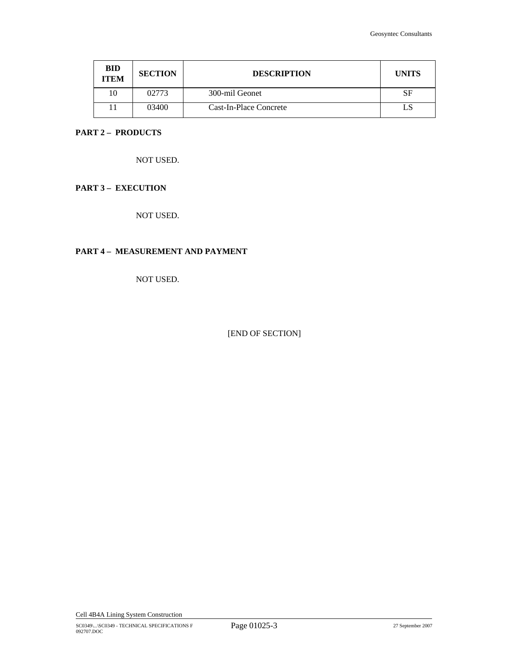| <b>BID</b><br><b>ITEM</b> | <b>SECTION</b> | <b>DESCRIPTION</b>     | <b>UNITS</b> |
|---------------------------|----------------|------------------------|--------------|
| 10                        | 02773          | 300-mil Geonet         | SF           |
|                           | 03400          | Cast-In-Place Concrete |              |

# **PART 2 – PRODUCTS**

NOT USED.

# **PART 3 – EXECUTION**

NOT USED.

# **PART 4 – MEASUREMENT AND PAYMENT**

NOT USED.

[END OF SECTION]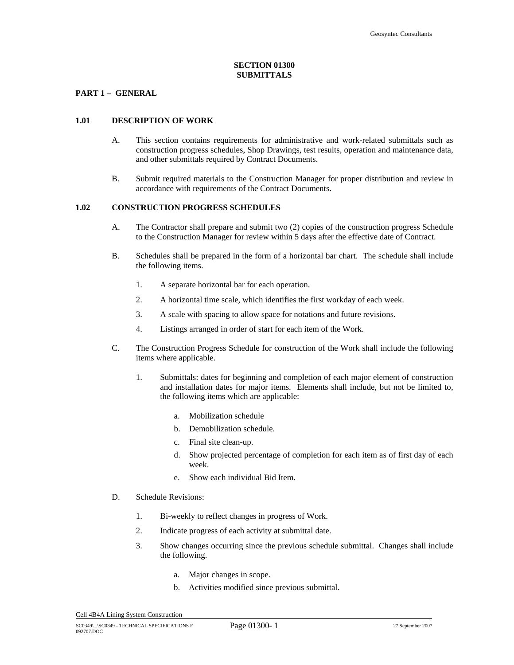# **SECTION 01300 SUBMITTALS**

# **PART 1 – GENERAL**

# **1.01 DESCRIPTION OF WORK**

- A. This section contains requirements for administrative and work-related submittals such as construction progress schedules, Shop Drawings, test results, operation and maintenance data, and other submittals required by Contract Documents.
- B. Submit required materials to the Construction Manager for proper distribution and review in accordance with requirements of the Contract Documents**.**

# **1.02 CONSTRUCTION PROGRESS SCHEDULES**

- A. The Contractor shall prepare and submit two (2) copies of the construction progress Schedule to the Construction Manager for review within 5 days after the effective date of Contract.
- B. Schedules shall be prepared in the form of a horizontal bar chart. The schedule shall include the following items.
	- 1. A separate horizontal bar for each operation.
	- 2. A horizontal time scale, which identifies the first workday of each week.
	- 3. A scale with spacing to allow space for notations and future revisions.
	- 4. Listings arranged in order of start for each item of the Work.
- C. The Construction Progress Schedule for construction of the Work shall include the following items where applicable.
	- 1. Submittals: dates for beginning and completion of each major element of construction and installation dates for major items. Elements shall include, but not be limited to, the following items which are applicable:
		- a. Mobilization schedule
		- b. Demobilization schedule.
		- c. Final site clean-up.
		- d. Show projected percentage of completion for each item as of first day of each week.
		- e. Show each individual Bid Item.
- D. Schedule Revisions:
	- 1. Bi-weekly to reflect changes in progress of Work.
	- 2. Indicate progress of each activity at submittal date.
	- 3. Show changes occurring since the previous schedule submittal. Changes shall include the following.
		- a. Major changes in scope.
		- b. Activities modified since previous submittal.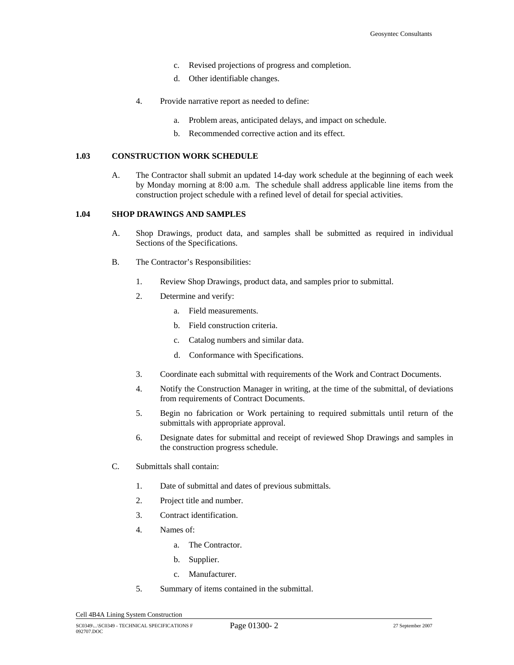- c. Revised projections of progress and completion.
- d. Other identifiable changes.
- 4. Provide narrative report as needed to define:
	- a. Problem areas, anticipated delays, and impact on schedule.
	- b. Recommended corrective action and its effect.

#### **1.03 CONSTRUCTION WORK SCHEDULE**

A. The Contractor shall submit an updated 14-day work schedule at the beginning of each week by Monday morning at 8:00 a.m. The schedule shall address applicable line items from the construction project schedule with a refined level of detail for special activities.

#### **1.04 SHOP DRAWINGS AND SAMPLES**

- A. Shop Drawings, product data, and samples shall be submitted as required in individual Sections of the Specifications.
- B. The Contractor's Responsibilities:
	- 1. Review Shop Drawings, product data, and samples prior to submittal.
	- 2. Determine and verify:
		- a. Field measurements.
		- b. Field construction criteria.
		- c. Catalog numbers and similar data.
		- d. Conformance with Specifications.
	- 3. Coordinate each submittal with requirements of the Work and Contract Documents.
	- 4. Notify the Construction Manager in writing, at the time of the submittal, of deviations from requirements of Contract Documents.
	- 5. Begin no fabrication or Work pertaining to required submittals until return of the submittals with appropriate approval.
	- 6. Designate dates for submittal and receipt of reviewed Shop Drawings and samples in the construction progress schedule.
- C. Submittals shall contain:
	- 1. Date of submittal and dates of previous submittals.
	- 2. Project title and number.
	- 3. Contract identification.
	- 4. Names of:
		- a. The Contractor.
		- b. Supplier.
		- c. Manufacturer.
	- 5. Summary of items contained in the submittal.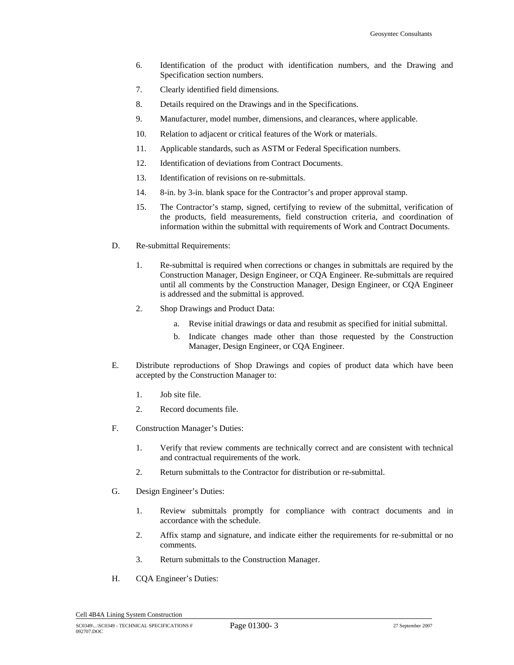- 6. Identification of the product with identification numbers, and the Drawing and Specification section numbers.
- 7. Clearly identified field dimensions.
- 8. Details required on the Drawings and in the Specifications.
- 9. Manufacturer, model number, dimensions, and clearances, where applicable.
- 10. Relation to adjacent or critical features of the Work or materials.
- 11. Applicable standards, such as ASTM or Federal Specification numbers.
- 12. Identification of deviations from Contract Documents.
- 13. Identification of revisions on re-submittals.
- 14. 8-in. by 3-in. blank space for the Contractor's and proper approval stamp.
- 15. The Contractor's stamp, signed, certifying to review of the submittal, verification of the products, field measurements, field construction criteria, and coordination of information within the submittal with requirements of Work and Contract Documents.
- D. Re-submittal Requirements:
	- 1. Re-submittal is required when corrections or changes in submittals are required by the Construction Manager, Design Engineer, or CQA Engineer. Re-submittals are required until all comments by the Construction Manager, Design Engineer, or CQA Engineer is addressed and the submittal is approved.
	- 2. Shop Drawings and Product Data:
		- a. Revise initial drawings or data and resubmit as specified for initial submittal.
		- b. Indicate changes made other than those requested by the Construction Manager, Design Engineer, or CQA Engineer.
- E. Distribute reproductions of Shop Drawings and copies of product data which have been accepted by the Construction Manager to:
	- 1. Job site file.
	- 2. Record documents file.
- F. Construction Manager's Duties:
	- 1. Verify that review comments are technically correct and are consistent with technical and contractual requirements of the work.
	- 2. Return submittals to the Contractor for distribution or re-submittal.
- G. Design Engineer's Duties:
	- 1. Review submittals promptly for compliance with contract documents and in accordance with the schedule.
	- 2. Affix stamp and signature, and indicate either the requirements for re-submittal or no comments.
	- 3. Return submittals to the Construction Manager.
- H. CQA Engineer's Duties: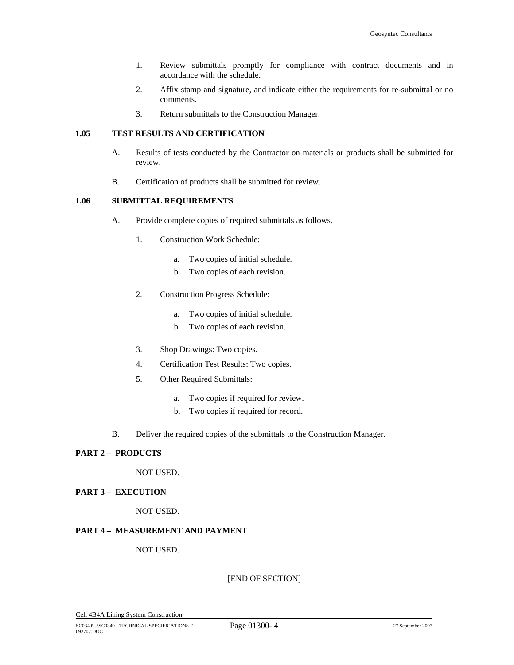- 1. Review submittals promptly for compliance with contract documents and in accordance with the schedule.
- 2. Affix stamp and signature, and indicate either the requirements for re-submittal or no comments.
- 3. Return submittals to the Construction Manager.

### **1.05 TEST RESULTS AND CERTIFICATION**

- A. Results of tests conducted by the Contractor on materials or products shall be submitted for review.
- B. Certification of products shall be submitted for review.

# **1.06 SUBMITTAL REQUIREMENTS**

- A. Provide complete copies of required submittals as follows.
	- 1. Construction Work Schedule:
		- a. Two copies of initial schedule.
		- b. Two copies of each revision.
	- 2. Construction Progress Schedule:
		- a. Two copies of initial schedule.
		- b. Two copies of each revision.
	- 3. Shop Drawings: Two copies.
	- 4. Certification Test Results: Two copies.
	- 5. Other Required Submittals:
		- a. Two copies if required for review.
		- b. Two copies if required for record.
- B. Deliver the required copies of the submittals to the Construction Manager.

# **PART 2 – PRODUCTS**

NOT USED.

#### **PART 3 – EXECUTION**

NOT USED.

# **PART 4 – MEASUREMENT AND PAYMENT**

## NOT USED.

[END OF SECTION]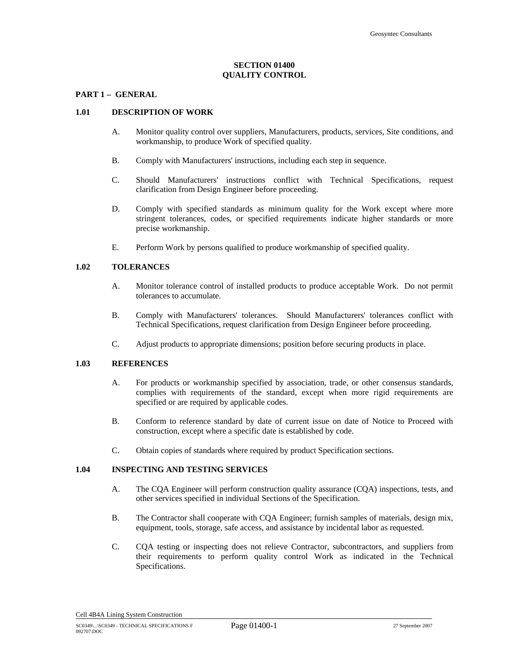# **SECTION 01400 QUALITY CONTROL**

#### **PART 1 – GENERAL**

#### **1.01 DESCRIPTION OF WORK**

- A. Monitor quality control over suppliers, Manufacturers, products, services, Site conditions, and workmanship, to produce Work of specified quality.
- B. Comply with Manufacturers' instructions, including each step in sequence.
- C. Should Manufacturers' instructions conflict with Technical Specifications, request clarification from Design Engineer before proceeding.
- D. Comply with specified standards as minimum quality for the Work except where more stringent tolerances, codes, or specified requirements indicate higher standards or more precise workmanship.
- E. Perform Work by persons qualified to produce workmanship of specified quality.

## **1.02 TOLERANCES**

- A. Monitor tolerance control of installed products to produce acceptable Work. Do not permit tolerances to accumulate.
- B. Comply with Manufacturers' tolerances. Should Manufacturers' tolerances conflict with Technical Specifications, request clarification from Design Engineer before proceeding.
- C. Adjust products to appropriate dimensions; position before securing products in place.

#### **1.03 REFERENCES**

- A. For products or workmanship specified by association, trade, or other consensus standards, complies with requirements of the standard, except when more rigid requirements are specified or are required by applicable codes.
- B. Conform to reference standard by date of current issue on date of Notice to Proceed with construction, except where a specific date is established by code.
- C. Obtain copies of standards where required by product Specification sections.

#### **1.04 INSPECTING AND TESTING SERVICES**

- A. The CQA Engineer will perform construction quality assurance (CQA) inspections, tests, and other services specified in individual Sections of the Specification.
- B. The Contractor shall cooperate with CQA Engineer; furnish samples of materials, design mix, equipment, tools, storage, safe access, and assistance by incidental labor as requested.
- C. CQA testing or inspecting does not relieve Contractor, subcontractors, and suppliers from their requirements to perform quality control Work as indicated in the Technical Specifications.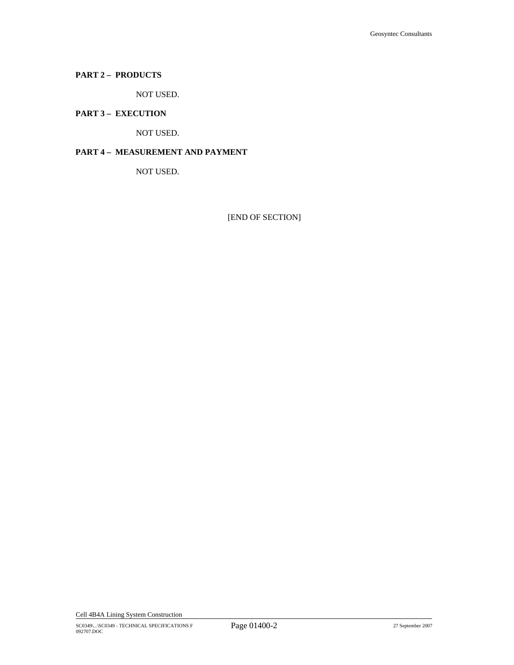# **PART 2 – PRODUCTS**

NOT USED.

# **PART 3 – EXECUTION**

NOT USED.

# **PART 4 – MEASUREMENT AND PAYMENT**

NOT USED.

[END OF SECTION]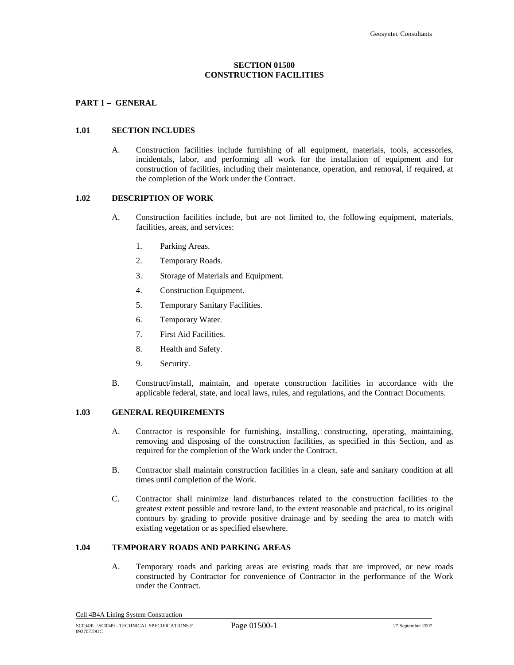## **SECTION 01500 CONSTRUCTION FACILITIES**

## **PART 1 – GENERAL**

#### **1.01 SECTION INCLUDES**

A. Construction facilities include furnishing of all equipment, materials, tools, accessories, incidentals, labor, and performing all work for the installation of equipment and for construction of facilities, including their maintenance, operation, and removal, if required, at the completion of the Work under the Contract.

#### **1.02 DESCRIPTION OF WORK**

- A. Construction facilities include, but are not limited to, the following equipment, materials, facilities, areas, and services:
	- 1. Parking Areas.
	- 2. Temporary Roads.
	- 3. Storage of Materials and Equipment.
	- 4. Construction Equipment.
	- 5. Temporary Sanitary Facilities.
	- 6. Temporary Water.
	- 7. First Aid Facilities.
	- 8. Health and Safety.
	- 9. Security.
- B. Construct/install, maintain, and operate construction facilities in accordance with the applicable federal, state, and local laws, rules, and regulations, and the Contract Documents.

#### **1.03 GENERAL REQUIREMENTS**

- A. Contractor is responsible for furnishing, installing, constructing, operating, maintaining, removing and disposing of the construction facilities, as specified in this Section, and as required for the completion of the Work under the Contract.
- B. Contractor shall maintain construction facilities in a clean, safe and sanitary condition at all times until completion of the Work.
- C. Contractor shall minimize land disturbances related to the construction facilities to the greatest extent possible and restore land, to the extent reasonable and practical, to its original contours by grading to provide positive drainage and by seeding the area to match with existing vegetation or as specified elsewhere.

## **1.04 TEMPORARY ROADS AND PARKING AREAS**

A. Temporary roads and parking areas are existing roads that are improved, or new roads constructed by Contractor for convenience of Contractor in the performance of the Work under the Contract.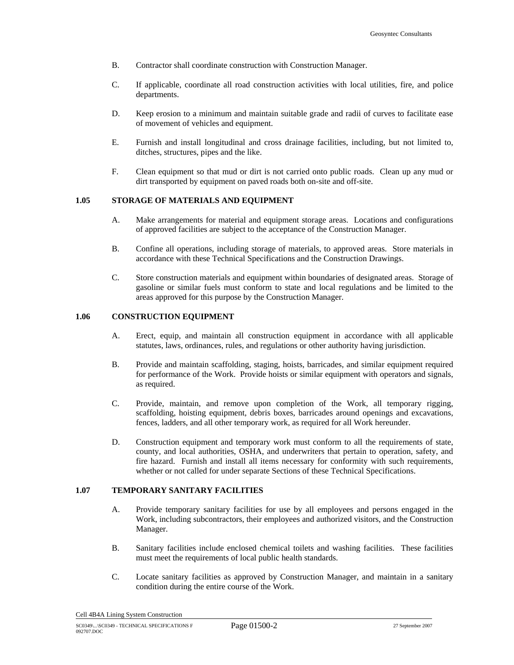- B. Contractor shall coordinate construction with Construction Manager.
- C. If applicable, coordinate all road construction activities with local utilities, fire, and police departments.
- D. Keep erosion to a minimum and maintain suitable grade and radii of curves to facilitate ease of movement of vehicles and equipment.
- E. Furnish and install longitudinal and cross drainage facilities, including, but not limited to, ditches, structures, pipes and the like.
- F. Clean equipment so that mud or dirt is not carried onto public roads. Clean up any mud or dirt transported by equipment on paved roads both on-site and off-site.

#### **1.05 STORAGE OF MATERIALS AND EQUIPMENT**

- A. Make arrangements for material and equipment storage areas. Locations and configurations of approved facilities are subject to the acceptance of the Construction Manager.
- B. Confine all operations, including storage of materials, to approved areas. Store materials in accordance with these Technical Specifications and the Construction Drawings.
- C. Store construction materials and equipment within boundaries of designated areas. Storage of gasoline or similar fuels must conform to state and local regulations and be limited to the areas approved for this purpose by the Construction Manager.

## **1.06 CONSTRUCTION EQUIPMENT**

- A. Erect, equip, and maintain all construction equipment in accordance with all applicable statutes, laws, ordinances, rules, and regulations or other authority having jurisdiction.
- B. Provide and maintain scaffolding, staging, hoists, barricades, and similar equipment required for performance of the Work. Provide hoists or similar equipment with operators and signals, as required.
- C. Provide, maintain, and remove upon completion of the Work, all temporary rigging, scaffolding, hoisting equipment, debris boxes, barricades around openings and excavations, fences, ladders, and all other temporary work, as required for all Work hereunder.
- D. Construction equipment and temporary work must conform to all the requirements of state, county, and local authorities, OSHA, and underwriters that pertain to operation, safety, and fire hazard. Furnish and install all items necessary for conformity with such requirements, whether or not called for under separate Sections of these Technical Specifications.

#### **1.07 TEMPORARY SANITARY FACILITIES**

- A. Provide temporary sanitary facilities for use by all employees and persons engaged in the Work, including subcontractors, their employees and authorized visitors, and the Construction Manager.
- B. Sanitary facilities include enclosed chemical toilets and washing facilities. These facilities must meet the requirements of local public health standards.
- C. Locate sanitary facilities as approved by Construction Manager, and maintain in a sanitary condition during the entire course of the Work.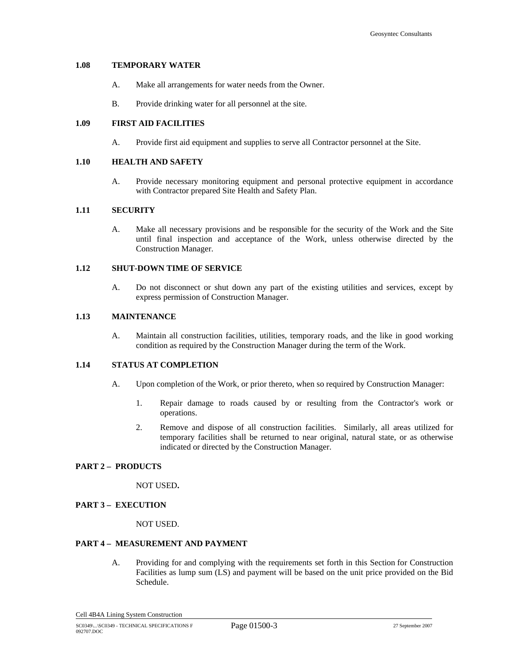# **1.08 TEMPORARY WATER**

- A. Make all arrangements for water needs from the Owner.
- B. Provide drinking water for all personnel at the site.

## **1.09 FIRST AID FACILITIES**

A. Provide first aid equipment and supplies to serve all Contractor personnel at the Site.

# **1.10 HEALTH AND SAFETY**

A. Provide necessary monitoring equipment and personal protective equipment in accordance with Contractor prepared Site Health and Safety Plan.

# **1.11 SECURITY**

A. Make all necessary provisions and be responsible for the security of the Work and the Site until final inspection and acceptance of the Work, unless otherwise directed by the Construction Manager.

## **1.12 SHUT-DOWN TIME OF SERVICE**

A. Do not disconnect or shut down any part of the existing utilities and services, except by express permission of Construction Manager.

### **1.13 MAINTENANCE**

A. Maintain all construction facilities, utilities, temporary roads, and the like in good working condition as required by the Construction Manager during the term of the Work.

# **1.14 STATUS AT COMPLETION**

- A. Upon completion of the Work, or prior thereto, when so required by Construction Manager:
	- 1. Repair damage to roads caused by or resulting from the Contractor's work or operations.
	- 2. Remove and dispose of all construction facilities. Similarly, all areas utilized for temporary facilities shall be returned to near original, natural state, or as otherwise indicated or directed by the Construction Manager.

# **PART 2 – PRODUCTS**

NOT USED**.** 

# **PART 3 – EXECUTION**

NOT USED.

#### **PART 4 – MEASUREMENT AND PAYMENT**

A. Providing for and complying with the requirements set forth in this Section for Construction Facilities as lump sum (LS) and payment will be based on the unit price provided on the Bid Schedule.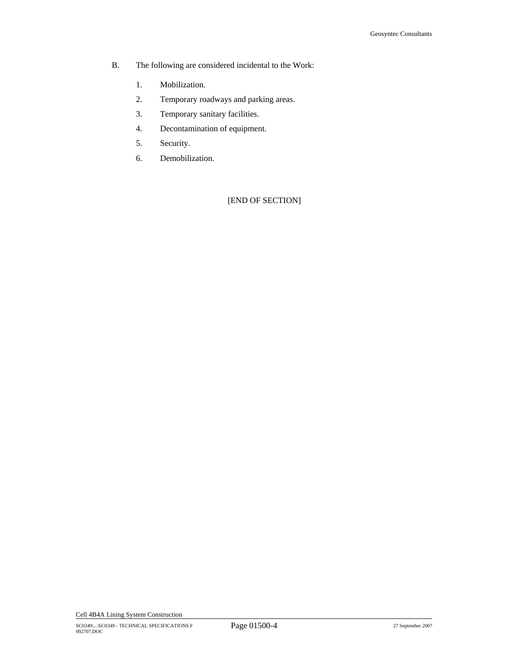- B. The following are considered incidental to the Work:
	- 1. Mobilization.
	- 2. Temporary roadways and parking areas.
	- 3. Temporary sanitary facilities.
	- 4. Decontamination of equipment.
	- 5. Security.
	- 6. Demobilization.

[END OF SECTION]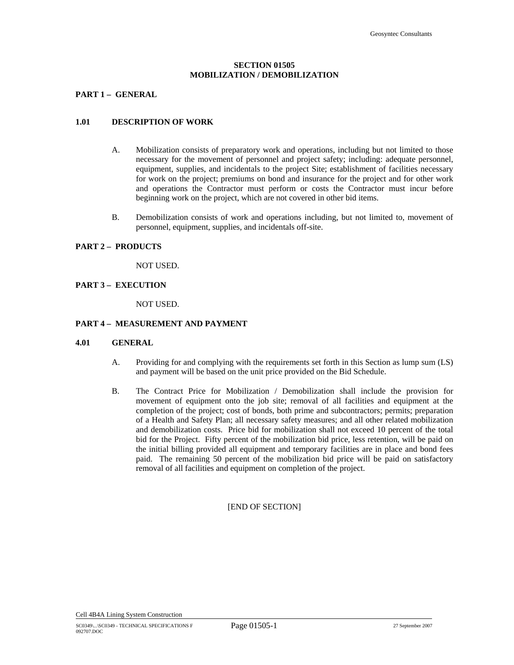# **SECTION 01505 MOBILIZATION / DEMOBILIZATION**

## **PART 1 – GENERAL**

#### **1.01 DESCRIPTION OF WORK**

- A. Mobilization consists of preparatory work and operations, including but not limited to those necessary for the movement of personnel and project safety; including: adequate personnel, equipment, supplies, and incidentals to the project Site; establishment of facilities necessary for work on the project; premiums on bond and insurance for the project and for other work and operations the Contractor must perform or costs the Contractor must incur before beginning work on the project, which are not covered in other bid items.
- B. Demobilization consists of work and operations including, but not limited to, movement of personnel, equipment, supplies, and incidentals off-site.

#### **PART 2 – PRODUCTS**

NOT USED.

#### **PART 3 – EXECUTION**

NOT USED.

# **PART 4 – MEASUREMENT AND PAYMENT**

#### **4.01 GENERAL**

- A. Providing for and complying with the requirements set forth in this Section as lump sum (LS) and payment will be based on the unit price provided on the Bid Schedule.
- B. The Contract Price for Mobilization / Demobilization shall include the provision for movement of equipment onto the job site; removal of all facilities and equipment at the completion of the project; cost of bonds, both prime and subcontractors; permits; preparation of a Health and Safety Plan; all necessary safety measures; and all other related mobilization and demobilization costs. Price bid for mobilization shall not exceed 10 percent of the total bid for the Project. Fifty percent of the mobilization bid price, less retention, will be paid on the initial billing provided all equipment and temporary facilities are in place and bond fees paid. The remaining 50 percent of the mobilization bid price will be paid on satisfactory removal of all facilities and equipment on completion of the project.

## [END OF SECTION]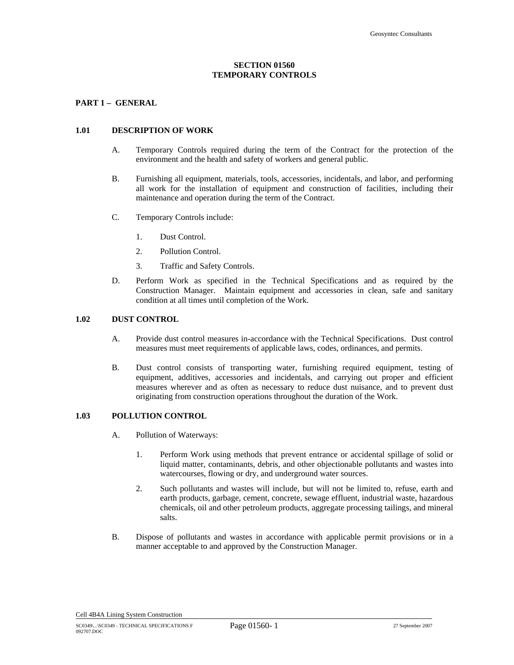## **SECTION 01560 TEMPORARY CONTROLS**

## **PART 1 – GENERAL**

#### **1.01 DESCRIPTION OF WORK**

- A. Temporary Controls required during the term of the Contract for the protection of the environment and the health and safety of workers and general public.
- B. Furnishing all equipment, materials, tools, accessories, incidentals, and labor, and performing all work for the installation of equipment and construction of facilities, including their maintenance and operation during the term of the Contract.
- C. Temporary Controls include:
	- 1. Dust Control.
	- 2. Pollution Control.
	- 3. Traffic and Safety Controls.
- D. Perform Work as specified in the Technical Specifications and as required by the Construction Manager. Maintain equipment and accessories in clean, safe and sanitary condition at all times until completion of the Work.

#### **1.02 DUST CONTROL**

- A. Provide dust control measures in-accordance with the Technical Specifications. Dust control measures must meet requirements of applicable laws, codes, ordinances, and permits.
- B. Dust control consists of transporting water, furnishing required equipment, testing of equipment, additives, accessories and incidentals, and carrying out proper and efficient measures wherever and as often as necessary to reduce dust nuisance, and to prevent dust originating from construction operations throughout the duration of the Work.

# **1.03 POLLUTION CONTROL**

- A. Pollution of Waterways:
	- 1. Perform Work using methods that prevent entrance or accidental spillage of solid or liquid matter, contaminants, debris, and other objectionable pollutants and wastes into watercourses, flowing or dry, and underground water sources.
	- 2. Such pollutants and wastes will include, but will not be limited to, refuse, earth and earth products, garbage, cement, concrete, sewage effluent, industrial waste, hazardous chemicals, oil and other petroleum products, aggregate processing tailings, and mineral salts.
- B. Dispose of pollutants and wastes in accordance with applicable permit provisions or in a manner acceptable to and approved by the Construction Manager.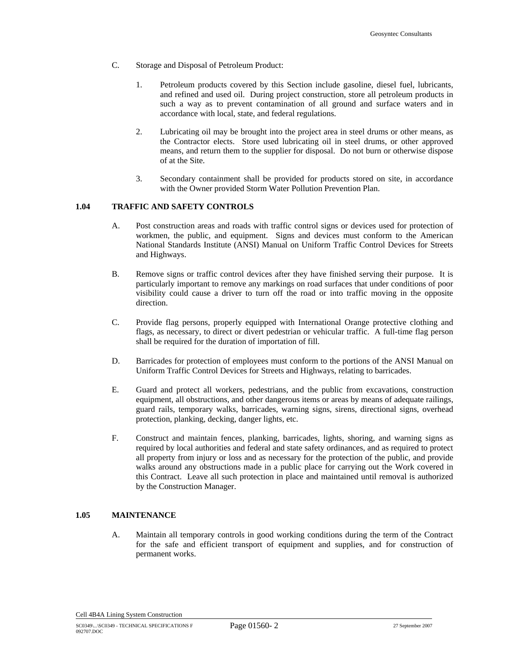- C. Storage and Disposal of Petroleum Product:
	- 1. Petroleum products covered by this Section include gasoline, diesel fuel, lubricants, and refined and used oil. During project construction, store all petroleum products in such a way as to prevent contamination of all ground and surface waters and in accordance with local, state, and federal regulations.
	- 2. Lubricating oil may be brought into the project area in steel drums or other means, as the Contractor elects. Store used lubricating oil in steel drums, or other approved means, and return them to the supplier for disposal. Do not burn or otherwise dispose of at the Site.
	- 3. Secondary containment shall be provided for products stored on site, in accordance with the Owner provided Storm Water Pollution Prevention Plan.

## **1.04 TRAFFIC AND SAFETY CONTROLS**

- A. Post construction areas and roads with traffic control signs or devices used for protection of workmen, the public, and equipment. Signs and devices must conform to the American National Standards Institute (ANSI) Manual on Uniform Traffic Control Devices for Streets and Highways.
- B. Remove signs or traffic control devices after they have finished serving their purpose. It is particularly important to remove any markings on road surfaces that under conditions of poor visibility could cause a driver to turn off the road or into traffic moving in the opposite direction.
- C. Provide flag persons, properly equipped with International Orange protective clothing and flags, as necessary, to direct or divert pedestrian or vehicular traffic. A full-time flag person shall be required for the duration of importation of fill.
- D. Barricades for protection of employees must conform to the portions of the ANSI Manual on Uniform Traffic Control Devices for Streets and Highways, relating to barricades.
- E. Guard and protect all workers, pedestrians, and the public from excavations, construction equipment, all obstructions, and other dangerous items or areas by means of adequate railings, guard rails, temporary walks, barricades, warning signs, sirens, directional signs, overhead protection, planking, decking, danger lights, etc.
- F. Construct and maintain fences, planking, barricades, lights, shoring, and warning signs as required by local authorities and federal and state safety ordinances, and as required to protect all property from injury or loss and as necessary for the protection of the public, and provide walks around any obstructions made in a public place for carrying out the Work covered in this Contract. Leave all such protection in place and maintained until removal is authorized by the Construction Manager.

# **1.05 MAINTENANCE**

A. Maintain all temporary controls in good working conditions during the term of the Contract for the safe and efficient transport of equipment and supplies, and for construction of permanent works.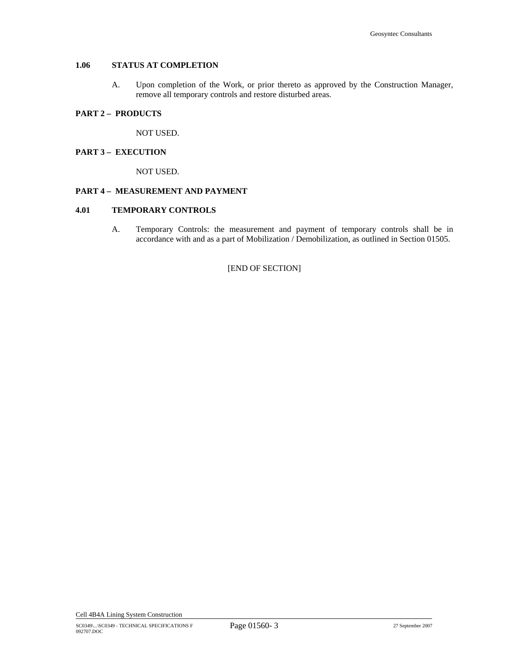# **1.06 STATUS AT COMPLETION**

A. Upon completion of the Work, or prior thereto as approved by the Construction Manager, remove all temporary controls and restore disturbed areas.

#### **PART 2 – PRODUCTS**

NOT USED.

# **PART 3 – EXECUTION**

NOT USED.

#### **PART 4 – MEASUREMENT AND PAYMENT**

# **4.01 TEMPORARY CONTROLS**

A. Temporary Controls: the measurement and payment of temporary controls shall be in accordance with and as a part of Mobilization / Demobilization, as outlined in Section 01505.

[END OF SECTION]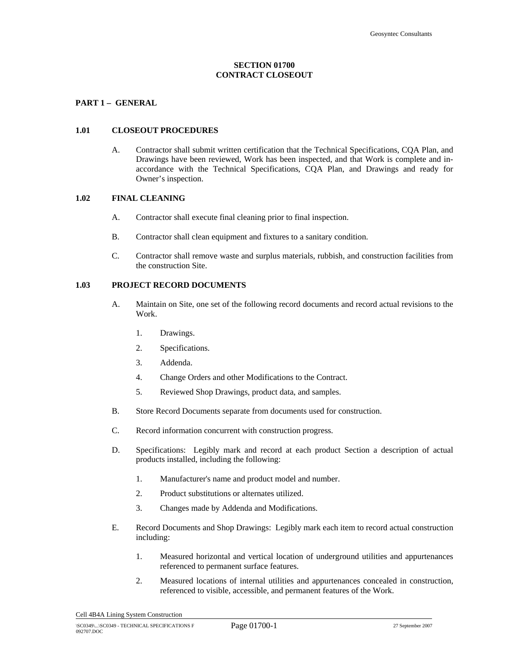# **SECTION 01700 CONTRACT CLOSEOUT**

## **PART 1 – GENERAL**

#### **1.01 CLOSEOUT PROCEDURES**

A. Contractor shall submit written certification that the Technical Specifications, CQA Plan, and Drawings have been reviewed, Work has been inspected, and that Work is complete and inaccordance with the Technical Specifications, CQA Plan, and Drawings and ready for Owner's inspection.

#### **1.02 FINAL CLEANING**

- A. Contractor shall execute final cleaning prior to final inspection.
- B. Contractor shall clean equipment and fixtures to a sanitary condition.
- C. Contractor shall remove waste and surplus materials, rubbish, and construction facilities from the construction Site.

### **1.03 PROJECT RECORD DOCUMENTS**

- A. Maintain on Site, one set of the following record documents and record actual revisions to the Work.
	- 1. Drawings.
	- 2. Specifications.
	- 3. Addenda.
	- 4. Change Orders and other Modifications to the Contract.
	- 5. Reviewed Shop Drawings, product data, and samples.
- B. Store Record Documents separate from documents used for construction.
- C. Record information concurrent with construction progress.
- D. Specifications: Legibly mark and record at each product Section a description of actual products installed, including the following:
	- 1. Manufacturer's name and product model and number.
	- 2. Product substitutions or alternates utilized.
	- 3. Changes made by Addenda and Modifications.
- E. Record Documents and Shop Drawings: Legibly mark each item to record actual construction including:
	- 1. Measured horizontal and vertical location of underground utilities and appurtenances referenced to permanent surface features.
	- 2. Measured locations of internal utilities and appurtenances concealed in construction, referenced to visible, accessible, and permanent features of the Work.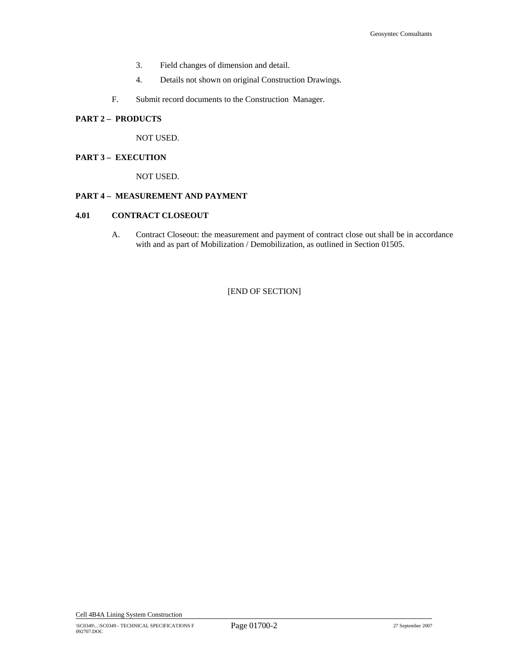- 3. Field changes of dimension and detail.
- 4. Details not shown on original Construction Drawings.
- F. Submit record documents to the Construction Manager.

# **PART 2 – PRODUCTS**

NOT USED.

# **PART 3 – EXECUTION**

NOT USED.

# **PART 4 – MEASUREMENT AND PAYMENT**

#### **4.01 CONTRACT CLOSEOUT**

A. Contract Closeout: the measurement and payment of contract close out shall be in accordance with and as part of Mobilization / Demobilization, as outlined in Section 01505.

[END OF SECTION]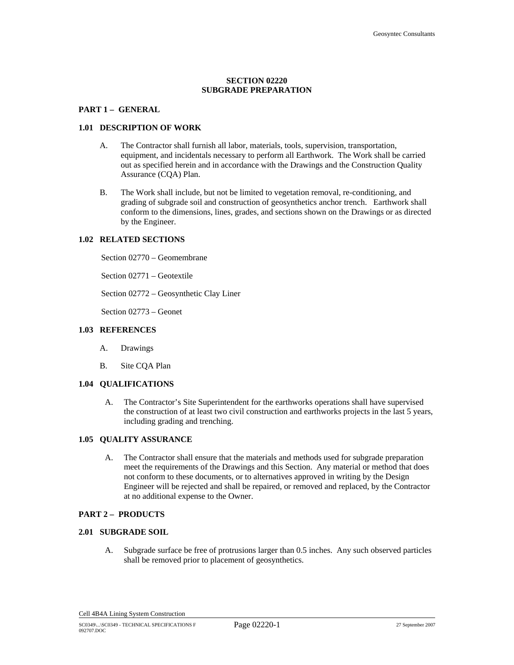# **SECTION 02220 SUBGRADE PREPARATION**

#### **PART 1 – GENERAL**

### **1.01 DESCRIPTION OF WORK**

- A. The Contractor shall furnish all labor, materials, tools, supervision, transportation, equipment, and incidentals necessary to perform all Earthwork. The Work shall be carried out as specified herein and in accordance with the Drawings and the Construction Quality Assurance (CQA) Plan.
- B. The Work shall include, but not be limited to vegetation removal, re-conditioning, and grading of subgrade soil and construction of geosynthetics anchor trench. Earthwork shall conform to the dimensions, lines, grades, and sections shown on the Drawings or as directed by the Engineer.

#### **1.02 RELATED SECTIONS**

Section 02770 – Geomembrane

Section 02771 – Geotextile

Section 02772 – Geosynthetic Clay Liner

Section 02773 – Geonet

#### **1.03 REFERENCES**

- A. Drawings
- B. Site CQA Plan

# **1.04 QUALIFICATIONS**

A. The Contractor's Site Superintendent for the earthworks operations shall have supervised the construction of at least two civil construction and earthworks projects in the last 5 years, including grading and trenching.

#### **1.05 QUALITY ASSURANCE**

A. The Contractor shall ensure that the materials and methods used for subgrade preparation meet the requirements of the Drawings and this Section. Any material or method that does not conform to these documents, or to alternatives approved in writing by the Design Engineer will be rejected and shall be repaired, or removed and replaced, by the Contractor at no additional expense to the Owner.

### **PART 2 – PRODUCTS**

#### **2.01 SUBGRADE SOIL**

A. Subgrade surface be free of protrusions larger than 0.5 inches. Any such observed particles shall be removed prior to placement of geosynthetics.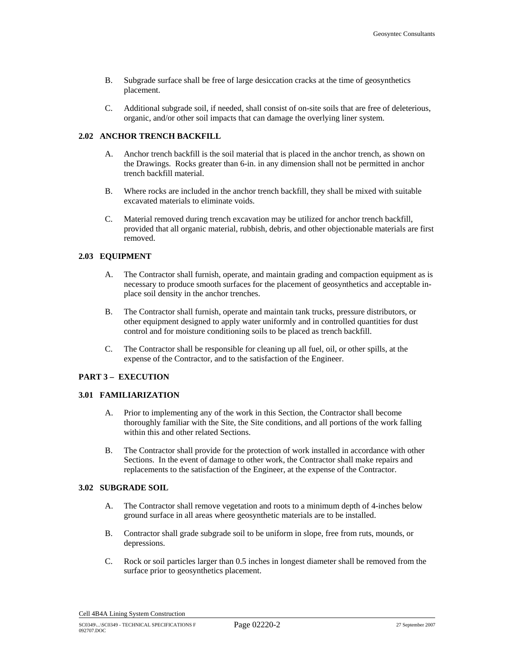- B. Subgrade surface shall be free of large desiccation cracks at the time of geosynthetics placement.
- C. Additional subgrade soil, if needed, shall consist of on-site soils that are free of deleterious, organic, and/or other soil impacts that can damage the overlying liner system.

# **2.02 ANCHOR TRENCH BACKFILL**

- A. Anchor trench backfill is the soil material that is placed in the anchor trench, as shown on the Drawings. Rocks greater than 6-in. in any dimension shall not be permitted in anchor trench backfill material.
- B. Where rocks are included in the anchor trench backfill, they shall be mixed with suitable excavated materials to eliminate voids.
- C. Material removed during trench excavation may be utilized for anchor trench backfill, provided that all organic material, rubbish, debris, and other objectionable materials are first removed.

### **2.03 EQUIPMENT**

- A. The Contractor shall furnish, operate, and maintain grading and compaction equipment as is necessary to produce smooth surfaces for the placement of geosynthetics and acceptable inplace soil density in the anchor trenches.
- B. The Contractor shall furnish, operate and maintain tank trucks, pressure distributors, or other equipment designed to apply water uniformly and in controlled quantities for dust control and for moisture conditioning soils to be placed as trench backfill.
- C. The Contractor shall be responsible for cleaning up all fuel, oil, or other spills, at the expense of the Contractor, and to the satisfaction of the Engineer.

# **PART 3 – EXECUTION**

#### **3.01 FAMILIARIZATION**

- A. Prior to implementing any of the work in this Section, the Contractor shall become thoroughly familiar with the Site, the Site conditions, and all portions of the work falling within this and other related Sections.
- B. The Contractor shall provide for the protection of work installed in accordance with other Sections. In the event of damage to other work, the Contractor shall make repairs and replacements to the satisfaction of the Engineer, at the expense of the Contractor.

#### **3.02 SUBGRADE SOIL**

- A. The Contractor shall remove vegetation and roots to a minimum depth of 4-inches below ground surface in all areas where geosynthetic materials are to be installed.
- B. Contractor shall grade subgrade soil to be uniform in slope, free from ruts, mounds, or depressions.
- C. Rock or soil particles larger than 0.5 inches in longest diameter shall be removed from the surface prior to geosynthetics placement.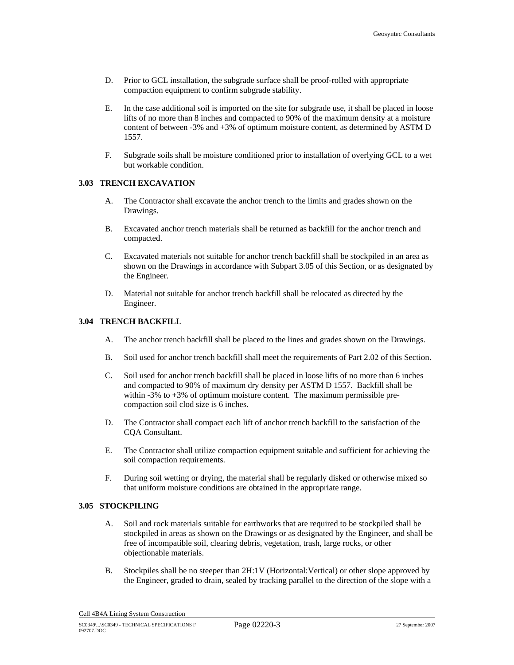- D. Prior to GCL installation, the subgrade surface shall be proof-rolled with appropriate compaction equipment to confirm subgrade stability.
- E. In the case additional soil is imported on the site for subgrade use, it shall be placed in loose lifts of no more than 8 inches and compacted to 90% of the maximum density at a moisture content of between -3% and +3% of optimum moisture content, as determined by ASTM D 1557.
- F. Subgrade soils shall be moisture conditioned prior to installation of overlying GCL to a wet but workable condition.

## **3.03 TRENCH EXCAVATION**

- A. The Contractor shall excavate the anchor trench to the limits and grades shown on the Drawings.
- B. Excavated anchor trench materials shall be returned as backfill for the anchor trench and compacted.
- C. Excavated materials not suitable for anchor trench backfill shall be stockpiled in an area as shown on the Drawings in accordance with Subpart 3.05 of this Section, or as designated by the Engineer.
- D. Material not suitable for anchor trench backfill shall be relocated as directed by the Engineer.

### **3.04 TRENCH BACKFILL**

- A. The anchor trench backfill shall be placed to the lines and grades shown on the Drawings.
- B. Soil used for anchor trench backfill shall meet the requirements of Part 2.02 of this Section.
- C. Soil used for anchor trench backfill shall be placed in loose lifts of no more than 6 inches and compacted to 90% of maximum dry density per ASTM D 1557. Backfill shall be within -3% to +3% of optimum moisture content. The maximum permissible precompaction soil clod size is 6 inches.
- D. The Contractor shall compact each lift of anchor trench backfill to the satisfaction of the CQA Consultant.
- E. The Contractor shall utilize compaction equipment suitable and sufficient for achieving the soil compaction requirements.
- F. During soil wetting or drying, the material shall be regularly disked or otherwise mixed so that uniform moisture conditions are obtained in the appropriate range.

## **3.05 STOCKPILING**

- A. Soil and rock materials suitable for earthworks that are required to be stockpiled shall be stockpiled in areas as shown on the Drawings or as designated by the Engineer, and shall be free of incompatible soil, clearing debris, vegetation, trash, large rocks, or other objectionable materials.
- B. Stockpiles shall be no steeper than 2H:1V (Horizontal:Vertical) or other slope approved by the Engineer, graded to drain, sealed by tracking parallel to the direction of the slope with a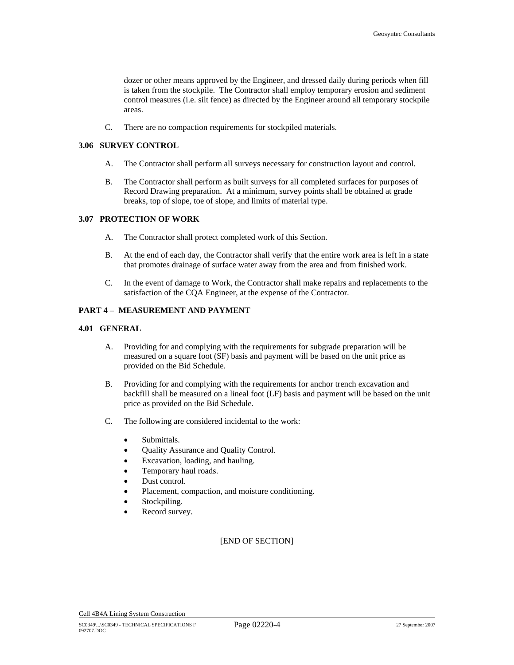dozer or other means approved by the Engineer, and dressed daily during periods when fill is taken from the stockpile. The Contractor shall employ temporary erosion and sediment control measures (i.e. silt fence) as directed by the Engineer around all temporary stockpile areas.

C. There are no compaction requirements for stockpiled materials.

### **3.06 SURVEY CONTROL**

- A. The Contractor shall perform all surveys necessary for construction layout and control.
- B. The Contractor shall perform as built surveys for all completed surfaces for purposes of Record Drawing preparation. At a minimum, survey points shall be obtained at grade breaks, top of slope, toe of slope, and limits of material type.

### **3.07 PROTECTION OF WORK**

- A. The Contractor shall protect completed work of this Section.
- B. At the end of each day, the Contractor shall verify that the entire work area is left in a state that promotes drainage of surface water away from the area and from finished work.
- C. In the event of damage to Work, the Contractor shall make repairs and replacements to the satisfaction of the CQA Engineer, at the expense of the Contractor.

### **PART 4 – MEASUREMENT AND PAYMENT**

#### **4.01 GENERAL**

- A. Providing for and complying with the requirements for subgrade preparation will be measured on a square foot (SF) basis and payment will be based on the unit price as provided on the Bid Schedule.
- B. Providing for and complying with the requirements for anchor trench excavation and backfill shall be measured on a lineal foot (LF) basis and payment will be based on the unit price as provided on the Bid Schedule.
- C. The following are considered incidental to the work:
	- Submittals.
	- Quality Assurance and Quality Control.
	- Excavation, loading, and hauling.
	- Temporary haul roads.
	- Dust control.
	- Placement, compaction, and moisture conditioning.
	- Stockpiling.
	- Record survey.

# [END OF SECTION]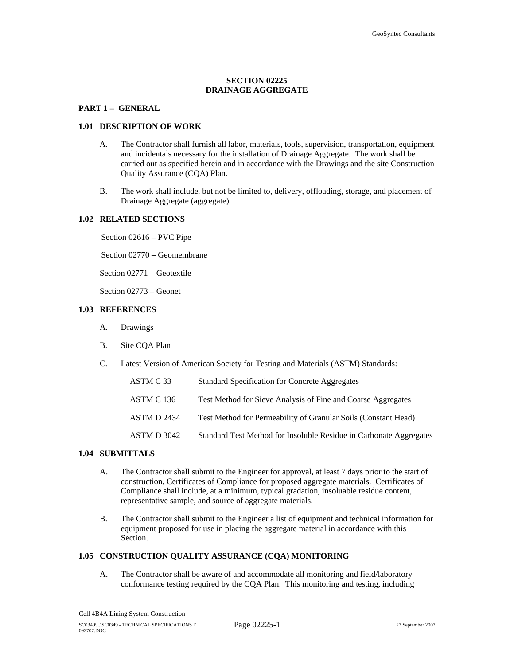# **SECTION 02225 DRAINAGE AGGREGATE**

#### **PART 1 – GENERAL**

#### **1.01 DESCRIPTION OF WORK**

- A. The Contractor shall furnish all labor, materials, tools, supervision, transportation, equipment and incidentals necessary for the installation of Drainage Aggregate. The work shall be carried out as specified herein and in accordance with the Drawings and the site Construction Quality Assurance (CQA) Plan.
- B. The work shall include, but not be limited to, delivery, offloading, storage, and placement of Drainage Aggregate (aggregate).

#### **1.02 RELATED SECTIONS**

Section 02616 – PVC Pipe

Section 02770 – Geomembrane

Section 02771 – Geotextile

Section 02773 – Geonet

# **1.03 REFERENCES**

- A. Drawings
- B. Site CQA Plan
- C. Latest Version of American Society for Testing and Materials (ASTM) Standards:

| ASTM C 33   | Standard Specification for Concrete Aggregates                     |
|-------------|--------------------------------------------------------------------|
| ASTM C 136  | Test Method for Sieve Analysis of Fine and Coarse Aggregates       |
| ASTM D 2434 | Test Method for Permeability of Granular Soils (Constant Head)     |
| ASTM D 3042 | Standard Test Method for Insoluble Residue in Carbonate Aggregates |

# **1.04 SUBMITTALS**

- A. The Contractor shall submit to the Engineer for approval, at least 7 days prior to the start of construction, Certificates of Compliance for proposed aggregate materials. Certificates of Compliance shall include, at a minimum, typical gradation, insoluable residue content, representative sample, and source of aggregate materials.
- B. The Contractor shall submit to the Engineer a list of equipment and technical information for equipment proposed for use in placing the aggregate material in accordance with this Section.

### **1.05 CONSTRUCTION QUALITY ASSURANCE (CQA) MONITORING**

A. The Contractor shall be aware of and accommodate all monitoring and field/laboratory conformance testing required by the CQA Plan. This monitoring and testing, including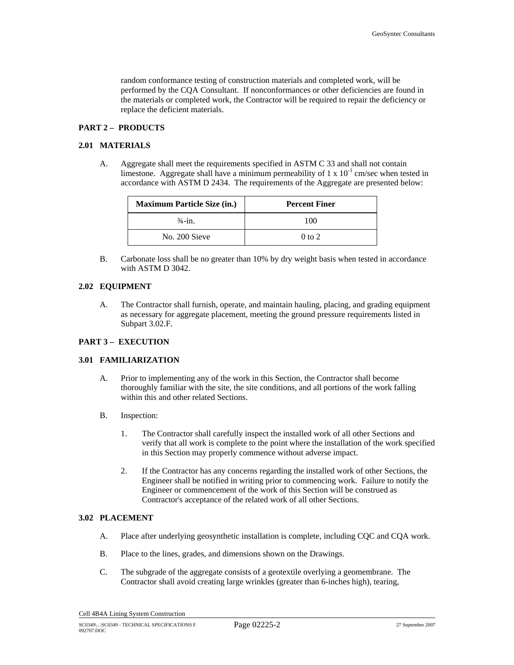random conformance testing of construction materials and completed work, will be performed by the CQA Consultant. If nonconformances or other deficiencies are found in the materials or completed work, the Contractor will be required to repair the deficiency or replace the deficient materials.

# **PART 2 – PRODUCTS**

### **2.01 MATERIALS**

A. Aggregate shall meet the requirements specified in ASTM C 33 and shall not contain limestone. Aggregate shall have a minimum permeability of 1 x  $10^{-1}$  cm/sec when tested in accordance with ASTM D 2434. The requirements of the Aggregate are presented below:

| <b>Maximum Particle Size (in.)</b> | <b>Percent Finer</b> |
|------------------------------------|----------------------|
| $\frac{3}{4}$ -in.                 | 100                  |
| No. 200 Sieve                      | $0$ to $2$           |

B. Carbonate loss shall be no greater than 10% by dry weight basis when tested in accordance with ASTM D 3042.

#### **2.02 EQUIPMENT**

A. The Contractor shall furnish, operate, and maintain hauling, placing, and grading equipment as necessary for aggregate placement, meeting the ground pressure requirements listed in Subpart 3.02.F.

# **PART 3 – EXECUTION**

#### **3.01 FAMILIARIZATION**

- A. Prior to implementing any of the work in this Section, the Contractor shall become thoroughly familiar with the site, the site conditions, and all portions of the work falling within this and other related Sections.
- B. Inspection:
	- 1. The Contractor shall carefully inspect the installed work of all other Sections and verify that all work is complete to the point where the installation of the work specified in this Section may properly commence without adverse impact.
	- 2. If the Contractor has any concerns regarding the installed work of other Sections, the Engineer shall be notified in writing prior to commencing work. Failure to notify the Engineer or commencement of the work of this Section will be construed as Contractor's acceptance of the related work of all other Sections.

# **3.02 PLACEMENT**

- A. Place after underlying geosynthetic installation is complete, including CQC and CQA work.
- B. Place to the lines, grades, and dimensions shown on the Drawings.
- C. The subgrade of the aggregate consists of a geotextile overlying a geomembrane. The Contractor shall avoid creating large wrinkles (greater than 6-inches high), tearing,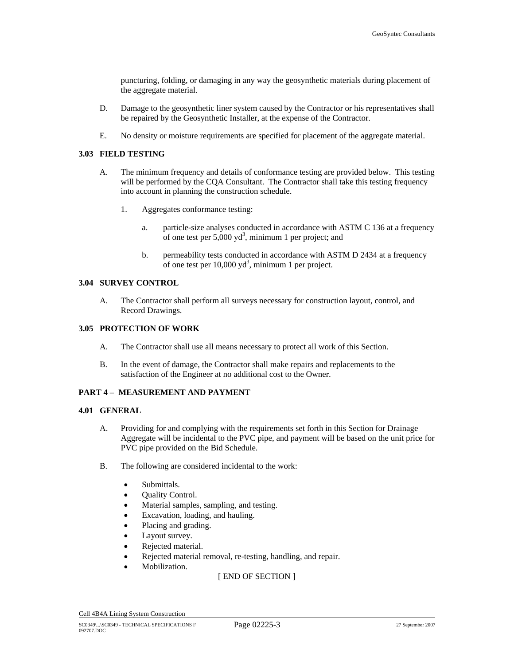puncturing, folding, or damaging in any way the geosynthetic materials during placement of the aggregate material.

- D. Damage to the geosynthetic liner system caused by the Contractor or his representatives shall be repaired by the Geosynthetic Installer, at the expense of the Contractor.
- E. No density or moisture requirements are specified for placement of the aggregate material.

### **3.03 FIELD TESTING**

- A. The minimum frequency and details of conformance testing are provided below. This testing will be performed by the CQA Consultant. The Contractor shall take this testing frequency into account in planning the construction schedule.
	- 1. Aggregates conformance testing:
		- a. particle-size analyses conducted in accordance with ASTM C 136 at a frequency of one test per  $5,000 \text{ yd}^3$ , minimum 1 per project; and
		- b. permeability tests conducted in accordance with ASTM D 2434 at a frequency of one test per  $10,000 \text{ yd}^3$ , minimum 1 per project.

#### **3.04 SURVEY CONTROL**

A. The Contractor shall perform all surveys necessary for construction layout, control, and Record Drawings.

## **3.05 PROTECTION OF WORK**

- A. The Contractor shall use all means necessary to protect all work of this Section.
- B. In the event of damage, the Contractor shall make repairs and replacements to the satisfaction of the Engineer at no additional cost to the Owner.

# **PART 4 – MEASUREMENT AND PAYMENT**

#### **4.01 GENERAL**

- A. Providing for and complying with the requirements set forth in this Section for Drainage Aggregate will be incidental to the PVC pipe, and payment will be based on the unit price for PVC pipe provided on the Bid Schedule.
- B. The following are considered incidental to the work:
	- Submittals.
	- Quality Control.
	- Material samples, sampling, and testing.
	- Excavation, loading, and hauling.
	- Placing and grading.
	- Layout survey.
	- Rejected material.
	- Rejected material removal, re-testing, handling, and repair.
	- Mobilization.

[ END OF SECTION ]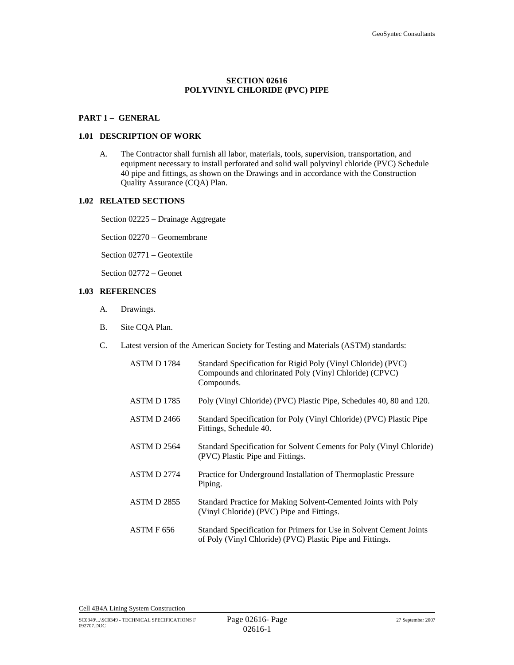# **SECTION 02616 POLYVINYL CHLORIDE (PVC) PIPE**

#### **PART 1 – GENERAL**

#### **1.01 DESCRIPTION OF WORK**

A. The Contractor shall furnish all labor, materials, tools, supervision, transportation, and equipment necessary to install perforated and solid wall polyvinyl chloride (PVC) Schedule 40 pipe and fittings, as shown on the Drawings and in accordance with the Construction Quality Assurance (CQA) Plan.

# **1.02 RELATED SECTIONS**

Section 02225 – Drainage Aggregate

Section 02270 – Geomembrane

Section 02771 – Geotextile

Section 02772 – Geonet

# **1.03 REFERENCES**

- A. Drawings.
- B. Site CQA Plan.
- C. Latest version of the American Society for Testing and Materials (ASTM) standards:

| ASTM D 1784        | Standard Specification for Rigid Poly (Vinyl Chloride) (PVC)<br>Compounds and chlorinated Poly (Vinyl Chloride) (CPVC)<br>Compounds. |
|--------------------|--------------------------------------------------------------------------------------------------------------------------------------|
| ASTM D 1785        | Poly (Vinyl Chloride) (PVC) Plastic Pipe, Schedules 40, 80 and 120.                                                                  |
| <b>ASTM D 2466</b> | Standard Specification for Poly (Vinyl Chloride) (PVC) Plastic Pipe<br>Fittings, Schedule 40.                                        |
| ASTM D 2564        | Standard Specification for Solvent Cements for Poly (Vinyl Chloride)<br>(PVC) Plastic Pipe and Fittings.                             |
| <b>ASTM D 2774</b> | Practice for Underground Installation of Thermoplastic Pressure<br>Piping.                                                           |
| ASTM D 2855        | Standard Practice for Making Solvent-Cemented Joints with Poly<br>(Vinyl Chloride) (PVC) Pipe and Fittings.                          |
| ASTM F 656         | Standard Specification for Primers for Use in Solvent Cement Joints<br>of Poly (Vinyl Chloride) (PVC) Plastic Pipe and Fittings.     |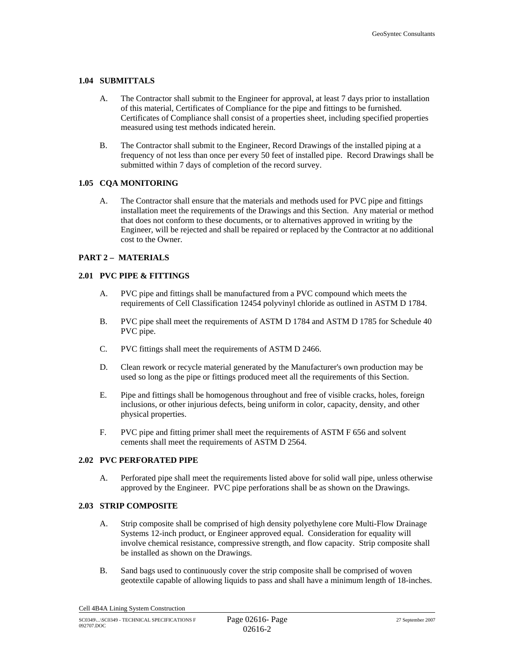## **1.04 SUBMITTALS**

- A. The Contractor shall submit to the Engineer for approval, at least 7 days prior to installation of this material, Certificates of Compliance for the pipe and fittings to be furnished. Certificates of Compliance shall consist of a properties sheet, including specified properties measured using test methods indicated herein.
- B. The Contractor shall submit to the Engineer, Record Drawings of the installed piping at a frequency of not less than once per every 50 feet of installed pipe. Record Drawings shall be submitted within 7 days of completion of the record survey.

## **1.05 CQA MONITORING**

A. The Contractor shall ensure that the materials and methods used for PVC pipe and fittings installation meet the requirements of the Drawings and this Section. Any material or method that does not conform to these documents, or to alternatives approved in writing by the Engineer, will be rejected and shall be repaired or replaced by the Contractor at no additional cost to the Owner.

## **PART 2 – MATERIALS**

## **2.01 PVC PIPE & FITTINGS**

- A. PVC pipe and fittings shall be manufactured from a PVC compound which meets the requirements of Cell Classification 12454 polyvinyl chloride as outlined in ASTM D 1784.
- B. PVC pipe shall meet the requirements of ASTM D 1784 and ASTM D 1785 for Schedule 40 PVC pipe.
- C. PVC fittings shall meet the requirements of ASTM D 2466.
- D. Clean rework or recycle material generated by the Manufacturer's own production may be used so long as the pipe or fittings produced meet all the requirements of this Section.
- E. Pipe and fittings shall be homogenous throughout and free of visible cracks, holes, foreign inclusions, or other injurious defects, being uniform in color, capacity, density, and other physical properties.
- F. PVC pipe and fitting primer shall meet the requirements of ASTM F 656 and solvent cements shall meet the requirements of ASTM D 2564.

## **2.02 PVC PERFORATED PIPE**

A. Perforated pipe shall meet the requirements listed above for solid wall pipe, unless otherwise approved by the Engineer. PVC pipe perforations shall be as shown on the Drawings.

#### **2.03 STRIP COMPOSITE**

- A. Strip composite shall be comprised of high density polyethylene core Multi-Flow Drainage Systems 12-inch product, or Engineer approved equal. Consideration for equality will involve chemical resistance, compressive strength, and flow capacity. Strip composite shall be installed as shown on the Drawings.
- B. Sand bags used to continuously cover the strip composite shall be comprised of woven geotextile capable of allowing liquids to pass and shall have a minimum length of 18-inches.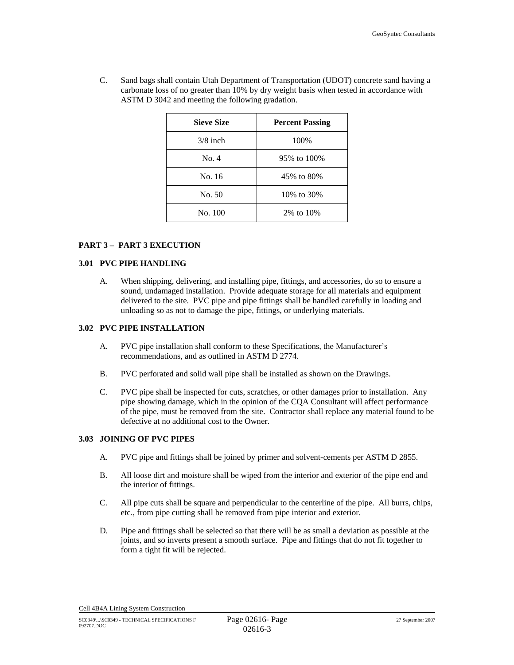C. Sand bags shall contain Utah Department of Transportation (UDOT) concrete sand having a carbonate loss of no greater than 10% by dry weight basis when tested in accordance with ASTM D 3042 and meeting the following gradation.

| <b>Sieve Size</b> | <b>Percent Passing</b> |
|-------------------|------------------------|
| $3/8$ inch        | 100%                   |
| No. 4             | 95% to 100%            |
| No. 16            | 45% to 80%             |
| No. 50            | 10\% to 30\%           |
| No. 100           | 2\% to 10\%            |

# **PART 3 – PART 3 EXECUTION**

# **3.01 PVC PIPE HANDLING**

A. When shipping, delivering, and installing pipe, fittings, and accessories, do so to ensure a sound, undamaged installation. Provide adequate storage for all materials and equipment delivered to the site. PVC pipe and pipe fittings shall be handled carefully in loading and unloading so as not to damage the pipe, fittings, or underlying materials.

# **3.02 PVC PIPE INSTALLATION**

- A. PVC pipe installation shall conform to these Specifications, the Manufacturer's recommendations, and as outlined in ASTM D 2774.
- B. PVC perforated and solid wall pipe shall be installed as shown on the Drawings.
- C. PVC pipe shall be inspected for cuts, scratches, or other damages prior to installation. Any pipe showing damage, which in the opinion of the CQA Consultant will affect performance of the pipe, must be removed from the site. Contractor shall replace any material found to be defective at no additional cost to the Owner.

# **3.03 JOINING OF PVC PIPES**

- A. PVC pipe and fittings shall be joined by primer and solvent-cements per ASTM D 2855.
- B. All loose dirt and moisture shall be wiped from the interior and exterior of the pipe end and the interior of fittings.
- C. All pipe cuts shall be square and perpendicular to the centerline of the pipe. All burrs, chips, etc., from pipe cutting shall be removed from pipe interior and exterior.
- D. Pipe and fittings shall be selected so that there will be as small a deviation as possible at the joints, and so inverts present a smooth surface. Pipe and fittings that do not fit together to form a tight fit will be rejected.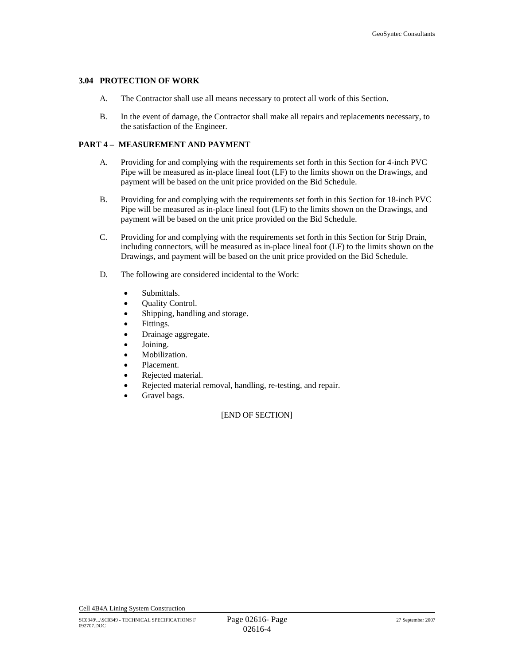## **3.04 PROTECTION OF WORK**

- A. The Contractor shall use all means necessary to protect all work of this Section.
- B. In the event of damage, the Contractor shall make all repairs and replacements necessary, to the satisfaction of the Engineer.

# **PART 4 – MEASUREMENT AND PAYMENT**

- A. Providing for and complying with the requirements set forth in this Section for 4-inch PVC Pipe will be measured as in-place lineal foot (LF) to the limits shown on the Drawings, and payment will be based on the unit price provided on the Bid Schedule.
- B. Providing for and complying with the requirements set forth in this Section for 18-inch PVC Pipe will be measured as in-place lineal foot (LF) to the limits shown on the Drawings, and payment will be based on the unit price provided on the Bid Schedule.
- C. Providing for and complying with the requirements set forth in this Section for Strip Drain, including connectors, will be measured as in-place lineal foot (LF) to the limits shown on the Drawings, and payment will be based on the unit price provided on the Bid Schedule.
- D. The following are considered incidental to the Work:
	- Submittals.
	- Quality Control.
	- Shipping, handling and storage.
	- Fittings.
	- Drainage aggregate.
	- Joining.
	- Mobilization.
	- Placement.
	- Rejected material.
	- Rejected material removal, handling, re-testing, and repair.
	- Gravel bags.

# [END OF SECTION]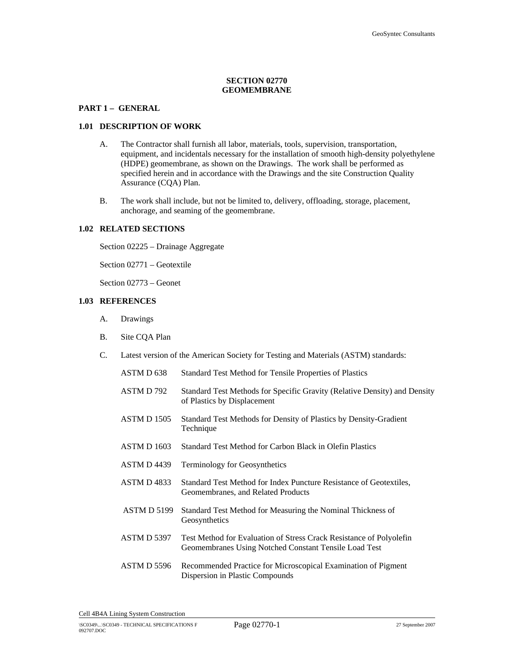# **SECTION 02770 GEOMEMBRANE**

## **PART 1 – GENERAL**

#### **1.01 DESCRIPTION OF WORK**

- A. The Contractor shall furnish all labor, materials, tools, supervision, transportation, equipment, and incidentals necessary for the installation of smooth high-density polyethylene (HDPE) geomembrane, as shown on the Drawings. The work shall be performed as specified herein and in accordance with the Drawings and the site Construction Quality Assurance (CQA) Plan.
- B. The work shall include, but not be limited to, delivery, offloading, storage, placement, anchorage, and seaming of the geomembrane.

#### **1.02 RELATED SECTIONS**

Section 02225 – Drainage Aggregate

Section 02771 – Geotextile

Section 02773 – Geonet

# **1.03 REFERENCES**

- A. Drawings
- B. Site CQA Plan
- C. Latest version of the American Society for Testing and Materials (ASTM) standards:

| ASTM D <sub>638</sub> | Standard Test Method for Tensile Properties of Plastics                                                                      |
|-----------------------|------------------------------------------------------------------------------------------------------------------------------|
| ASTM D 792            | Standard Test Methods for Specific Gravity (Relative Density) and Density<br>of Plastics by Displacement                     |
| ASTM D 1505           | Standard Test Methods for Density of Plastics by Density-Gradient<br>Technique                                               |
| <b>ASTM D 1603</b>    | Standard Test Method for Carbon Black in Olefin Plastics                                                                     |
| ASTM D4439            | <b>Terminology for Geosynthetics</b>                                                                                         |
| <b>ASTM D 4833</b>    | Standard Test Method for Index Puncture Resistance of Geotextiles,<br>Geomembranes, and Related Products                     |
| ASTM D 5199           | Standard Test Method for Measuring the Nominal Thickness of<br>Geosynthetics                                                 |
| <b>ASTM D 5397</b>    | Test Method for Evaluation of Stress Crack Resistance of Polyolefin<br>Geomembranes Using Notched Constant Tensile Load Test |
| ASTM D 5596           | Recommended Practice for Microscopical Examination of Pigment<br>Dispersion in Plastic Compounds                             |
|                       |                                                                                                                              |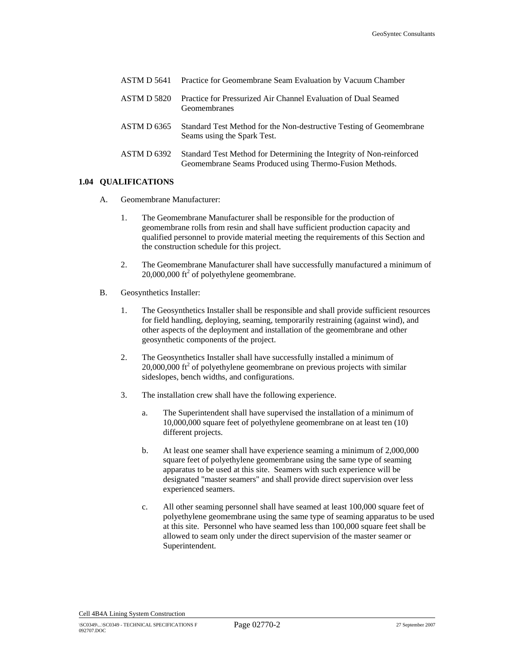|                    | <b>ASTM D 5641</b> Practice for Geomembrane Seam Evaluation by Vacuum Chamber                                                   |
|--------------------|---------------------------------------------------------------------------------------------------------------------------------|
| <b>ASTM D 5820</b> | Practice for Pressurized Air Channel Evaluation of Dual Seamed<br>Geomembranes                                                  |
| ASTM D 6365        | Standard Test Method for the Non-destructive Testing of Geomembrane<br>Seams using the Spark Test.                              |
| ASTM D 6392        | Standard Test Method for Determining the Integrity of Non-reinforced<br>Geomembrane Seams Produced using Thermo-Fusion Methods. |

## **1.04 QUALIFICATIONS**

- A. Geomembrane Manufacturer:
	- 1. The Geomembrane Manufacturer shall be responsible for the production of geomembrane rolls from resin and shall have sufficient production capacity and qualified personnel to provide material meeting the requirements of this Section and the construction schedule for this project.
	- 2. The Geomembrane Manufacturer shall have successfully manufactured a minimum of  $20,000,000$  ft<sup>2</sup> of polyethylene geomembrane.
- B. Geosynthetics Installer:
	- 1. The Geosynthetics Installer shall be responsible and shall provide sufficient resources for field handling, deploying, seaming, temporarily restraining (against wind), and other aspects of the deployment and installation of the geomembrane and other geosynthetic components of the project.
	- 2. The Geosynthetics Installer shall have successfully installed a minimum of  $20,000,000$  ft<sup>2</sup> of polyethylene geomembrane on previous projects with similar sideslopes, bench widths, and configurations.
	- 3. The installation crew shall have the following experience.
		- a. The Superintendent shall have supervised the installation of a minimum of 10,000,000 square feet of polyethylene geomembrane on at least ten (10) different projects.
		- b. At least one seamer shall have experience seaming a minimum of 2,000,000 square feet of polyethylene geomembrane using the same type of seaming apparatus to be used at this site. Seamers with such experience will be designated "master seamers" and shall provide direct supervision over less experienced seamers.
		- c. All other seaming personnel shall have seamed at least 100,000 square feet of polyethylene geomembrane using the same type of seaming apparatus to be used at this site. Personnel who have seamed less than 100,000 square feet shall be allowed to seam only under the direct supervision of the master seamer or Superintendent.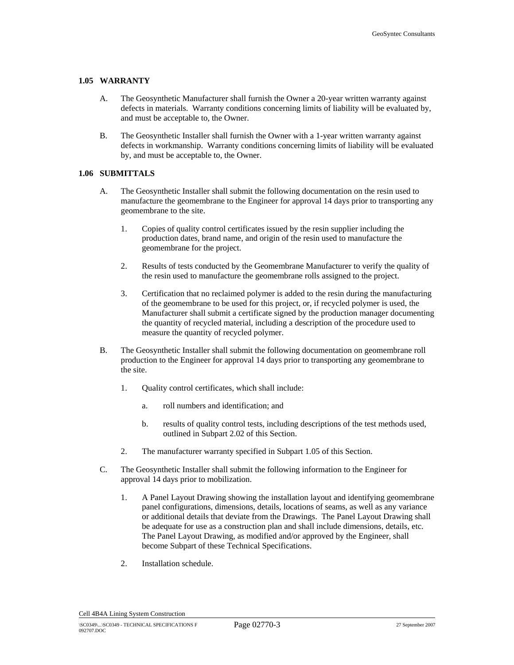#### **1.05 WARRANTY**

- A. The Geosynthetic Manufacturer shall furnish the Owner a 20-year written warranty against defects in materials. Warranty conditions concerning limits of liability will be evaluated by, and must be acceptable to, the Owner.
- B. The Geosynthetic Installer shall furnish the Owner with a 1-year written warranty against defects in workmanship. Warranty conditions concerning limits of liability will be evaluated by, and must be acceptable to, the Owner.

#### **1.06 SUBMITTALS**

- A. The Geosynthetic Installer shall submit the following documentation on the resin used to manufacture the geomembrane to the Engineer for approval 14 days prior to transporting any geomembrane to the site.
	- 1. Copies of quality control certificates issued by the resin supplier including the production dates, brand name, and origin of the resin used to manufacture the geomembrane for the project.
	- 2. Results of tests conducted by the Geomembrane Manufacturer to verify the quality of the resin used to manufacture the geomembrane rolls assigned to the project.
	- 3. Certification that no reclaimed polymer is added to the resin during the manufacturing of the geomembrane to be used for this project, or, if recycled polymer is used, the Manufacturer shall submit a certificate signed by the production manager documenting the quantity of recycled material, including a description of the procedure used to measure the quantity of recycled polymer.
- B. The Geosynthetic Installer shall submit the following documentation on geomembrane roll production to the Engineer for approval 14 days prior to transporting any geomembrane to the site.
	- 1. Quality control certificates, which shall include:
		- a. roll numbers and identification; and
		- b. results of quality control tests, including descriptions of the test methods used, outlined in Subpart 2.02 of this Section.
	- 2. The manufacturer warranty specified in Subpart 1.05 of this Section.
- C. The Geosynthetic Installer shall submit the following information to the Engineer for approval 14 days prior to mobilization.
	- 1. A Panel Layout Drawing showing the installation layout and identifying geomembrane panel configurations, dimensions, details, locations of seams, as well as any variance or additional details that deviate from the Drawings. The Panel Layout Drawing shall be adequate for use as a construction plan and shall include dimensions, details, etc. The Panel Layout Drawing, as modified and/or approved by the Engineer, shall become Subpart of these Technical Specifications.
	- 2. Installation schedule.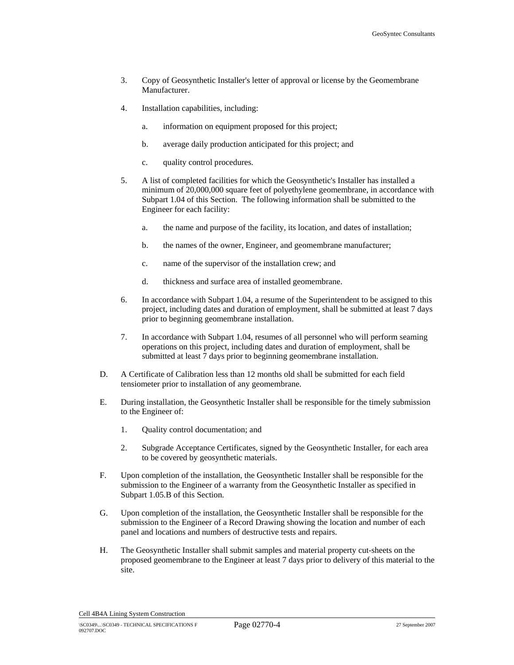- 3. Copy of Geosynthetic Installer's letter of approval or license by the Geomembrane Manufacturer.
- 4. Installation capabilities, including:
	- a. information on equipment proposed for this project;
	- b. average daily production anticipated for this project; and
	- c. quality control procedures.
- 5. A list of completed facilities for which the Geosynthetic's Installer has installed a minimum of 20,000,000 square feet of polyethylene geomembrane, in accordance with Subpart 1.04 of this Section. The following information shall be submitted to the Engineer for each facility:
	- a. the name and purpose of the facility, its location, and dates of installation;
	- b. the names of the owner, Engineer, and geomembrane manufacturer;
	- c. name of the supervisor of the installation crew; and
	- d. thickness and surface area of installed geomembrane.
- 6. In accordance with Subpart 1.04, a resume of the Superintendent to be assigned to this project, including dates and duration of employment, shall be submitted at least 7 days prior to beginning geomembrane installation.
- 7. In accordance with Subpart 1.04, resumes of all personnel who will perform seaming operations on this project, including dates and duration of employment, shall be submitted at least 7 days prior to beginning geomembrane installation.
- D. A Certificate of Calibration less than 12 months old shall be submitted for each field tensiometer prior to installation of any geomembrane.
- E. During installation, the Geosynthetic Installer shall be responsible for the timely submission to the Engineer of:
	- 1. Quality control documentation; and
	- 2. Subgrade Acceptance Certificates, signed by the Geosynthetic Installer, for each area to be covered by geosynthetic materials.
- F. Upon completion of the installation, the Geosynthetic Installer shall be responsible for the submission to the Engineer of a warranty from the Geosynthetic Installer as specified in Subpart 1.05.B of this Section.
- G. Upon completion of the installation, the Geosynthetic Installer shall be responsible for the submission to the Engineer of a Record Drawing showing the location and number of each panel and locations and numbers of destructive tests and repairs.
- H. The Geosynthetic Installer shall submit samples and material property cut-sheets on the proposed geomembrane to the Engineer at least 7 days prior to delivery of this material to the site.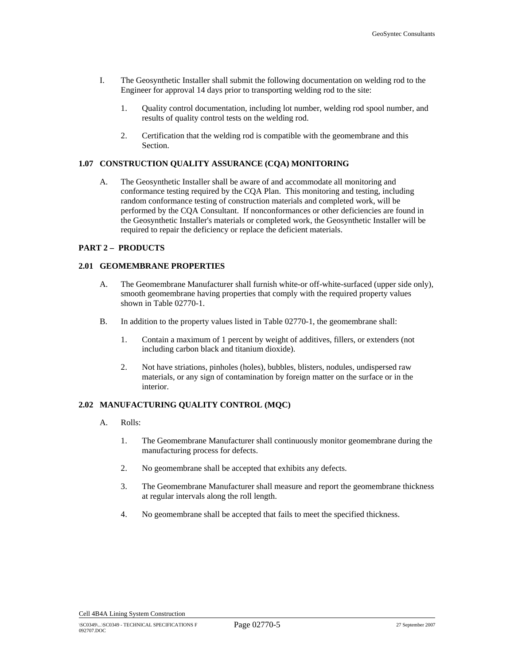- I. The Geosynthetic Installer shall submit the following documentation on welding rod to the Engineer for approval 14 days prior to transporting welding rod to the site:
	- 1. Quality control documentation, including lot number, welding rod spool number, and results of quality control tests on the welding rod.
	- 2. Certification that the welding rod is compatible with the geomembrane and this Section.

## **1.07 CONSTRUCTION QUALITY ASSURANCE (CQA) MONITORING**

A. The Geosynthetic Installer shall be aware of and accommodate all monitoring and conformance testing required by the CQA Plan. This monitoring and testing, including random conformance testing of construction materials and completed work, will be performed by the CQA Consultant. If nonconformances or other deficiencies are found in the Geosynthetic Installer's materials or completed work, the Geosynthetic Installer will be required to repair the deficiency or replace the deficient materials.

## **PART 2 – PRODUCTS**

## **2.01 GEOMEMBRANE PROPERTIES**

- A. The Geomembrane Manufacturer shall furnish white-or off-white-surfaced (upper side only), smooth geomembrane having properties that comply with the required property values shown in Table 02770-1.
- B. In addition to the property values listed in Table 02770-1, the geomembrane shall:
	- 1. Contain a maximum of 1 percent by weight of additives, fillers, or extenders (not including carbon black and titanium dioxide).
	- 2. Not have striations, pinholes (holes), bubbles, blisters, nodules, undispersed raw materials, or any sign of contamination by foreign matter on the surface or in the interior.

# **2.02 MANUFACTURING QUALITY CONTROL (MQC)**

- A. Rolls:
	- 1. The Geomembrane Manufacturer shall continuously monitor geomembrane during the manufacturing process for defects.
	- 2. No geomembrane shall be accepted that exhibits any defects.
	- 3. The Geomembrane Manufacturer shall measure and report the geomembrane thickness at regular intervals along the roll length.
	- 4. No geomembrane shall be accepted that fails to meet the specified thickness.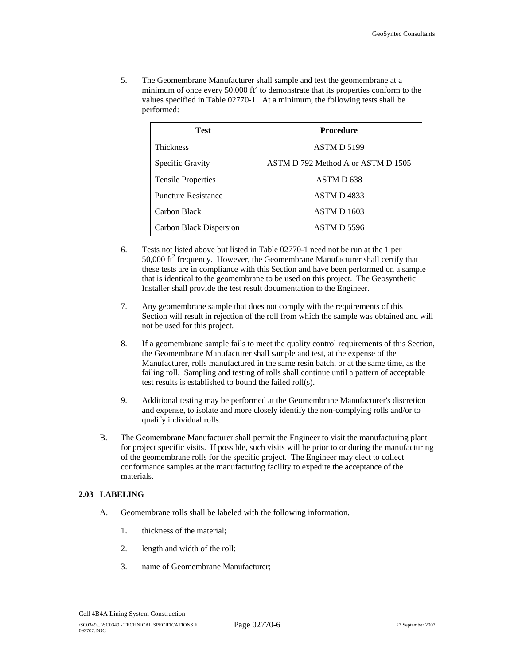5. The Geomembrane Manufacturer shall sample and test the geomembrane at a minimum of once every 50,000  $\text{ft}^2$  to demonstrate that its properties conform to the values specified in Table 02770-1. At a minimum, the following tests shall be performed:

| <b>Test</b>                | Procedure                          |  |  |
|----------------------------|------------------------------------|--|--|
| <b>Thickness</b>           | ASTM D 5199                        |  |  |
| Specific Gravity           | ASTM D 792 Method A or ASTM D 1505 |  |  |
| <b>Tensile Properties</b>  | ASTM D <sub>638</sub>              |  |  |
| <b>Puncture Resistance</b> | ASTM D4833                         |  |  |
| Carbon Black               | ASTM D 1603                        |  |  |
| Carbon Black Dispersion    | ASTM D 5596                        |  |  |

- 6. Tests not listed above but listed in Table 02770-1 need not be run at the 1 per  $50,000$  ft<sup>2</sup> frequency. However, the Geomembrane Manufacturer shall certify that these tests are in compliance with this Section and have been performed on a sample that is identical to the geomembrane to be used on this project. The Geosynthetic Installer shall provide the test result documentation to the Engineer.
- 7. Any geomembrane sample that does not comply with the requirements of this Section will result in rejection of the roll from which the sample was obtained and will not be used for this project.
- 8. If a geomembrane sample fails to meet the quality control requirements of this Section, the Geomembrane Manufacturer shall sample and test, at the expense of the Manufacturer, rolls manufactured in the same resin batch, or at the same time, as the failing roll. Sampling and testing of rolls shall continue until a pattern of acceptable test results is established to bound the failed roll(s).
- 9. Additional testing may be performed at the Geomembrane Manufacturer's discretion and expense, to isolate and more closely identify the non-complying rolls and/or to qualify individual rolls.
- B. The Geomembrane Manufacturer shall permit the Engineer to visit the manufacturing plant for project specific visits. If possible, such visits will be prior to or during the manufacturing of the geomembrane rolls for the specific project. The Engineer may elect to collect conformance samples at the manufacturing facility to expedite the acceptance of the materials.

# **2.03 LABELING**

- A. Geomembrane rolls shall be labeled with the following information.
	- 1. thickness of the material;
	- 2. length and width of the roll;
	- 3. name of Geomembrane Manufacturer;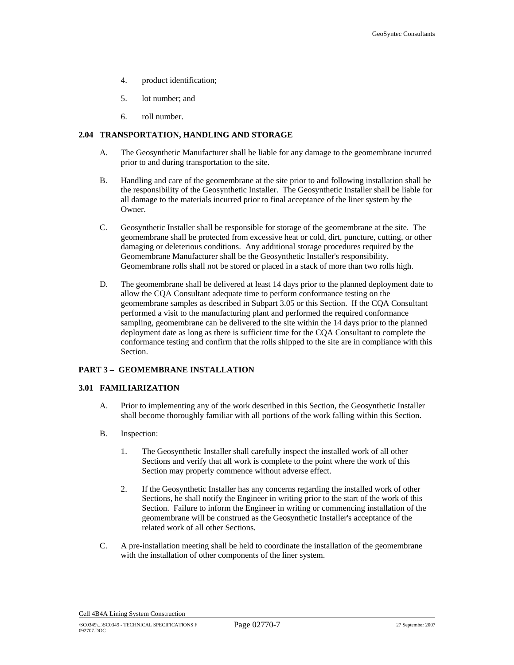- 4. product identification;
- 5. lot number; and
- 6. roll number.

# **2.04 TRANSPORTATION, HANDLING AND STORAGE**

- A. The Geosynthetic Manufacturer shall be liable for any damage to the geomembrane incurred prior to and during transportation to the site.
- B. Handling and care of the geomembrane at the site prior to and following installation shall be the responsibility of the Geosynthetic Installer. The Geosynthetic Installer shall be liable for all damage to the materials incurred prior to final acceptance of the liner system by the Owner.
- C. Geosynthetic Installer shall be responsible for storage of the geomembrane at the site. The geomembrane shall be protected from excessive heat or cold, dirt, puncture, cutting, or other damaging or deleterious conditions. Any additional storage procedures required by the Geomembrane Manufacturer shall be the Geosynthetic Installer's responsibility. Geomembrane rolls shall not be stored or placed in a stack of more than two rolls high.
- D. The geomembrane shall be delivered at least 14 days prior to the planned deployment date to allow the CQA Consultant adequate time to perform conformance testing on the geomembrane samples as described in Subpart 3.05 or this Section. If the CQA Consultant performed a visit to the manufacturing plant and performed the required conformance sampling, geomembrane can be delivered to the site within the 14 days prior to the planned deployment date as long as there is sufficient time for the CQA Consultant to complete the conformance testing and confirm that the rolls shipped to the site are in compliance with this Section.

# **PART 3 – GEOMEMBRANE INSTALLATION**

#### **3.01 FAMILIARIZATION**

- A. Prior to implementing any of the work described in this Section, the Geosynthetic Installer shall become thoroughly familiar with all portions of the work falling within this Section.
- B. Inspection:
	- 1. The Geosynthetic Installer shall carefully inspect the installed work of all other Sections and verify that all work is complete to the point where the work of this Section may properly commence without adverse effect.
	- 2. If the Geosynthetic Installer has any concerns regarding the installed work of other Sections, he shall notify the Engineer in writing prior to the start of the work of this Section. Failure to inform the Engineer in writing or commencing installation of the geomembrane will be construed as the Geosynthetic Installer's acceptance of the related work of all other Sections.
- C. A pre-installation meeting shall be held to coordinate the installation of the geomembrane with the installation of other components of the liner system.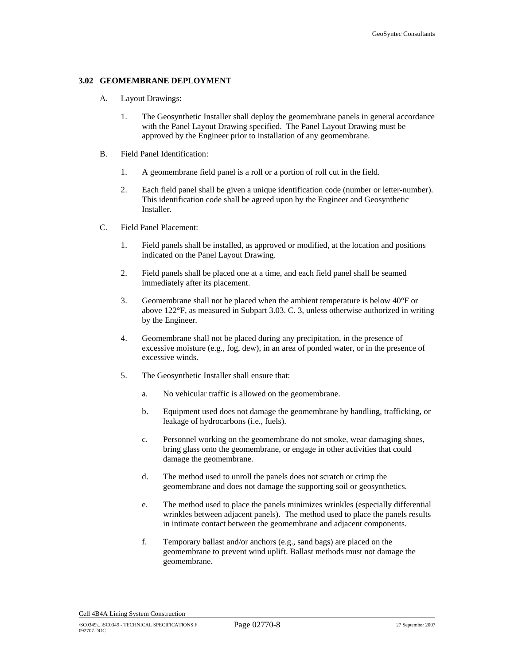#### **3.02 GEOMEMBRANE DEPLOYMENT**

- A. Layout Drawings:
	- 1. The Geosynthetic Installer shall deploy the geomembrane panels in general accordance with the Panel Layout Drawing specified. The Panel Layout Drawing must be approved by the Engineer prior to installation of any geomembrane.
- B. Field Panel Identification:
	- 1. A geomembrane field panel is a roll or a portion of roll cut in the field.
	- 2. Each field panel shall be given a unique identification code (number or letter-number). This identification code shall be agreed upon by the Engineer and Geosynthetic Installer.
- C. Field Panel Placement:
	- 1. Field panels shall be installed, as approved or modified, at the location and positions indicated on the Panel Layout Drawing.
	- 2. Field panels shall be placed one at a time, and each field panel shall be seamed immediately after its placement.
	- 3. Geomembrane shall not be placed when the ambient temperature is below  $40^{\circ}$ F or above 122°F, as measured in Subpart 3.03. C. 3, unless otherwise authorized in writing by the Engineer.
	- 4. Geomembrane shall not be placed during any precipitation, in the presence of excessive moisture (e.g., fog, dew), in an area of ponded water, or in the presence of excessive winds.
	- 5. The Geosynthetic Installer shall ensure that:
		- a. No vehicular traffic is allowed on the geomembrane.
		- b. Equipment used does not damage the geomembrane by handling, trafficking, or leakage of hydrocarbons (i.e., fuels).
		- c. Personnel working on the geomembrane do not smoke, wear damaging shoes, bring glass onto the geomembrane, or engage in other activities that could damage the geomembrane.
		- d. The method used to unroll the panels does not scratch or crimp the geomembrane and does not damage the supporting soil or geosynthetics.
		- e. The method used to place the panels minimizes wrinkles (especially differential wrinkles between adjacent panels). The method used to place the panels results in intimate contact between the geomembrane and adjacent components.
		- f. Temporary ballast and/or anchors (e.g., sand bags) are placed on the geomembrane to prevent wind uplift. Ballast methods must not damage the geomembrane.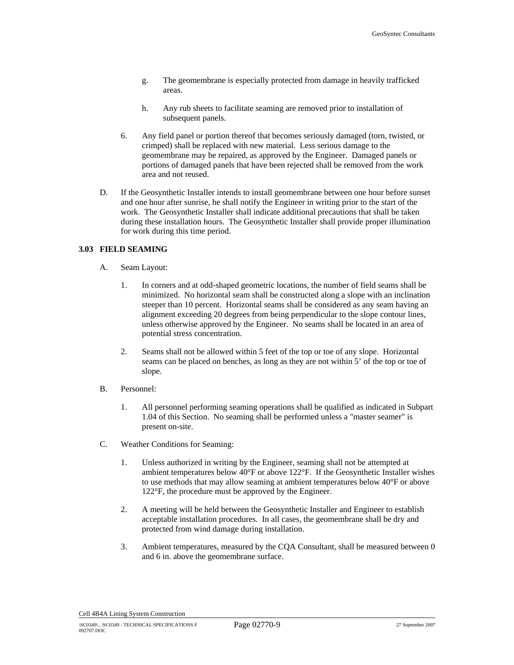- g. The geomembrane is especially protected from damage in heavily trafficked areas.
- h. Any rub sheets to facilitate seaming are removed prior to installation of subsequent panels.
- 6. Any field panel or portion thereof that becomes seriously damaged (torn, twisted, or crimped) shall be replaced with new material. Less serious damage to the geomembrane may be repaired, as approved by the Engineer. Damaged panels or portions of damaged panels that have been rejected shall be removed from the work area and not reused.
- D. If the Geosynthetic Installer intends to install geomembrane between one hour before sunset and one hour after sunrise, he shall notify the Engineer in writing prior to the start of the work. The Geosynthetic Installer shall indicate additional precautions that shall be taken during these installation hours. The Geosynthetic Installer shall provide proper illumination for work during this time period.

# **3.03 FIELD SEAMING**

- A. Seam Layout:
	- 1. In corners and at odd-shaped geometric locations, the number of field seams shall be minimized. No horizontal seam shall be constructed along a slope with an inclination steeper than 10 percent. Horizontal seams shall be considered as any seam having an alignment exceeding 20 degrees from being perpendicular to the slope contour lines, unless otherwise approved by the Engineer. No seams shall be located in an area of potential stress concentration.
	- 2. Seams shall not be allowed within 5 feet of the top or toe of any slope. Horizontal seams can be placed on benches, as long as they are not within 5' of the top or toe of slope.
- B. Personnel:
	- 1. All personnel performing seaming operations shall be qualified as indicated in Subpart 1.04 of this Section. No seaming shall be performed unless a "master seamer" is present on-site.
- C. Weather Conditions for Seaming:
	- 1. Unless authorized in writing by the Engineer, seaming shall not be attempted at ambient temperatures below  $40^{\circ}$ F or above 122 $^{\circ}$ F. If the Geosynthetic Installer wishes to use methods that may allow seaming at ambient temperatures below 40°F or above 122°F, the procedure must be approved by the Engineer.
	- 2. A meeting will be held between the Geosynthetic Installer and Engineer to establish acceptable installation procedures. In all cases, the geomembrane shall be dry and protected from wind damage during installation.
	- 3. Ambient temperatures, measured by the CQA Consultant, shall be measured between 0 and 6 in. above the geomembrane surface.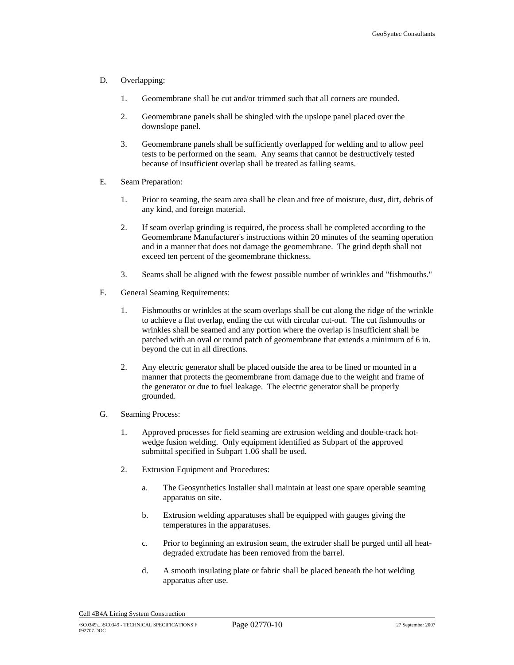#### D. Overlapping:

- 1. Geomembrane shall be cut and/or trimmed such that all corners are rounded.
- 2. Geomembrane panels shall be shingled with the upslope panel placed over the downslope panel.
- 3. Geomembrane panels shall be sufficiently overlapped for welding and to allow peel tests to be performed on the seam. Any seams that cannot be destructively tested because of insufficient overlap shall be treated as failing seams.
- E. Seam Preparation:
	- 1. Prior to seaming, the seam area shall be clean and free of moisture, dust, dirt, debris of any kind, and foreign material.
	- 2. If seam overlap grinding is required, the process shall be completed according to the Geomembrane Manufacturer's instructions within 20 minutes of the seaming operation and in a manner that does not damage the geomembrane. The grind depth shall not exceed ten percent of the geomembrane thickness.
	- 3. Seams shall be aligned with the fewest possible number of wrinkles and "fishmouths."
- F. General Seaming Requirements:
	- 1. Fishmouths or wrinkles at the seam overlaps shall be cut along the ridge of the wrinkle to achieve a flat overlap, ending the cut with circular cut-out. The cut fishmouths or wrinkles shall be seamed and any portion where the overlap is insufficient shall be patched with an oval or round patch of geomembrane that extends a minimum of 6 in. beyond the cut in all directions.
	- 2. Any electric generator shall be placed outside the area to be lined or mounted in a manner that protects the geomembrane from damage due to the weight and frame of the generator or due to fuel leakage. The electric generator shall be properly grounded.
- G. Seaming Process:
	- 1. Approved processes for field seaming are extrusion welding and double-track hotwedge fusion welding. Only equipment identified as Subpart of the approved submittal specified in Subpart 1.06 shall be used.
	- 2. Extrusion Equipment and Procedures:
		- a. The Geosynthetics Installer shall maintain at least one spare operable seaming apparatus on site.
		- b. Extrusion welding apparatuses shall be equipped with gauges giving the temperatures in the apparatuses.
		- c. Prior to beginning an extrusion seam, the extruder shall be purged until all heatdegraded extrudate has been removed from the barrel.
		- d. A smooth insulating plate or fabric shall be placed beneath the hot welding apparatus after use.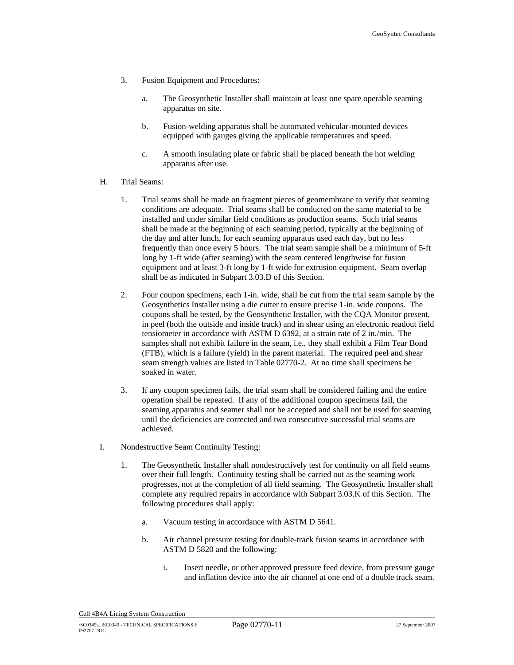- 3. Fusion Equipment and Procedures:
	- a. The Geosynthetic Installer shall maintain at least one spare operable seaming apparatus on site.
	- b. Fusion-welding apparatus shall be automated vehicular-mounted devices equipped with gauges giving the applicable temperatures and speed.
	- c. A smooth insulating plate or fabric shall be placed beneath the hot welding apparatus after use.
- H. Trial Seams:
	- 1. Trial seams shall be made on fragment pieces of geomembrane to verify that seaming conditions are adequate. Trial seams shall be conducted on the same material to be installed and under similar field conditions as production seams. Such trial seams shall be made at the beginning of each seaming period, typically at the beginning of the day and after lunch, for each seaming apparatus used each day, but no less frequently than once every 5 hours. The trial seam sample shall be a minimum of 5-ft long by 1-ft wide (after seaming) with the seam centered lengthwise for fusion equipment and at least 3-ft long by 1-ft wide for extrusion equipment. Seam overlap shall be as indicated in Subpart 3.03.D of this Section.
	- 2. Four coupon specimens, each 1-in. wide, shall be cut from the trial seam sample by the Geosynthetics Installer using a die cutter to ensure precise 1-in. wide coupons. The coupons shall be tested, by the Geosynthetic Installer, with the CQA Monitor present, in peel (both the outside and inside track) and in shear using an electronic readout field tensiometer in accordance with ASTM D 6392, at a strain rate of 2 in./min. The samples shall not exhibit failure in the seam, i.e., they shall exhibit a Film Tear Bond (FTB), which is a failure (yield) in the parent material. The required peel and shear seam strength values are listed in Table 02770-2. At no time shall specimens be soaked in water.
	- 3. If any coupon specimen fails, the trial seam shall be considered failing and the entire operation shall be repeated. If any of the additional coupon specimens fail, the seaming apparatus and seamer shall not be accepted and shall not be used for seaming until the deficiencies are corrected and two consecutive successful trial seams are achieved.
- I. Nondestructive Seam Continuity Testing:
	- 1. The Geosynthetic Installer shall nondestructively test for continuity on all field seams over their full length. Continuity testing shall be carried out as the seaming work progresses, not at the completion of all field seaming. The Geosynthetic Installer shall complete any required repairs in accordance with Subpart 3.03.K of this Section. The following procedures shall apply:
		- a. Vacuum testing in accordance with ASTM D 5641.
		- b. Air channel pressure testing for double-track fusion seams in accordance with ASTM D 5820 and the following:
			- i. Insert needle, or other approved pressure feed device, from pressure gauge and inflation device into the air channel at one end of a double track seam.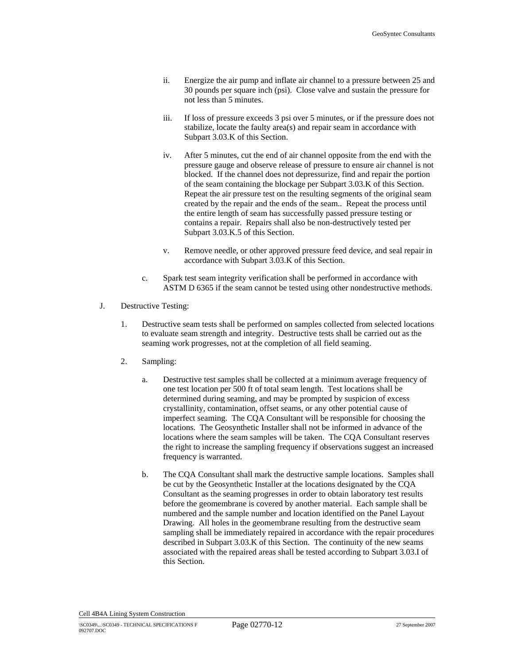- ii. Energize the air pump and inflate air channel to a pressure between 25 and 30 pounds per square inch (psi). Close valve and sustain the pressure for not less than 5 minutes.
- iii. If loss of pressure exceeds 3 psi over 5 minutes, or if the pressure does not stabilize, locate the faulty area(s) and repair seam in accordance with Subpart 3.03.K of this Section.
- iv. After 5 minutes, cut the end of air channel opposite from the end with the pressure gauge and observe release of pressure to ensure air channel is not blocked. If the channel does not depressurize, find and repair the portion of the seam containing the blockage per Subpart 3.03.K of this Section. Repeat the air pressure test on the resulting segments of the original seam created by the repair and the ends of the seam.. Repeat the process until the entire length of seam has successfully passed pressure testing or contains a repair. Repairs shall also be non-destructively tested per Subpart 3.03.K.5 of this Section.
- v. Remove needle, or other approved pressure feed device, and seal repair in accordance with Subpart 3.03.K of this Section.
- c. Spark test seam integrity verification shall be performed in accordance with ASTM D 6365 if the seam cannot be tested using other nondestructive methods.
- J. Destructive Testing:
	- 1. Destructive seam tests shall be performed on samples collected from selected locations to evaluate seam strength and integrity. Destructive tests shall be carried out as the seaming work progresses, not at the completion of all field seaming.
	- 2. Sampling:
		- a. Destructive test samples shall be collected at a minimum average frequency of one test location per 500 ft of total seam length. Test locations shall be determined during seaming, and may be prompted by suspicion of excess crystallinity, contamination, offset seams, or any other potential cause of imperfect seaming. The CQA Consultant will be responsible for choosing the locations. The Geosynthetic Installer shall not be informed in advance of the locations where the seam samples will be taken. The CQA Consultant reserves the right to increase the sampling frequency if observations suggest an increased frequency is warranted.
		- b. The CQA Consultant shall mark the destructive sample locations. Samples shall be cut by the Geosynthetic Installer at the locations designated by the CQA Consultant as the seaming progresses in order to obtain laboratory test results before the geomembrane is covered by another material. Each sample shall be numbered and the sample number and location identified on the Panel Layout Drawing. All holes in the geomembrane resulting from the destructive seam sampling shall be immediately repaired in accordance with the repair procedures described in Subpart 3.03.K of this Section. The continuity of the new seams associated with the repaired areas shall be tested according to Subpart 3.03.I of this Section.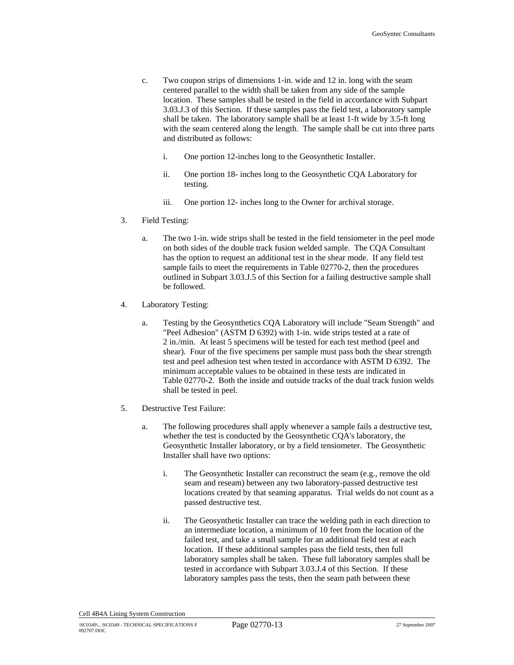- c. Two coupon strips of dimensions 1-in. wide and 12 in. long with the seam centered parallel to the width shall be taken from any side of the sample location. These samples shall be tested in the field in accordance with Subpart 3.03.J.3 of this Section. If these samples pass the field test, a laboratory sample shall be taken. The laboratory sample shall be at least 1-ft wide by 3.5-ft long with the seam centered along the length. The sample shall be cut into three parts and distributed as follows:
	- i. One portion 12-inches long to the Geosynthetic Installer.
	- ii. One portion 18- inches long to the Geosynthetic CQA Laboratory for testing.
	- iii. One portion 12- inches long to the Owner for archival storage.
- 3. Field Testing:
	- a. The two 1-in. wide strips shall be tested in the field tensiometer in the peel mode on both sides of the double track fusion welded sample. The CQA Consultant has the option to request an additional test in the shear mode. If any field test sample fails to meet the requirements in Table 02770-2, then the procedures outlined in Subpart 3.03.J.5 of this Section for a failing destructive sample shall be followed.
- 4. Laboratory Testing:
	- a. Testing by the Geosynthetics CQA Laboratory will include "Seam Strength" and "Peel Adhesion" (ASTM D 6392) with 1-in. wide strips tested at a rate of 2 in./min. At least 5 specimens will be tested for each test method (peel and shear). Four of the five specimens per sample must pass both the shear strength test and peel adhesion test when tested in accordance with ASTM D 6392. The minimum acceptable values to be obtained in these tests are indicated in Table 02770-2. Both the inside and outside tracks of the dual track fusion welds shall be tested in peel.
- 5. Destructive Test Failure:
	- a. The following procedures shall apply whenever a sample fails a destructive test, whether the test is conducted by the Geosynthetic CQA's laboratory, the Geosynthetic Installer laboratory, or by a field tensiometer. The Geosynthetic Installer shall have two options:
		- i. The Geosynthetic Installer can reconstruct the seam (e.g., remove the old seam and reseam) between any two laboratory-passed destructive test locations created by that seaming apparatus. Trial welds do not count as a passed destructive test.
		- ii. The Geosynthetic Installer can trace the welding path in each direction to an intermediate location, a minimum of 10 feet from the location of the failed test, and take a small sample for an additional field test at each location. If these additional samples pass the field tests, then full laboratory samples shall be taken. These full laboratory samples shall be tested in accordance with Subpart 3.03.J.4 of this Section. If these laboratory samples pass the tests, then the seam path between these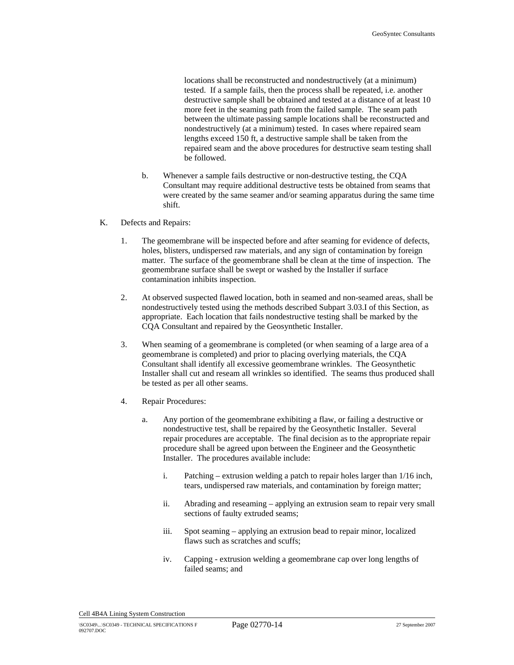locations shall be reconstructed and nondestructively (at a minimum) tested. If a sample fails, then the process shall be repeated, i.e. another destructive sample shall be obtained and tested at a distance of at least 10 more feet in the seaming path from the failed sample. The seam path between the ultimate passing sample locations shall be reconstructed and nondestructively (at a minimum) tested. In cases where repaired seam lengths exceed 150 ft, a destructive sample shall be taken from the repaired seam and the above procedures for destructive seam testing shall be followed.

- b. Whenever a sample fails destructive or non-destructive testing, the CQA Consultant may require additional destructive tests be obtained from seams that were created by the same seamer and/or seaming apparatus during the same time shift.
- K. Defects and Repairs:
	- 1. The geomembrane will be inspected before and after seaming for evidence of defects, holes, blisters, undispersed raw materials, and any sign of contamination by foreign matter. The surface of the geomembrane shall be clean at the time of inspection. The geomembrane surface shall be swept or washed by the Installer if surface contamination inhibits inspection.
	- 2. At observed suspected flawed location, both in seamed and non-seamed areas, shall be nondestructively tested using the methods described Subpart 3.03.I of this Section, as appropriate. Each location that fails nondestructive testing shall be marked by the CQA Consultant and repaired by the Geosynthetic Installer.
	- 3. When seaming of a geomembrane is completed (or when seaming of a large area of a geomembrane is completed) and prior to placing overlying materials, the CQA Consultant shall identify all excessive geomembrane wrinkles. The Geosynthetic Installer shall cut and reseam all wrinkles so identified. The seams thus produced shall be tested as per all other seams.
	- 4. Repair Procedures:
		- a. Any portion of the geomembrane exhibiting a flaw, or failing a destructive or nondestructive test, shall be repaired by the Geosynthetic Installer. Several repair procedures are acceptable. The final decision as to the appropriate repair procedure shall be agreed upon between the Engineer and the Geosynthetic Installer. The procedures available include:
			- i. Patching extrusion welding a patch to repair holes larger than 1/16 inch, tears, undispersed raw materials, and contamination by foreign matter;
			- ii. Abrading and reseaming applying an extrusion seam to repair very small sections of faulty extruded seams;
			- iii. Spot seaming applying an extrusion bead to repair minor, localized flaws such as scratches and scuffs;
			- iv. Capping extrusion welding a geomembrane cap over long lengths of failed seams; and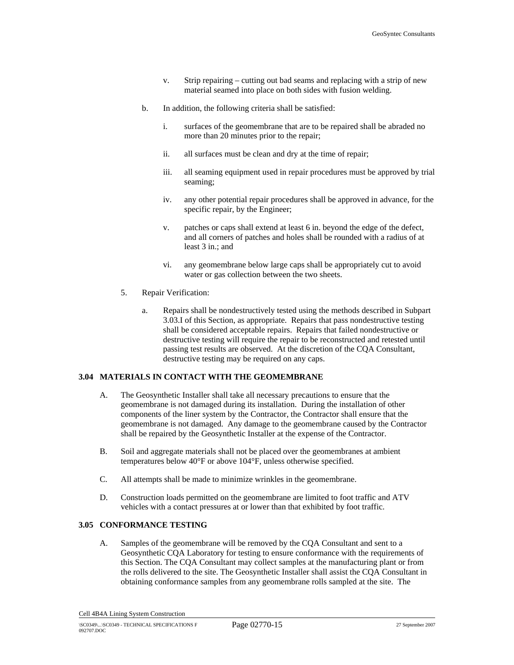- v. Strip repairing cutting out bad seams and replacing with a strip of new material seamed into place on both sides with fusion welding.
- b. In addition, the following criteria shall be satisfied:
	- i. surfaces of the geomembrane that are to be repaired shall be abraded no more than 20 minutes prior to the repair;
	- ii. all surfaces must be clean and dry at the time of repair;
	- iii. all seaming equipment used in repair procedures must be approved by trial seaming;
	- iv. any other potential repair procedures shall be approved in advance, for the specific repair, by the Engineer;
	- v. patches or caps shall extend at least 6 in. beyond the edge of the defect, and all corners of patches and holes shall be rounded with a radius of at least 3 in.; and
	- vi. any geomembrane below large caps shall be appropriately cut to avoid water or gas collection between the two sheets.
- 5. Repair Verification:
	- a. Repairs shall be nondestructively tested using the methods described in Subpart 3.03.I of this Section, as appropriate. Repairs that pass nondestructive testing shall be considered acceptable repairs. Repairs that failed nondestructive or destructive testing will require the repair to be reconstructed and retested until passing test results are observed. At the discretion of the CQA Consultant, destructive testing may be required on any caps.

#### **3.04 MATERIALS IN CONTACT WITH THE GEOMEMBRANE**

- A. The Geosynthetic Installer shall take all necessary precautions to ensure that the geomembrane is not damaged during its installation. During the installation of other components of the liner system by the Contractor, the Contractor shall ensure that the geomembrane is not damaged. Any damage to the geomembrane caused by the Contractor shall be repaired by the Geosynthetic Installer at the expense of the Contractor.
- B. Soil and aggregate materials shall not be placed over the geomembranes at ambient temperatures below 40°F or above 104°F, unless otherwise specified.
- C. All attempts shall be made to minimize wrinkles in the geomembrane.
- D. Construction loads permitted on the geomembrane are limited to foot traffic and ATV vehicles with a contact pressures at or lower than that exhibited by foot traffic.

## **3.05 CONFORMANCE TESTING**

A. Samples of the geomembrane will be removed by the CQA Consultant and sent to a Geosynthetic CQA Laboratory for testing to ensure conformance with the requirements of this Section. The CQA Consultant may collect samples at the manufacturing plant or from the rolls delivered to the site. The Geosynthetic Installer shall assist the CQA Consultant in obtaining conformance samples from any geomembrane rolls sampled at the site. The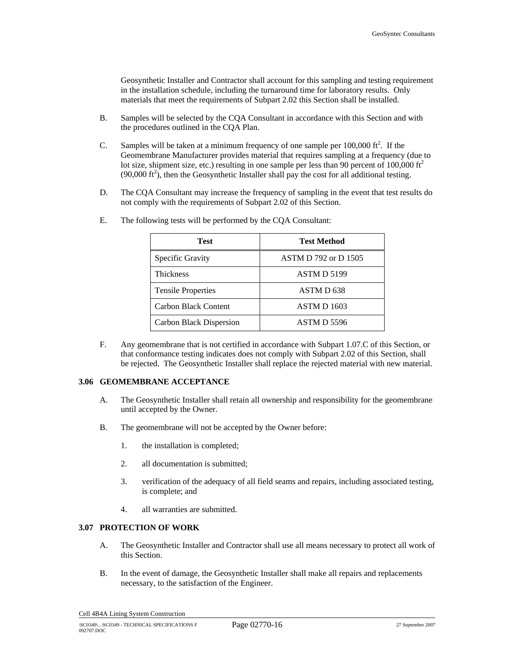Geosynthetic Installer and Contractor shall account for this sampling and testing requirement in the installation schedule, including the turnaround time for laboratory results. Only materials that meet the requirements of Subpart 2.02 this Section shall be installed.

- B. Samples will be selected by the CQA Consultant in accordance with this Section and with the procedures outlined in the CQA Plan.
- C. Samples will be taken at a minimum frequency of one sample per  $100,000$  ft<sup>2</sup>. If the Geomembrane Manufacturer provides material that requires sampling at a frequency (due to lot size, shipment size, etc.) resulting in one sample per less than 90 percent of 100,000  $\text{ft}^2$  $(90,000 \text{ ft}^2)$ , then the Geosynthetic Installer shall pay the cost for all additional testing.
- D. The CQA Consultant may increase the frequency of sampling in the event that test results do not comply with the requirements of Subpart 2.02 of this Section.

| Test                      | <b>Test Method</b>          |
|---------------------------|-----------------------------|
| Specific Gravity          | <b>ASTM D 792 or D 1505</b> |
| <b>Thickness</b>          | ASTM D 5199                 |
| <b>Tensile Properties</b> | ASTM D <sub>638</sub>       |
| Carbon Black Content      | ASTM D 1603                 |
| Carbon Black Dispersion   | ASTM D 5596                 |

E. The following tests will be performed by the CQA Consultant:

F. Any geomembrane that is not certified in accordance with Subpart 1.07.C of this Section, or that conformance testing indicates does not comply with Subpart 2.02 of this Section, shall be rejected. The Geosynthetic Installer shall replace the rejected material with new material.

#### **3.06 GEOMEMBRANE ACCEPTANCE**

- A. The Geosynthetic Installer shall retain all ownership and responsibility for the geomembrane until accepted by the Owner.
- B. The geomembrane will not be accepted by the Owner before:
	- 1. the installation is completed;
	- 2. all documentation is submitted;
	- 3. verification of the adequacy of all field seams and repairs, including associated testing, is complete; and
	- 4. all warranties are submitted.

## **3.07 PROTECTION OF WORK**

- A. The Geosynthetic Installer and Contractor shall use all means necessary to protect all work of this Section.
- B. In the event of damage, the Geosynthetic Installer shall make all repairs and replacements necessary, to the satisfaction of the Engineer.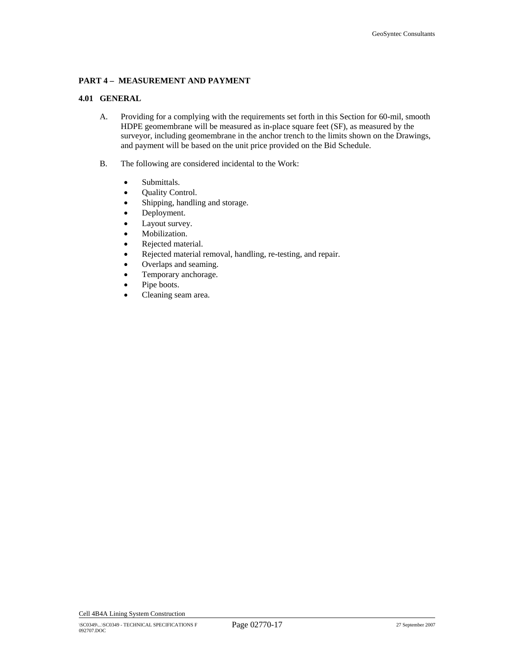# **PART 4 – MEASUREMENT AND PAYMENT**

# **4.01 GENERAL**

- A. Providing for a complying with the requirements set forth in this Section for 60-mil, smooth HDPE geomembrane will be measured as in-place square feet (SF), as measured by the surveyor, including geomembrane in the anchor trench to the limits shown on the Drawings, and payment will be based on the unit price provided on the Bid Schedule.
- B. The following are considered incidental to the Work:
	- Submittals.
	- Quality Control.
	- Shipping, handling and storage.
	- Deployment.
	- Layout survey.
	- Mobilization.
	- Rejected material.
	- Rejected material removal, handling, re-testing, and repair.
	- Overlaps and seaming.
	- Temporary anchorage.
	- Pipe boots.
	- Cleaning seam area.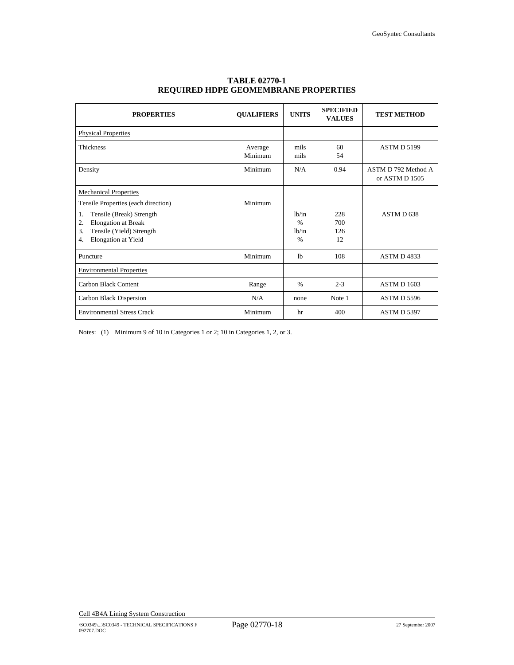| <b>PROPERTIES</b>                                                                                                                                                                                               | <b>OUALIFIERS</b>  | <b>UNITS</b>                                     | <b>SPECIFIED</b><br><b>VALUES</b> | <b>TEST METHOD</b>                    |
|-----------------------------------------------------------------------------------------------------------------------------------------------------------------------------------------------------------------|--------------------|--------------------------------------------------|-----------------------------------|---------------------------------------|
| <b>Physical Properties</b>                                                                                                                                                                                      |                    |                                                  |                                   |                                       |
| <b>Thickness</b>                                                                                                                                                                                                | Average<br>Minimum | mils<br>mils                                     | 60<br>54                          | <b>ASTM D 5199</b>                    |
| Density                                                                                                                                                                                                         | Minimum            | N/A                                              | 0.94                              | ASTM D 792 Method A<br>or ASTM D 1505 |
| <b>Mechanical Properties</b><br>Tensile Properties (each direction)<br>Tensile (Break) Strength<br>1.<br><b>Elongation</b> at Break<br>2.<br>Tensile (Yield) Strength<br>3.<br><b>Elongation</b> at Yield<br>4. | Minimum            | 1h/in<br>$\frac{0}{0}$<br>1h/in<br>$\frac{0}{0}$ | 228<br>700<br>126<br>12           | ASTM D <sub>638</sub>                 |
| Puncture                                                                                                                                                                                                        | Minimum            | 1 <sub>b</sub>                                   | 108                               | ASTM D4833                            |
| <b>Environmental Properties</b>                                                                                                                                                                                 |                    |                                                  |                                   |                                       |
| Carbon Black Content                                                                                                                                                                                            | Range              | $\frac{0}{0}$                                    | $2 - 3$                           | <b>ASTM D 1603</b>                    |
| Carbon Black Dispersion                                                                                                                                                                                         | N/A                | none                                             | Note 1                            | ASTM D 5596                           |
| <b>Environmental Stress Crack</b>                                                                                                                                                                               | Minimum            | hr                                               | 400                               | ASTM D 5397                           |

# **TABLE 02770-1 REQUIRED HDPE GEOMEMBRANE PROPERTIES**

Notes: (1) Minimum 9 of 10 in Categories 1 or 2; 10 in Categories 1, 2, or 3.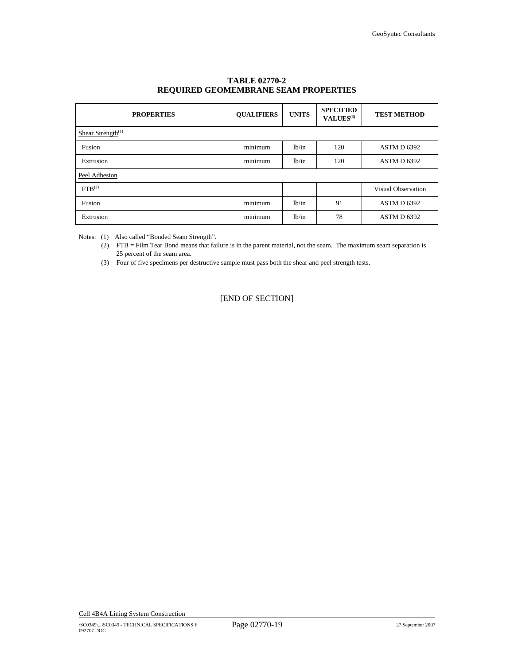| <b>PROPERTIES</b>             | <b>OUALIFIERS</b> | <b>UNITS</b> | <b>SPECIFIED</b><br>VALUES <sup>(3)</sup> | <b>TEST METHOD</b> |
|-------------------------------|-------------------|--------------|-------------------------------------------|--------------------|
| Shear Strength <sup>(1)</sup> |                   |              |                                           |                    |
| Fusion                        | minimum           | lb/in        | 120                                       | ASTM D 6392        |
| Extrusion                     | minimum           | 1b/in        | 120                                       | ASTM D 6392        |
| Peel Adhesion                 |                   |              |                                           |                    |
| FTB <sup>(2)</sup>            |                   |              |                                           | Visual Observation |
| Fusion                        | minimum           | 1b/in        | 91                                        | ASTM D 6392        |
| Extrusion                     | minimum           | 1b/in        | 78                                        | ASTM D 6392        |

# **TABLE 02770-2 REQUIRED GEOMEMBRANE SEAM PROPERTIES**

Notes: (1) Also called "Bonded Seam Strength".

(2) FTB = Film Tear Bond means that failure is in the parent material, not the seam. The maximum seam separation is 25 percent of the seam area.

(3) Four of five specimens per destructive sample must pass both the shear and peel strength tests.

[END OF SECTION]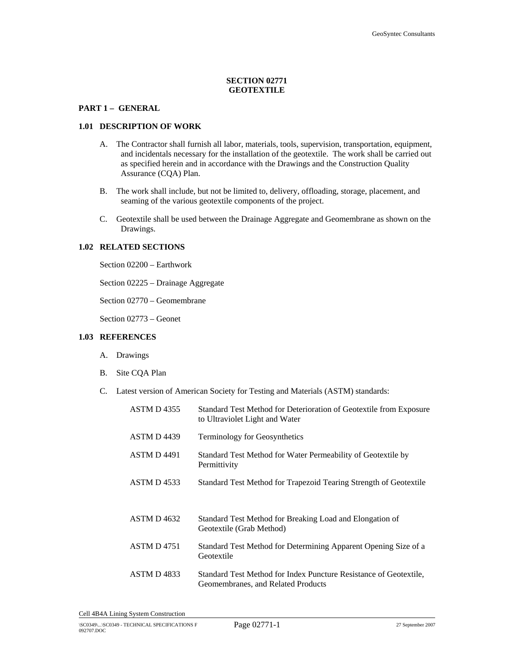# **SECTION 02771 GEOTEXTILE**

## **PART 1 – GENERAL**

#### **1.01 DESCRIPTION OF WORK**

- A. The Contractor shall furnish all labor, materials, tools, supervision, transportation, equipment, and incidentals necessary for the installation of the geotextile. The work shall be carried out as specified herein and in accordance with the Drawings and the Construction Quality Assurance (CQA) Plan.
- B. The work shall include, but not be limited to, delivery, offloading, storage, placement, and seaming of the various geotextile components of the project.
- C. Geotextile shall be used between the Drainage Aggregate and Geomembrane as shown on the Drawings.

#### **1.02 RELATED SECTIONS**

Section 02200 – Earthwork

Section 02225 – Drainage Aggregate

Section 02770 – Geomembrane

Section 02773 – Geonet

## **1.03 REFERENCES**

- A. Drawings
- B. Site CQA Plan
- C. Latest version of American Society for Testing and Materials (ASTM) standards:

| <b>ASTM D4355</b>  | Standard Test Method for Deterioration of Geotextile from Exposure<br>to Ultraviolet Light and Water    |
|--------------------|---------------------------------------------------------------------------------------------------------|
| ASTM D4439         | <b>Terminology for Geosynthetics</b>                                                                    |
| <b>ASTM D 4491</b> | Standard Test Method for Water Permeability of Geotextile by<br>Permittivity                            |
| ASTM D4533         | Standard Test Method for Trapezoid Tearing Strength of Geotextile                                       |
| ASTM D4632         | Standard Test Method for Breaking Load and Elongation of<br>Geotextile (Grab Method)                    |
| <b>ASTM D 4751</b> | Standard Test Method for Determining Apparent Opening Size of a<br>Geotextile                           |
| ASTM D4833         | Standard Test Method for Index Puncture Resistance of Geotextile.<br>Geomembranes, and Related Products |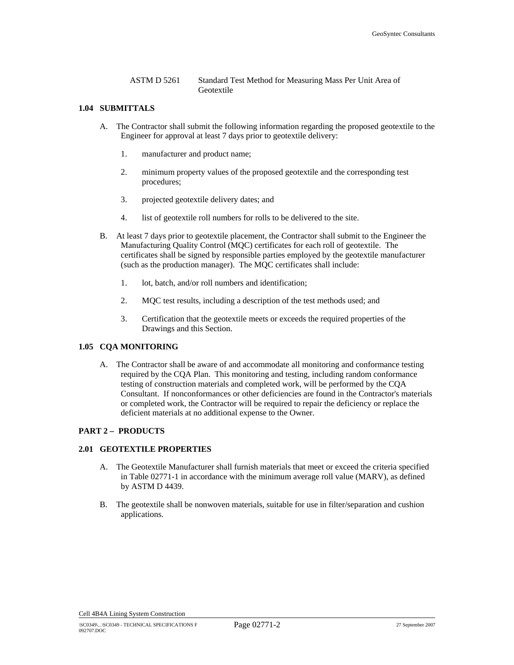ASTM D 5261 Standard Test Method for Measuring Mass Per Unit Area of Geotextile

## **1.04 SUBMITTALS**

- A. The Contractor shall submit the following information regarding the proposed geotextile to the Engineer for approval at least 7 days prior to geotextile delivery:
	- 1. manufacturer and product name;
	- 2. minimum property values of the proposed geotextile and the corresponding test procedures;
	- 3. projected geotextile delivery dates; and
	- 4. list of geotextile roll numbers for rolls to be delivered to the site.
- B. At least 7 days prior to geotextile placement, the Contractor shall submit to the Engineer the Manufacturing Quality Control (MQC) certificates for each roll of geotextile. The certificates shall be signed by responsible parties employed by the geotextile manufacturer (such as the production manager). The MQC certificates shall include:
	- 1. lot, batch, and/or roll numbers and identification;
	- 2. MQC test results, including a description of the test methods used; and
	- 3. Certification that the geotextile meets or exceeds the required properties of the Drawings and this Section.

## **1.05 CQA MONITORING**

A. The Contractor shall be aware of and accommodate all monitoring and conformance testing required by the CQA Plan. This monitoring and testing, including random conformance testing of construction materials and completed work, will be performed by the CQA Consultant. If nonconformances or other deficiencies are found in the Contractor's materials or completed work, the Contractor will be required to repair the deficiency or replace the deficient materials at no additional expense to the Owner.

#### **PART 2 – PRODUCTS**

## **2.01 GEOTEXTILE PROPERTIES**

- A. The Geotextile Manufacturer shall furnish materials that meet or exceed the criteria specified in Table 02771-1 in accordance with the minimum average roll value (MARV), as defined by ASTM D 4439.
- B. The geotextile shall be nonwoven materials, suitable for use in filter/separation and cushion applications.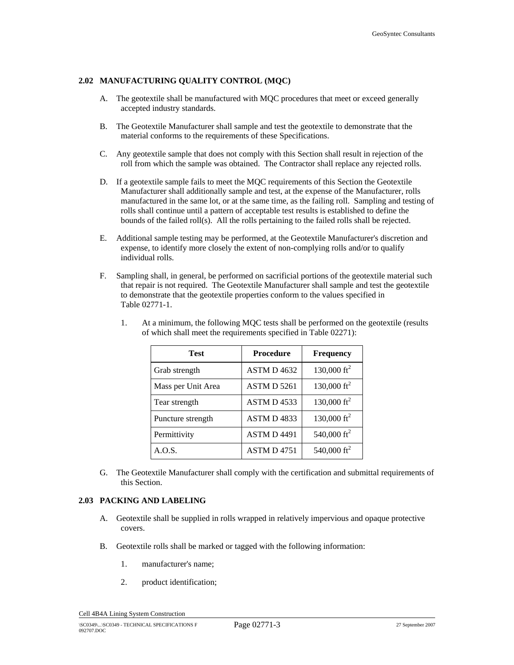# **2.02 MANUFACTURING QUALITY CONTROL (MQC)**

- A. The geotextile shall be manufactured with MQC procedures that meet or exceed generally accepted industry standards.
- B. The Geotextile Manufacturer shall sample and test the geotextile to demonstrate that the material conforms to the requirements of these Specifications.
- C. Any geotextile sample that does not comply with this Section shall result in rejection of the roll from which the sample was obtained. The Contractor shall replace any rejected rolls.
- D. If a geotextile sample fails to meet the MQC requirements of this Section the Geotextile Manufacturer shall additionally sample and test, at the expense of the Manufacturer, rolls manufactured in the same lot, or at the same time, as the failing roll. Sampling and testing of rolls shall continue until a pattern of acceptable test results is established to define the bounds of the failed roll(s). All the rolls pertaining to the failed rolls shall be rejected.
- E. Additional sample testing may be performed, at the Geotextile Manufacturer's discretion and expense, to identify more closely the extent of non-complying rolls and/or to qualify individual rolls.
- F. Sampling shall, in general, be performed on sacrificial portions of the geotextile material such that repair is not required. The Geotextile Manufacturer shall sample and test the geotextile to demonstrate that the geotextile properties conform to the values specified in Table 02771-1.

| <b>Test</b>        | <b>Procedure</b>   | <b>Frequency</b>      |  |
|--------------------|--------------------|-----------------------|--|
| Grab strength      | ASTM D 4632        | 130,000 $\text{ft}^2$ |  |
| Mass per Unit Area | <b>ASTM D 5261</b> | 130,000 $\text{ft}^2$ |  |
| Tear strength      | ASTM D 4533        | 130,000 $\text{ft}^2$ |  |
| Puncture strength  | ASTM D4833         | 130,000 $\text{ft}^2$ |  |
| Permittivity       | <b>ASTM D 4491</b> | 540,000 $ft^2$        |  |
| A.O.S.             | ASTM D 4751        | 540,000 $ft^2$        |  |

1. At a minimum, the following MQC tests shall be performed on the geotextile (results of which shall meet the requirements specified in Table 02271):

G. The Geotextile Manufacturer shall comply with the certification and submittal requirements of this Section.

## **2.03 PACKING AND LABELING**

- A. Geotextile shall be supplied in rolls wrapped in relatively impervious and opaque protective covers.
- B. Geotextile rolls shall be marked or tagged with the following information:
	- 1. manufacturer's name;
	- 2. product identification;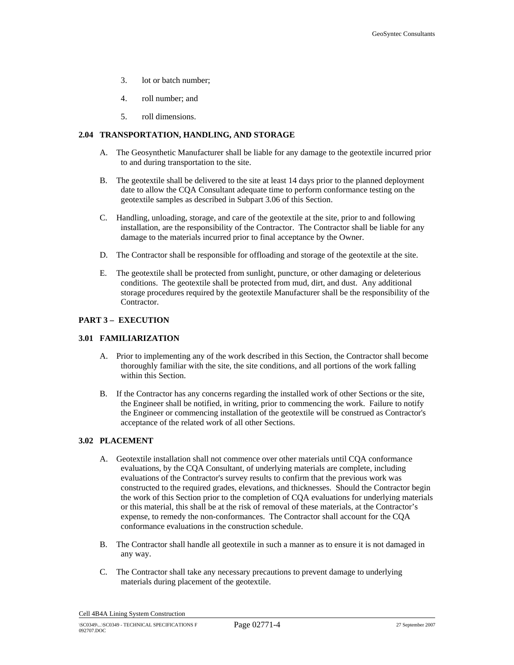- 3. lot or batch number;
- 4. roll number; and
- 5. roll dimensions.

# **2.04 TRANSPORTATION, HANDLING, AND STORAGE**

- A. The Geosynthetic Manufacturer shall be liable for any damage to the geotextile incurred prior to and during transportation to the site.
- B. The geotextile shall be delivered to the site at least 14 days prior to the planned deployment date to allow the CQA Consultant adequate time to perform conformance testing on the geotextile samples as described in Subpart 3.06 of this Section.
- C. Handling, unloading, storage, and care of the geotextile at the site, prior to and following installation, are the responsibility of the Contractor. The Contractor shall be liable for any damage to the materials incurred prior to final acceptance by the Owner.
- D. The Contractor shall be responsible for offloading and storage of the geotextile at the site.
- E. The geotextile shall be protected from sunlight, puncture, or other damaging or deleterious conditions. The geotextile shall be protected from mud, dirt, and dust. Any additional storage procedures required by the geotextile Manufacturer shall be the responsibility of the Contractor.

## **PART 3 – EXECUTION**

#### **3.01 FAMILIARIZATION**

- A. Prior to implementing any of the work described in this Section, the Contractor shall become thoroughly familiar with the site, the site conditions, and all portions of the work falling within this Section.
- B. If the Contractor has any concerns regarding the installed work of other Sections or the site, the Engineer shall be notified, in writing, prior to commencing the work. Failure to notify the Engineer or commencing installation of the geotextile will be construed as Contractor's acceptance of the related work of all other Sections.

## **3.02 PLACEMENT**

- A. Geotextile installation shall not commence over other materials until CQA conformance evaluations, by the CQA Consultant, of underlying materials are complete, including evaluations of the Contractor's survey results to confirm that the previous work was constructed to the required grades, elevations, and thicknesses. Should the Contractor begin the work of this Section prior to the completion of CQA evaluations for underlying materials or this material, this shall be at the risk of removal of these materials, at the Contractor's expense, to remedy the non-conformances. The Contractor shall account for the CQA conformance evaluations in the construction schedule.
- B. The Contractor shall handle all geotextile in such a manner as to ensure it is not damaged in any way.
- C. The Contractor shall take any necessary precautions to prevent damage to underlying materials during placement of the geotextile.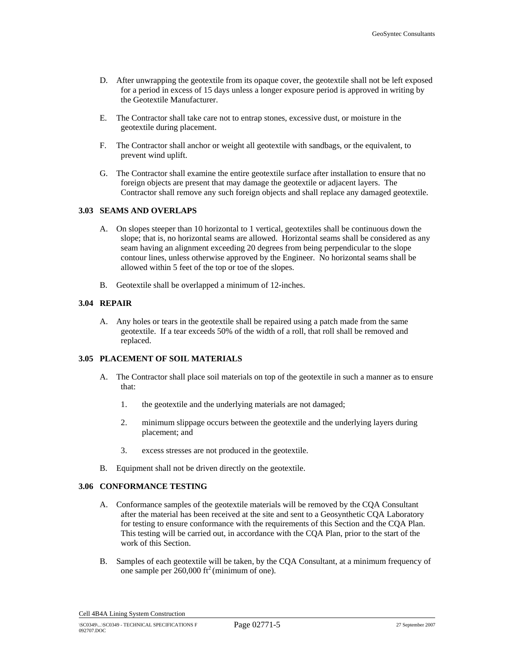- D. After unwrapping the geotextile from its opaque cover, the geotextile shall not be left exposed for a period in excess of 15 days unless a longer exposure period is approved in writing by the Geotextile Manufacturer.
- E. The Contractor shall take care not to entrap stones, excessive dust, or moisture in the geotextile during placement.
- F. The Contractor shall anchor or weight all geotextile with sandbags, or the equivalent, to prevent wind uplift.
- G. The Contractor shall examine the entire geotextile surface after installation to ensure that no foreign objects are present that may damage the geotextile or adjacent layers. The Contractor shall remove any such foreign objects and shall replace any damaged geotextile.

## **3.03 SEAMS AND OVERLAPS**

- A. On slopes steeper than 10 horizontal to 1 vertical, geotextiles shall be continuous down the slope; that is, no horizontal seams are allowed. Horizontal seams shall be considered as any seam having an alignment exceeding 20 degrees from being perpendicular to the slope contour lines, unless otherwise approved by the Engineer. No horizontal seams shall be allowed within 5 feet of the top or toe of the slopes.
- B. Geotextile shall be overlapped a minimum of 12-inches.

## **3.04 REPAIR**

A. Any holes or tears in the geotextile shall be repaired using a patch made from the same geotextile. If a tear exceeds 50% of the width of a roll, that roll shall be removed and replaced.

# **3.05 PLACEMENT OF SOIL MATERIALS**

- A. The Contractor shall place soil materials on top of the geotextile in such a manner as to ensure that:
	- 1. the geotextile and the underlying materials are not damaged;
	- 2. minimum slippage occurs between the geotextile and the underlying layers during placement; and
	- 3. excess stresses are not produced in the geotextile.
- B. Equipment shall not be driven directly on the geotextile.

# **3.06 CONFORMANCE TESTING**

- A. Conformance samples of the geotextile materials will be removed by the CQA Consultant after the material has been received at the site and sent to a Geosynthetic CQA Laboratory for testing to ensure conformance with the requirements of this Section and the CQA Plan. This testing will be carried out, in accordance with the CQA Plan, prior to the start of the work of this Section.
- B. Samples of each geotextile will be taken, by the CQA Consultant, at a minimum frequency of one sample per  $260,000$  ft<sup>2</sup> (minimum of one).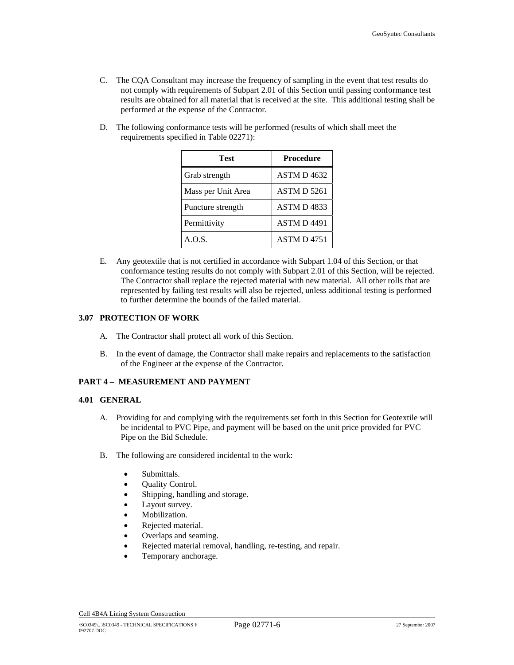- C. The CQA Consultant may increase the frequency of sampling in the event that test results do not comply with requirements of Subpart 2.01 of this Section until passing conformance test results are obtained for all material that is received at the site. This additional testing shall be performed at the expense of the Contractor.
- D. The following conformance tests will be performed (results of which shall meet the requirements specified in Table 02271):

| Test               | <b>Procedure</b>   |
|--------------------|--------------------|
| Grab strength      | ASTM D4632         |
| Mass per Unit Area | <b>ASTM D 5261</b> |
| Puncture strength  | ASTM D4833         |
| Permittivity       | <b>ASTM D 4491</b> |
| A.O.S.             | <b>ASTM D4751</b>  |

E. Any geotextile that is not certified in accordance with Subpart 1.04 of this Section, or that conformance testing results do not comply with Subpart 2.01 of this Section, will be rejected. The Contractor shall replace the rejected material with new material. All other rolls that are represented by failing test results will also be rejected, unless additional testing is performed to further determine the bounds of the failed material.

## **3.07 PROTECTION OF WORK**

- A. The Contractor shall protect all work of this Section.
- B. In the event of damage, the Contractor shall make repairs and replacements to the satisfaction of the Engineer at the expense of the Contractor.

# **PART 4 – MEASUREMENT AND PAYMENT**

#### **4.01 GENERAL**

- A. Providing for and complying with the requirements set forth in this Section for Geotextile will be incidental to PVC Pipe, and payment will be based on the unit price provided for PVC Pipe on the Bid Schedule.
- B. The following are considered incidental to the work:
	- Submittals.
	- Quality Control.
	- Shipping, handling and storage.
	- Layout survey.
	- Mobilization.
	- Rejected material.
	- Overlaps and seaming.
	- Rejected material removal, handling, re-testing, and repair.
	- Temporary anchorage.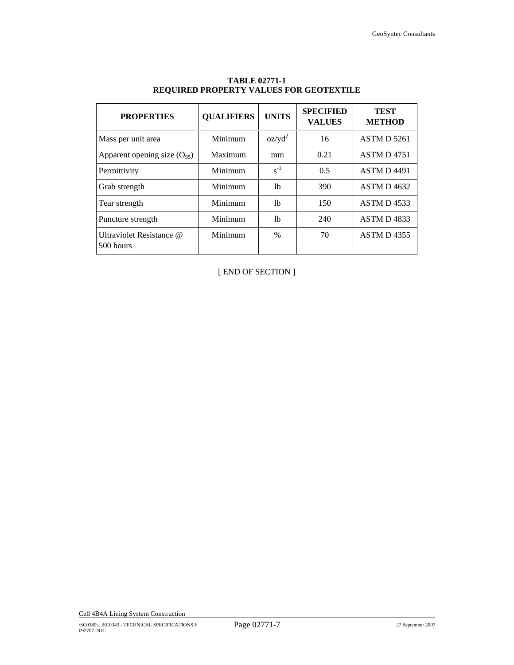| <b>PROPERTIES</b>                     | <b>QUALIFIERS</b> | <b>UNITS</b>  | <b>SPECIFIED</b><br><b>VALUES</b> | <b>TEST</b><br><b>METHOD</b> |
|---------------------------------------|-------------------|---------------|-----------------------------------|------------------------------|
| Mass per unit area                    | Minimum           | $oz/yd^2$     | 16                                | <b>ASTM D 5261</b>           |
| Apparent opening size $(O_{95})$      | Maximum           | mm            | 0.21                              | <b>ASTM D4751</b>            |
| Permittivity                          | Minimum           | $s^{-1}$      | 0.5                               | ASTM D 4491                  |
| Grab strength                         | Minimum           | 1b            | 390                               | ASTM D4632                   |
| Tear strength                         | Minimum           | lb            | 150                               | <b>ASTM D4533</b>            |
| Puncture strength                     | Minimum           | 1b            | 240                               | ASTM D4833                   |
| Ultraviolet Resistance @<br>500 hours | Minimum           | $\frac{0}{0}$ | 70                                | <b>ASTM D4355</b>            |

# **TABLE 02771-1 REQUIRED PROPERTY VALUES FOR GEOTEXTILE**

[ END OF SECTION ]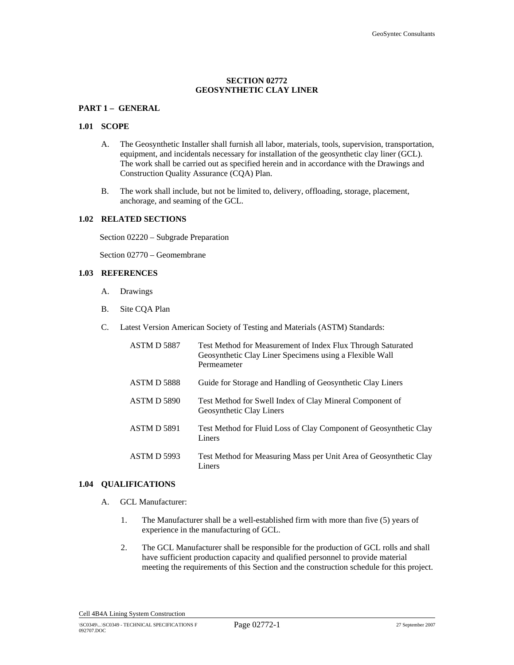# **SECTION 02772 GEOSYNTHETIC CLAY LINER**

# **PART 1 – GENERAL**

#### **1.01 SCOPE**

- A. The Geosynthetic Installer shall furnish all labor, materials, tools, supervision, transportation, equipment, and incidentals necessary for installation of the geosynthetic clay liner (GCL). The work shall be carried out as specified herein and in accordance with the Drawings and Construction Quality Assurance (CQA) Plan.
- B. The work shall include, but not be limited to, delivery, offloading, storage, placement, anchorage, and seaming of the GCL.

## **1.02 RELATED SECTIONS**

Section 02220 – Subgrade Preparation

Section 02770 – Geomembrane

## **1.03 REFERENCES**

- A. Drawings
- B. Site CQA Plan
- C. Latest Version American Society of Testing and Materials (ASTM) Standards:

| ASTM D 5887        | Test Method for Measurement of Index Flux Through Saturated<br>Geosynthetic Clay Liner Specimens using a Flexible Wall<br>Permeameter |
|--------------------|---------------------------------------------------------------------------------------------------------------------------------------|
| <b>ASTM D 5888</b> | Guide for Storage and Handling of Geosynthetic Clay Liners                                                                            |
| <b>ASTM D 5890</b> | Test Method for Swell Index of Clay Mineral Component of<br>Geosynthetic Clay Liners                                                  |
| <b>ASTM D 5891</b> | Test Method for Fluid Loss of Clay Component of Geosynthetic Clay<br>Liners                                                           |
| ASTM D 5993        | Test Method for Measuring Mass per Unit Area of Geosynthetic Clay<br>Liners                                                           |

#### **1.04 QUALIFICATIONS**

- A. GCL Manufacturer:
	- 1. The Manufacturer shall be a well-established firm with more than five (5) years of experience in the manufacturing of GCL.
	- 2. The GCL Manufacturer shall be responsible for the production of GCL rolls and shall have sufficient production capacity and qualified personnel to provide material meeting the requirements of this Section and the construction schedule for this project.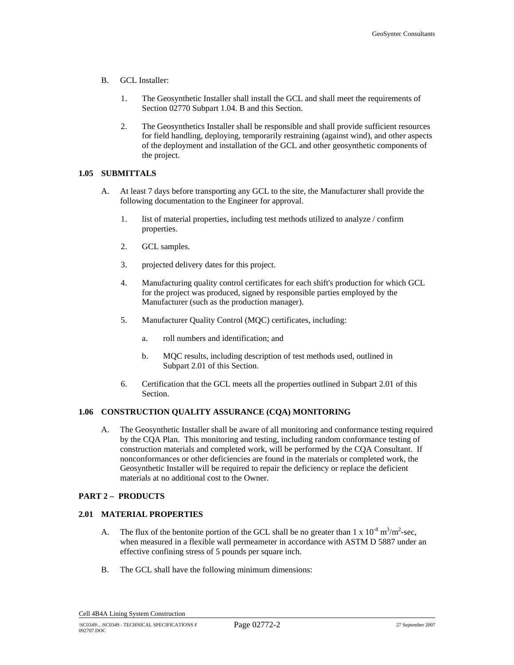- B. GCL Installer:
	- 1. The Geosynthetic Installer shall install the GCL and shall meet the requirements of Section 02770 Subpart 1.04. B and this Section.
	- 2. The Geosynthetics Installer shall be responsible and shall provide sufficient resources for field handling, deploying, temporarily restraining (against wind), and other aspects of the deployment and installation of the GCL and other geosynthetic components of the project.

#### **1.05 SUBMITTALS**

- A. At least 7 days before transporting any GCL to the site, the Manufacturer shall provide the following documentation to the Engineer for approval.
	- 1. list of material properties, including test methods utilized to analyze / confirm properties.
	- 2. GCL samples.
	- 3. projected delivery dates for this project.
	- 4. Manufacturing quality control certificates for each shift's production for which GCL for the project was produced, signed by responsible parties employed by the Manufacturer (such as the production manager).
	- 5. Manufacturer Quality Control (MQC) certificates, including:
		- a. roll numbers and identification; and
		- b. MQC results, including description of test methods used, outlined in Subpart 2.01 of this Section.
	- 6. Certification that the GCL meets all the properties outlined in Subpart 2.01 of this Section.

# **1.06 CONSTRUCTION QUALITY ASSURANCE (CQA) MONITORING**

A. The Geosynthetic Installer shall be aware of all monitoring and conformance testing required by the CQA Plan. This monitoring and testing, including random conformance testing of construction materials and completed work, will be performed by the CQA Consultant. If nonconformances or other deficiencies are found in the materials or completed work, the Geosynthetic Installer will be required to repair the deficiency or replace the deficient materials at no additional cost to the Owner.

# **PART 2 – PRODUCTS**

# **2.01 MATERIAL PROPERTIES**

- A. The flux of the bentonite portion of the GCL shall be no greater than  $1 \times 10^{-8}$  m<sup>3</sup>/m<sup>2</sup>-sec, when measured in a flexible wall permeameter in accordance with ASTM D 5887 under an effective confining stress of 5 pounds per square inch.
- B. The GCL shall have the following minimum dimensions: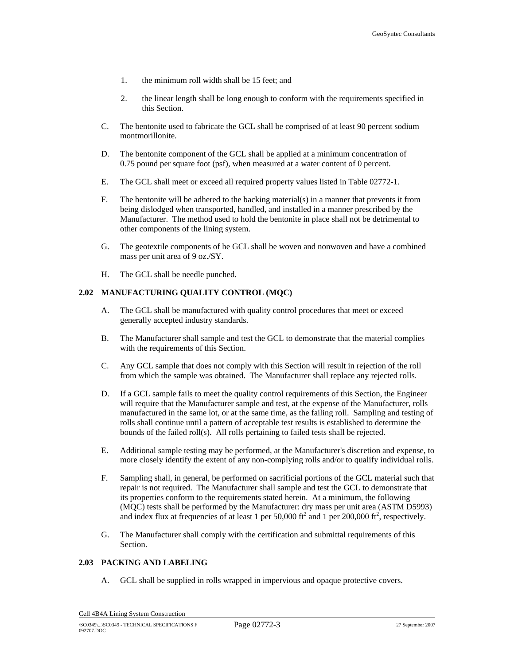- 1. the minimum roll width shall be 15 feet; and
- 2. the linear length shall be long enough to conform with the requirements specified in this Section.
- C. The bentonite used to fabricate the GCL shall be comprised of at least 90 percent sodium montmorillonite.
- D. The bentonite component of the GCL shall be applied at a minimum concentration of 0.75 pound per square foot (psf), when measured at a water content of 0 percent.
- E. The GCL shall meet or exceed all required property values listed in Table 02772-1.
- F. The bentonite will be adhered to the backing material(s) in a manner that prevents it from being dislodged when transported, handled, and installed in a manner prescribed by the Manufacturer. The method used to hold the bentonite in place shall not be detrimental to other components of the lining system.
- G. The geotextile components of he GCL shall be woven and nonwoven and have a combined mass per unit area of 9 oz./SY.
- H. The GCL shall be needle punched.

#### **2.02 MANUFACTURING QUALITY CONTROL (MQC)**

- A. The GCL shall be manufactured with quality control procedures that meet or exceed generally accepted industry standards.
- B. The Manufacturer shall sample and test the GCL to demonstrate that the material complies with the requirements of this Section.
- C. Any GCL sample that does not comply with this Section will result in rejection of the roll from which the sample was obtained. The Manufacturer shall replace any rejected rolls.
- D. If a GCL sample fails to meet the quality control requirements of this Section, the Engineer will require that the Manufacturer sample and test, at the expense of the Manufacturer, rolls manufactured in the same lot, or at the same time, as the failing roll. Sampling and testing of rolls shall continue until a pattern of acceptable test results is established to determine the bounds of the failed roll(s). All rolls pertaining to failed tests shall be rejected.
- E. Additional sample testing may be performed, at the Manufacturer's discretion and expense, to more closely identify the extent of any non-complying rolls and/or to qualify individual rolls.
- F. Sampling shall, in general, be performed on sacrificial portions of the GCL material such that repair is not required. The Manufacturer shall sample and test the GCL to demonstrate that its properties conform to the requirements stated herein. At a minimum, the following (MQC) tests shall be performed by the Manufacturer: dry mass per unit area (ASTM D5993) and index flux at frequencies of at least 1 per 50,000 ft<sup>2</sup> and 1 per 200,000 ft<sup>2</sup>, respectively.
- G. The Manufacturer shall comply with the certification and submittal requirements of this Section.

# **2.03 PACKING AND LABELING**

A. GCL shall be supplied in rolls wrapped in impervious and opaque protective covers.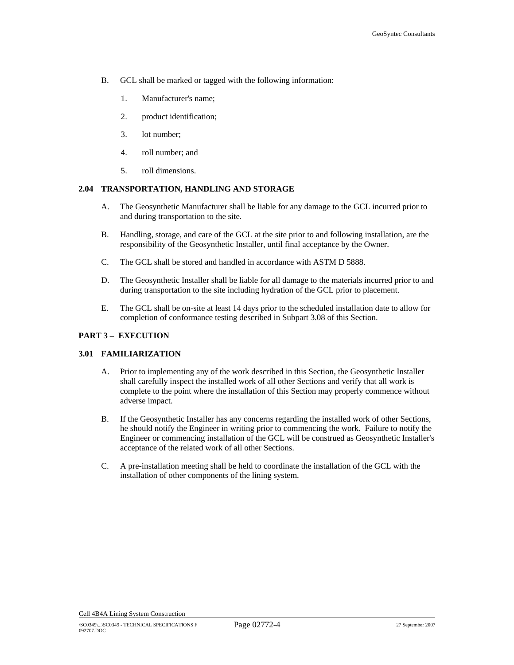- B. GCL shall be marked or tagged with the following information:
	- 1. Manufacturer's name;
	- 2. product identification;
	- 3. lot number;
	- 4. roll number; and
	- 5. roll dimensions.

## **2.04 TRANSPORTATION, HANDLING AND STORAGE**

- A. The Geosynthetic Manufacturer shall be liable for any damage to the GCL incurred prior to and during transportation to the site.
- B. Handling, storage, and care of the GCL at the site prior to and following installation, are the responsibility of the Geosynthetic Installer, until final acceptance by the Owner.
- C. The GCL shall be stored and handled in accordance with ASTM D 5888.
- D. The Geosynthetic Installer shall be liable for all damage to the materials incurred prior to and during transportation to the site including hydration of the GCL prior to placement.
- E. The GCL shall be on-site at least 14 days prior to the scheduled installation date to allow for completion of conformance testing described in Subpart 3.08 of this Section.

#### **PART 3 – EXECUTION**

## **3.01 FAMILIARIZATION**

- A. Prior to implementing any of the work described in this Section, the Geosynthetic Installer shall carefully inspect the installed work of all other Sections and verify that all work is complete to the point where the installation of this Section may properly commence without adverse impact.
- B. If the Geosynthetic Installer has any concerns regarding the installed work of other Sections, he should notify the Engineer in writing prior to commencing the work. Failure to notify the Engineer or commencing installation of the GCL will be construed as Geosynthetic Installer's acceptance of the related work of all other Sections.
- C. A pre-installation meeting shall be held to coordinate the installation of the GCL with the installation of other components of the lining system.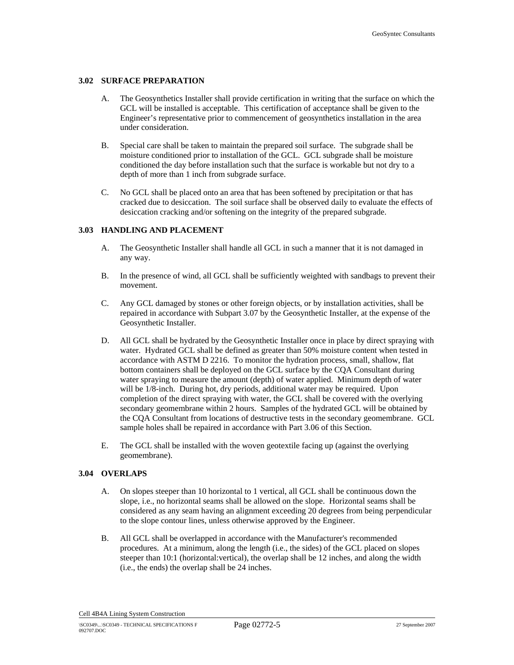## **3.02 SURFACE PREPARATION**

- A. The Geosynthetics Installer shall provide certification in writing that the surface on which the GCL will be installed is acceptable. This certification of acceptance shall be given to the Engineer's representative prior to commencement of geosynthetics installation in the area under consideration.
- B. Special care shall be taken to maintain the prepared soil surface. The subgrade shall be moisture conditioned prior to installation of the GCL. GCL subgrade shall be moisture conditioned the day before installation such that the surface is workable but not dry to a depth of more than 1 inch from subgrade surface.
- C. No GCL shall be placed onto an area that has been softened by precipitation or that has cracked due to desiccation. The soil surface shall be observed daily to evaluate the effects of desiccation cracking and/or softening on the integrity of the prepared subgrade.

#### **3.03 HANDLING AND PLACEMENT**

- A. The Geosynthetic Installer shall handle all GCL in such a manner that it is not damaged in any way.
- B. In the presence of wind, all GCL shall be sufficiently weighted with sandbags to prevent their movement.
- C. Any GCL damaged by stones or other foreign objects, or by installation activities, shall be repaired in accordance with Subpart 3.07 by the Geosynthetic Installer, at the expense of the Geosynthetic Installer.
- D. All GCL shall be hydrated by the Geosynthetic Installer once in place by direct spraying with water. Hydrated GCL shall be defined as greater than 50% moisture content when tested in accordance with ASTM D 2216. To monitor the hydration process, small, shallow, flat bottom containers shall be deployed on the GCL surface by the CQA Consultant during water spraying to measure the amount (depth) of water applied. Minimum depth of water will be  $1/8$ -inch. During hot, dry periods, additional water may be required. Upon completion of the direct spraying with water, the GCL shall be covered with the overlying secondary geomembrane within 2 hours. Samples of the hydrated GCL will be obtained by the CQA Consultant from locations of destructive tests in the secondary geomembrane. GCL sample holes shall be repaired in accordance with Part 3.06 of this Section.
- E. The GCL shall be installed with the woven geotextile facing up (against the overlying geomembrane).

#### **3.04 OVERLAPS**

- A. On slopes steeper than 10 horizontal to 1 vertical, all GCL shall be continuous down the slope, i.e., no horizontal seams shall be allowed on the slope. Horizontal seams shall be considered as any seam having an alignment exceeding 20 degrees from being perpendicular to the slope contour lines, unless otherwise approved by the Engineer.
- B. All GCL shall be overlapped in accordance with the Manufacturer's recommended procedures. At a minimum, along the length (i.e., the sides) of the GCL placed on slopes steeper than 10:1 (horizontal:vertical), the overlap shall be 12 inches, and along the width (i.e., the ends) the overlap shall be 24 inches.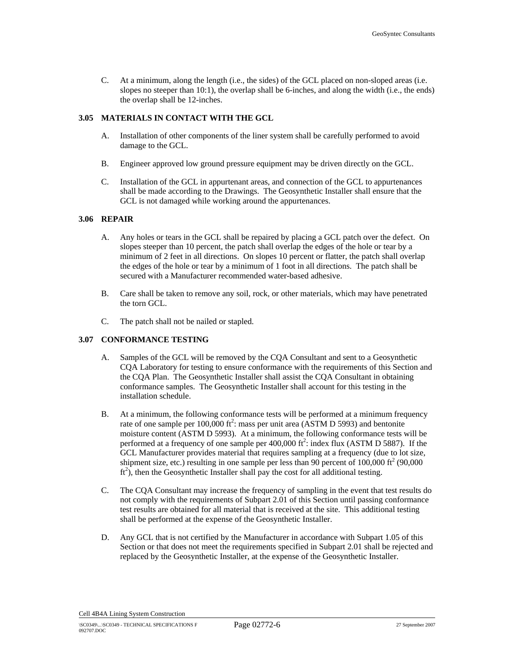C. At a minimum, along the length (i.e., the sides) of the GCL placed on non-sloped areas (i.e. slopes no steeper than 10:1), the overlap shall be 6-inches, and along the width (i.e., the ends) the overlap shall be 12-inches.

# **3.05 MATERIALS IN CONTACT WITH THE GCL**

- A. Installation of other components of the liner system shall be carefully performed to avoid damage to the GCL.
- B. Engineer approved low ground pressure equipment may be driven directly on the GCL.
- C. Installation of the GCL in appurtenant areas, and connection of the GCL to appurtenances shall be made according to the Drawings. The Geosynthetic Installer shall ensure that the GCL is not damaged while working around the appurtenances.

## **3.06 REPAIR**

- A. Any holes or tears in the GCL shall be repaired by placing a GCL patch over the defect. On slopes steeper than 10 percent, the patch shall overlap the edges of the hole or tear by a minimum of 2 feet in all directions. On slopes 10 percent or flatter, the patch shall overlap the edges of the hole or tear by a minimum of 1 foot in all directions. The patch shall be secured with a Manufacturer recommended water-based adhesive.
- B. Care shall be taken to remove any soil, rock, or other materials, which may have penetrated the torn GCL.
- C. The patch shall not be nailed or stapled.

# **3.07 CONFORMANCE TESTING**

- A. Samples of the GCL will be removed by the CQA Consultant and sent to a Geosynthetic CQA Laboratory for testing to ensure conformance with the requirements of this Section and the CQA Plan. The Geosynthetic Installer shall assist the CQA Consultant in obtaining conformance samples. The Geosynthetic Installer shall account for this testing in the installation schedule.
- B. At a minimum, the following conformance tests will be performed at a minimum frequency rate of one sample per  $100,000$  ft<sup>2</sup>: mass per unit area (ASTM D 5993) and bentonite moisture content (ASTM D 5993). At a minimum, the following conformance tests will be performed at a frequency of one sample per  $400,000$  ft<sup>2</sup>: index flux (ASTM D 5887). If the GCL Manufacturer provides material that requires sampling at a frequency (due to lot size, shipment size, etc.) resulting in one sample per less than 90 percent of  $100,000$  ft<sup>2</sup> (90,000)  $ft<sup>2</sup>$ , then the Geosynthetic Installer shall pay the cost for all additional testing.
- C. The CQA Consultant may increase the frequency of sampling in the event that test results do not comply with the requirements of Subpart 2.01 of this Section until passing conformance test results are obtained for all material that is received at the site. This additional testing shall be performed at the expense of the Geosynthetic Installer.
- D. Any GCL that is not certified by the Manufacturer in accordance with Subpart 1.05 of this Section or that does not meet the requirements specified in Subpart 2.01 shall be rejected and replaced by the Geosynthetic Installer, at the expense of the Geosynthetic Installer.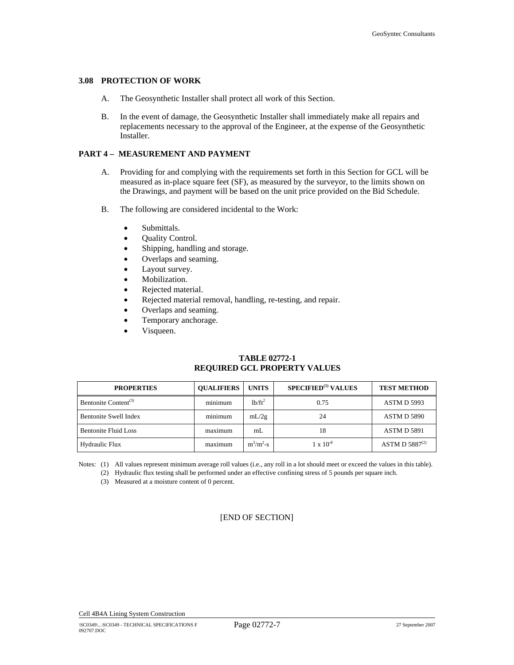#### **3.08 PROTECTION OF WORK**

- A. The Geosynthetic Installer shall protect all work of this Section.
- B. In the event of damage, the Geosynthetic Installer shall immediately make all repairs and replacements necessary to the approval of the Engineer, at the expense of the Geosynthetic Installer.

# **PART 4 – MEASUREMENT AND PAYMENT**

- A. Providing for and complying with the requirements set forth in this Section for GCL will be measured as in-place square feet (SF), as measured by the surveyor, to the limits shown on the Drawings, and payment will be based on the unit price provided on the Bid Schedule.
- B. The following are considered incidental to the Work:
	- Submittals.
	- Quality Control.
	- Shipping, handling and storage.
	- Overlaps and seaming.
	- Layout survey.
	- Mobilization.
	- Rejected material.
	- Rejected material removal, handling, re-testing, and repair.
	- Overlaps and seaming.
	- Temporary anchorage.
	- Visqueen.

# **TABLE 02772-1 REQUIRED GCL PROPERTY VALUES**

| <b>PROPERTIES</b>                | <b>OUALIFIERS</b> | <b>UNITS</b>                    | <b>SPECIFIED</b> <sup>(1)</sup> VALUES | <b>TEST METHOD</b>  |
|----------------------------------|-------------------|---------------------------------|----------------------------------------|---------------------|
| Bentonite Content <sup>(3)</sup> | minimum           | 1 <sup>b</sup> /ft <sup>2</sup> | 0.75                                   | <b>ASTM D 5993</b>  |
| <b>Bentonite Swell Index</b>     | minimum           | mL/2g                           | 24                                     | <b>ASTM D 5890</b>  |
| <b>Bentonite Fluid Loss</b>      | maximum           | mL                              | 18                                     | <b>ASTM D 5891</b>  |
| Hydraulic Flux                   | maximum           | $m^3/m^2-s$                     | $1 \times 10^{-8}$                     | ASTM D $5887^{(2)}$ |

Notes: (1) All values represent minimum average roll values (i.e., any roll in a lot should meet or exceed the values in this table).

(2) Hydraulic flux testing shall be performed under an effective confining stress of 5 pounds per square inch.

(3) Measured at a moisture content of 0 percent.

# [END OF SECTION]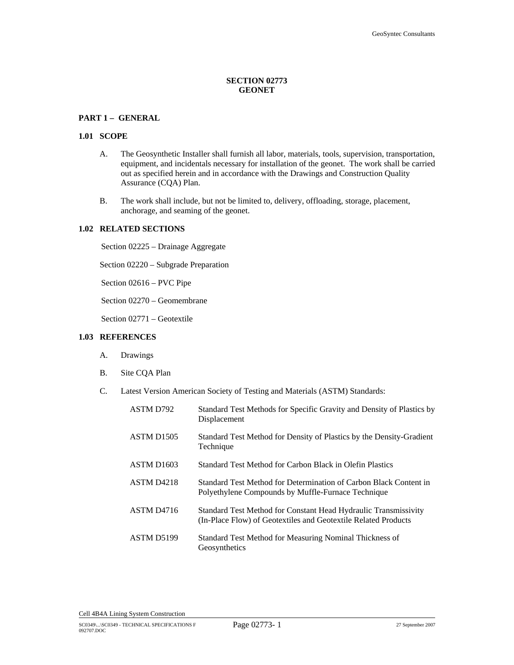# **SECTION 02773 GEONET**

# **PART 1 – GENERAL**

#### **1.01 SCOPE**

- A. The Geosynthetic Installer shall furnish all labor, materials, tools, supervision, transportation, equipment, and incidentals necessary for installation of the geonet. The work shall be carried out as specified herein and in accordance with the Drawings and Construction Quality Assurance (CQA) Plan.
- B. The work shall include, but not be limited to, delivery, offloading, storage, placement, anchorage, and seaming of the geonet.

#### **1.02 RELATED SECTIONS**

Section 02225 – Drainage Aggregate

Section 02220 – Subgrade Preparation

Section 02616 – PVC Pipe

Section 02270 – Geomembrane

Section 02771 – Geotextile

# **1.03 REFERENCES**

- A. Drawings
- B. Site CQA Plan
- C. Latest Version American Society of Testing and Materials (ASTM) Standards:

| ASTM D792              | Standard Test Methods for Specific Gravity and Density of Plastics by<br>Displacement                                             |
|------------------------|-----------------------------------------------------------------------------------------------------------------------------------|
| ASTM D <sub>1505</sub> | Standard Test Method for Density of Plastics by the Density-Gradient<br>Technique                                                 |
| ASTM D <sub>1603</sub> | Standard Test Method for Carbon Black in Olefin Plastics                                                                          |
| ASTM D <sub>4218</sub> | Standard Test Method for Determination of Carbon Black Content in<br>Polyethylene Compounds by Muffle-Furnace Technique           |
| ASTM D <sub>4716</sub> | Standard Test Method for Constant Head Hydraulic Transmissivity<br>(In-Place Flow) of Geotextiles and Geotextile Related Products |
| ASTM D5199             | Standard Test Method for Measuring Nominal Thickness of<br>Geosynthetics                                                          |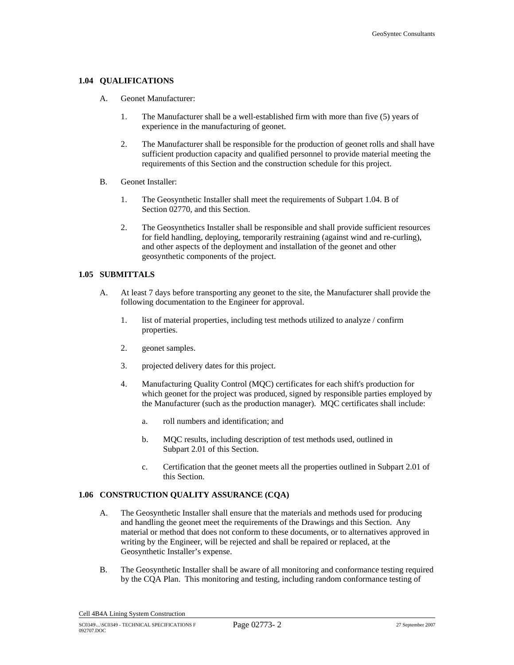## **1.04 QUALIFICATIONS**

- A. Geonet Manufacturer:
	- 1. The Manufacturer shall be a well-established firm with more than five (5) years of experience in the manufacturing of geonet.
	- 2. The Manufacturer shall be responsible for the production of geonet rolls and shall have sufficient production capacity and qualified personnel to provide material meeting the requirements of this Section and the construction schedule for this project.
- B. Geonet Installer:
	- 1. The Geosynthetic Installer shall meet the requirements of Subpart 1.04. B of Section 02770, and this Section.
	- 2. The Geosynthetics Installer shall be responsible and shall provide sufficient resources for field handling, deploying, temporarily restraining (against wind and re-curling), and other aspects of the deployment and installation of the geonet and other geosynthetic components of the project.

## **1.05 SUBMITTALS**

- A. At least 7 days before transporting any geonet to the site, the Manufacturer shall provide the following documentation to the Engineer for approval.
	- 1. list of material properties, including test methods utilized to analyze / confirm properties.
	- 2. geonet samples.
	- 3. projected delivery dates for this project.
	- 4. Manufacturing Quality Control (MQC) certificates for each shift's production for which geonet for the project was produced, signed by responsible parties employed by the Manufacturer (such as the production manager). MQC certificates shall include:
		- a. roll numbers and identification; and
		- b. MQC results, including description of test methods used, outlined in Subpart 2.01 of this Section.
		- c. Certification that the geonet meets all the properties outlined in Subpart 2.01 of this Section.

# **1.06 CONSTRUCTION QUALITY ASSURANCE (CQA)**

- A. The Geosynthetic Installer shall ensure that the materials and methods used for producing and handling the geonet meet the requirements of the Drawings and this Section. Any material or method that does not conform to these documents, or to alternatives approved in writing by the Engineer, will be rejected and shall be repaired or replaced, at the Geosynthetic Installer's expense.
- B. The Geosynthetic Installer shall be aware of all monitoring and conformance testing required by the CQA Plan. This monitoring and testing, including random conformance testing of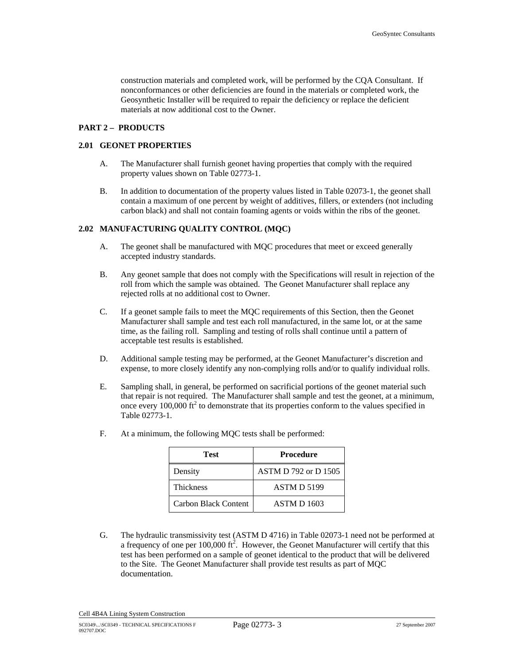construction materials and completed work, will be performed by the CQA Consultant. If nonconformances or other deficiencies are found in the materials or completed work, the Geosynthetic Installer will be required to repair the deficiency or replace the deficient materials at now additional cost to the Owner.

# **PART 2 – PRODUCTS**

# **2.01 GEONET PROPERTIES**

- A. The Manufacturer shall furnish geonet having properties that comply with the required property values shown on Table 02773-1.
- B. In addition to documentation of the property values listed in Table 02073-1, the geonet shall contain a maximum of one percent by weight of additives, fillers, or extenders (not including carbon black) and shall not contain foaming agents or voids within the ribs of the geonet.

# **2.02 MANUFACTURING QUALITY CONTROL (MQC)**

- A. The geonet shall be manufactured with MQC procedures that meet or exceed generally accepted industry standards.
- B. Any geonet sample that does not comply with the Specifications will result in rejection of the roll from which the sample was obtained. The Geonet Manufacturer shall replace any rejected rolls at no additional cost to Owner.
- C. If a geonet sample fails to meet the MQC requirements of this Section, then the Geonet Manufacturer shall sample and test each roll manufactured, in the same lot, or at the same time, as the failing roll. Sampling and testing of rolls shall continue until a pattern of acceptable test results is established.
- D. Additional sample testing may be performed, at the Geonet Manufacturer's discretion and expense, to more closely identify any non-complying rolls and/or to qualify individual rolls.
- E. Sampling shall, in general, be performed on sacrificial portions of the geonet material such that repair is not required. The Manufacturer shall sample and test the geonet, at a minimum, once every  $100,000$  ft<sup>2</sup> to demonstrate that its properties conform to the values specified in Table 02773-1.

| Test                 | <b>Procedure</b>            |
|----------------------|-----------------------------|
| Density              | <b>ASTM D 792 or D 1505</b> |
| <b>Thickness</b>     | <b>ASTM D 5199</b>          |
| Carbon Black Content | <b>ASTM D 1603</b>          |

F. At a minimum, the following MQC tests shall be performed:

G. The hydraulic transmissivity test (ASTM D 4716) in Table 02073-1 need not be performed at a frequency of one per 100,000 ft<sup>2</sup>. However, the Geonet Manufacturer will certify that this test has been performed on a sample of geonet identical to the product that will be delivered to the Site. The Geonet Manufacturer shall provide test results as part of MQC documentation.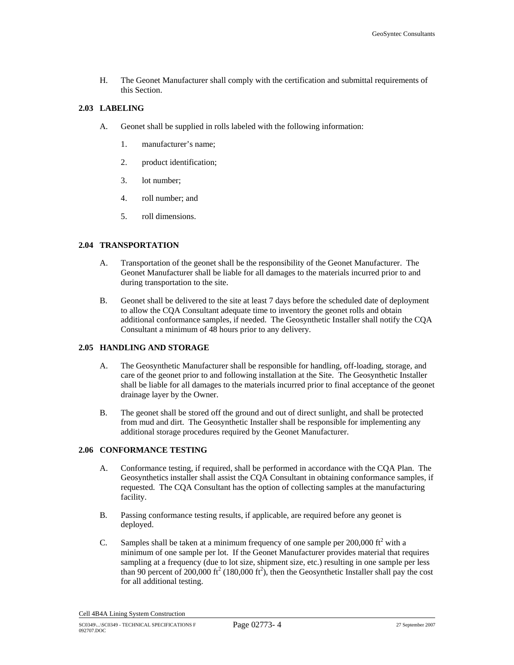H. The Geonet Manufacturer shall comply with the certification and submittal requirements of this Section.

#### **2.03 LABELING**

- A. Geonet shall be supplied in rolls labeled with the following information:
	- 1. manufacturer's name;
	- 2. product identification;
	- 3. lot number;
	- 4. roll number; and
	- 5. roll dimensions.

# **2.04 TRANSPORTATION**

- A. Transportation of the geonet shall be the responsibility of the Geonet Manufacturer. The Geonet Manufacturer shall be liable for all damages to the materials incurred prior to and during transportation to the site.
- B. Geonet shall be delivered to the site at least 7 days before the scheduled date of deployment to allow the CQA Consultant adequate time to inventory the geonet rolls and obtain additional conformance samples, if needed. The Geosynthetic Installer shall notify the CQA Consultant a minimum of 48 hours prior to any delivery.

# **2.05 HANDLING AND STORAGE**

- A. The Geosynthetic Manufacturer shall be responsible for handling, off-loading, storage, and care of the geonet prior to and following installation at the Site. The Geosynthetic Installer shall be liable for all damages to the materials incurred prior to final acceptance of the geonet drainage layer by the Owner.
- B. The geonet shall be stored off the ground and out of direct sunlight, and shall be protected from mud and dirt. The Geosynthetic Installer shall be responsible for implementing any additional storage procedures required by the Geonet Manufacturer.

#### **2.06 CONFORMANCE TESTING**

- A. Conformance testing, if required, shall be performed in accordance with the CQA Plan. The Geosynthetics installer shall assist the CQA Consultant in obtaining conformance samples, if requested. The CQA Consultant has the option of collecting samples at the manufacturing facility.
- B. Passing conformance testing results, if applicable, are required before any geonet is deployed.
- C. Samples shall be taken at a minimum frequency of one sample per  $200,000$  ft<sup>2</sup> with a minimum of one sample per lot. If the Geonet Manufacturer provides material that requires sampling at a frequency (due to lot size, shipment size, etc.) resulting in one sample per less than 90 percent of 200,000 ft<sup>2</sup> (180,000 ft<sup>2</sup>), then the Geosynthetic Installer shall pay the cost for all additional testing.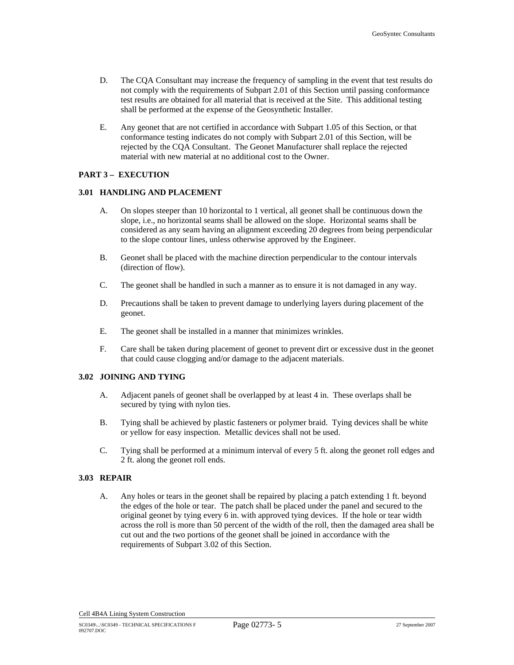- D. The CQA Consultant may increase the frequency of sampling in the event that test results do not comply with the requirements of Subpart 2.01 of this Section until passing conformance test results are obtained for all material that is received at the Site. This additional testing shall be performed at the expense of the Geosynthetic Installer.
- E. Any geonet that are not certified in accordance with Subpart 1.05 of this Section, or that conformance testing indicates do not comply with Subpart 2.01 of this Section, will be rejected by the CQA Consultant. The Geonet Manufacturer shall replace the rejected material with new material at no additional cost to the Owner.

# **PART 3 – EXECUTION**

#### **3.01 HANDLING AND PLACEMENT**

- A. On slopes steeper than 10 horizontal to 1 vertical, all geonet shall be continuous down the slope, i.e., no horizontal seams shall be allowed on the slope. Horizontal seams shall be considered as any seam having an alignment exceeding 20 degrees from being perpendicular to the slope contour lines, unless otherwise approved by the Engineer.
- B. Geonet shall be placed with the machine direction perpendicular to the contour intervals (direction of flow).
- C. The geonet shall be handled in such a manner as to ensure it is not damaged in any way.
- D. Precautions shall be taken to prevent damage to underlying layers during placement of the geonet.
- E. The geonet shall be installed in a manner that minimizes wrinkles.
- F. Care shall be taken during placement of geonet to prevent dirt or excessive dust in the geonet that could cause clogging and/or damage to the adjacent materials.

#### **3.02 JOINING AND TYING**

- A. Adjacent panels of geonet shall be overlapped by at least 4 in. These overlaps shall be secured by tying with nylon ties.
- B. Tying shall be achieved by plastic fasteners or polymer braid. Tying devices shall be white or yellow for easy inspection. Metallic devices shall not be used.
- C. Tying shall be performed at a minimum interval of every 5 ft. along the geonet roll edges and 2 ft. along the geonet roll ends.

# **3.03 REPAIR**

A. Any holes or tears in the geonet shall be repaired by placing a patch extending 1 ft. beyond the edges of the hole or tear. The patch shall be placed under the panel and secured to the original geonet by tying every 6 in. with approved tying devices. If the hole or tear width across the roll is more than 50 percent of the width of the roll, then the damaged area shall be cut out and the two portions of the geonet shall be joined in accordance with the requirements of Subpart 3.02 of this Section.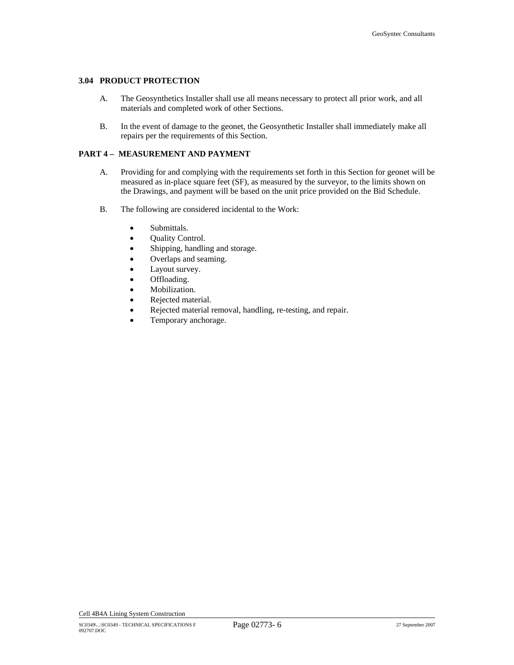#### **3.04 PRODUCT PROTECTION**

- A. The Geosynthetics Installer shall use all means necessary to protect all prior work, and all materials and completed work of other Sections.
- B. In the event of damage to the geonet, the Geosynthetic Installer shall immediately make all repairs per the requirements of this Section.

# **PART 4 – MEASUREMENT AND PAYMENT**

- A. Providing for and complying with the requirements set forth in this Section for geonet will be measured as in-place square feet (SF), as measured by the surveyor, to the limits shown on the Drawings, and payment will be based on the unit price provided on the Bid Schedule.
- B. The following are considered incidental to the Work:
	- Submittals.
	- Quality Control.
	- Shipping, handling and storage.
	- Overlaps and seaming.
	- Layout survey.
	- Offloading.
	- Mobilization.
	- Rejected material.
	- Rejected material removal, handling, re-testing, and repair.
	- Temporary anchorage.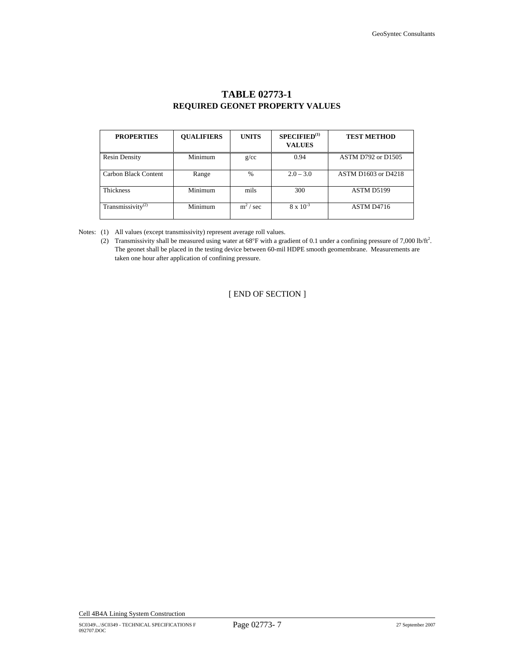| <b>PROPERTIES</b>             | <b>OUALIFIERS</b> | <b>UNITS</b>  | SPECTFIED <sup>(1)</sup><br><b>VALUES</b> | <b>TEST METHOD</b>        |
|-------------------------------|-------------------|---------------|-------------------------------------------|---------------------------|
| <b>Resin Density</b>          | Minimum           | g/cc          | 0.94                                      | <b>ASTM D792 or D1505</b> |
| Carbon Black Content          | Range             | $\frac{0}{0}$ | $2.0 - 3.0$                               | ASTM D1603 or D4218       |
| <b>Thickness</b>              | Minimum           | mils          | 300                                       | ASTM D5199                |
| Transmissivity <sup>(2)</sup> | Minimum           | $m^2$ / sec   | $8 \times 10^{-3}$                        | ASTM D4716                |

# **TABLE 02773-1 REQUIRED GEONET PROPERTY VALUES**

Notes: (1) All values (except transmissivity) represent average roll values.

(2) Transmissivity shall be measured using water at 68°F with a gradient of 0.1 under a confining pressure of 7,000 lb/ft<sup>2</sup>. The geonet shall be placed in the testing device between 60-mil HDPE smooth geomembrane. Measurements are taken one hour after application of confining pressure.

[ END OF SECTION ]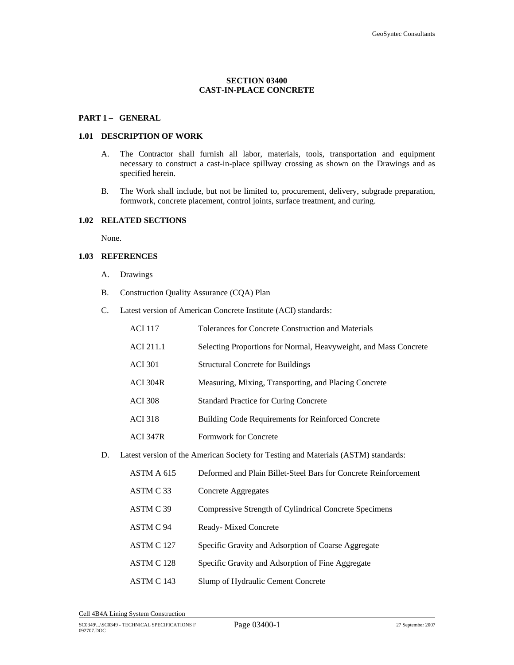# **SECTION 03400 CAST-IN-PLACE CONCRETE**

## PART 1- GENERAL

## **1.01 DESCRIPTION OF WORK**

- A. The Contractor shall furnish all labor, materials, tools, transportation and equipment necessary to construct a cast-in-place spillway crossing as shown on the Drawings and as specified herein.
- B. The Work shall include, but not be limited to, procurement, delivery, subgrade preparation, formwork, concrete placement, control joints, surface treatment, and curing.

# **1.02 RELATED SECTIONS**

None.

#### **1.03 REFERENCES**

- A. Drawings
- B. Construction Quality Assurance (CQA) Plan
- C. Latest version of American Concrete Institute (ACI) standards:

| <b>ACI 117</b>  | Tolerances for Concrete Construction and Materials               |
|-----------------|------------------------------------------------------------------|
| ACI 211.1       | Selecting Proportions for Normal, Heavyweight, and Mass Concrete |
| <b>ACI</b> 301  | <b>Structural Concrete for Buildings</b>                         |
| <b>ACI 304R</b> | Measuring, Mixing, Transporting, and Placing Concrete            |
| <b>ACI</b> 308  | <b>Standard Practice for Curing Concrete</b>                     |
| <b>ACI</b> 318  | <b>Building Code Requirements for Reinforced Concrete</b>        |
| <b>ACI 347R</b> | Formwork for Concrete                                            |
|                 |                                                                  |

D. Latest version of the American Society for Testing and Materials (ASTM) standards:

| ASTM A 615 | Deformed and Plain Billet-Steel Bars for Concrete Reinforcement |
|------------|-----------------------------------------------------------------|
| ASTM C33   | Concrete Aggregates                                             |
| ASTM C 39  | Compressive Strength of Cylindrical Concrete Specimens          |
| ASTM C 94  | Ready-Mixed Concrete                                            |
| ASTM C 127 | Specific Gravity and Adsorption of Coarse Aggregate             |
| ASTM C 128 | Specific Gravity and Adsorption of Fine Aggregate               |
| ASTM C 143 | Slump of Hydraulic Cement Concrete                              |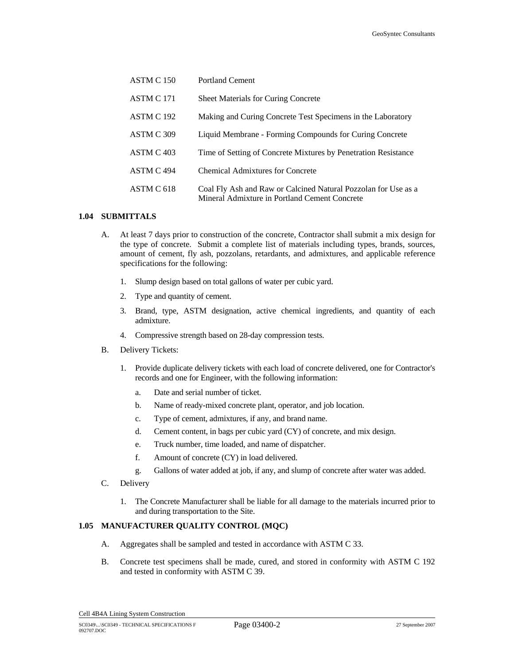| ASTM C 150 | <b>Portland Cement</b>                                                                                          |
|------------|-----------------------------------------------------------------------------------------------------------------|
| ASTM C 171 | <b>Sheet Materials for Curing Concrete</b>                                                                      |
| ASTM C 192 | Making and Curing Concrete Test Specimens in the Laboratory                                                     |
| ASTM C 309 | Liquid Membrane - Forming Compounds for Curing Concrete                                                         |
| ASTM C 403 | Time of Setting of Concrete Mixtures by Penetration Resistance                                                  |
| ASTM C 494 | Chemical Admixtures for Concrete                                                                                |
| ASTM C 618 | Coal Fly Ash and Raw or Calcined Natural Pozzolan for Use as a<br>Mineral Admixture in Portland Cement Concrete |

## **1.04 SUBMITTALS**

- A. At least 7 days prior to construction of the concrete, Contractor shall submit a mix design for the type of concrete. Submit a complete list of materials including types, brands, sources, amount of cement, fly ash, pozzolans, retardants, and admixtures, and applicable reference specifications for the following:
	- 1. Slump design based on total gallons of water per cubic yard.
	- 2. Type and quantity of cement.
	- 3. Brand, type, ASTM designation, active chemical ingredients, and quantity of each admixture.
	- 4. Compressive strength based on 28-day compression tests.
- B. Delivery Tickets:
	- 1. Provide duplicate delivery tickets with each load of concrete delivered, one for Contractor's records and one for Engineer, with the following information:
		- a. Date and serial number of ticket.
		- b. Name of ready-mixed concrete plant, operator, and job location.
		- c. Type of cement, admixtures, if any, and brand name.
		- d. Cement content, in bags per cubic yard (CY) of concrete, and mix design.
		- e. Truck number, time loaded, and name of dispatcher.
		- f. Amount of concrete (CY) in load delivered.
		- g. Gallons of water added at job, if any, and slump of concrete after water was added.
- C. Delivery
	- 1. The Concrete Manufacturer shall be liable for all damage to the materials incurred prior to and during transportation to the Site.

# **1.05 MANUFACTURER QUALITY CONTROL (MQC)**

- A. Aggregates shall be sampled and tested in accordance with ASTM C 33.
- B. Concrete test specimens shall be made, cured, and stored in conformity with ASTM C 192 and tested in conformity with ASTM C 39.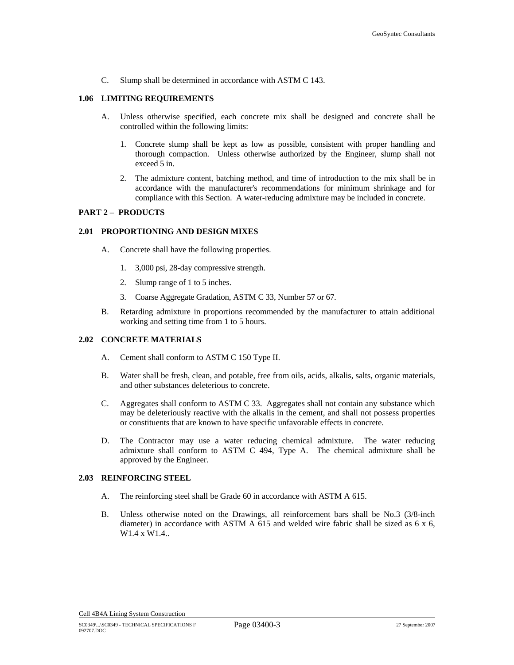C. Slump shall be determined in accordance with ASTM C 143.

#### **1.06 LIMITING REQUIREMENTS**

- A. Unless otherwise specified, each concrete mix shall be designed and concrete shall be controlled within the following limits:
	- 1. Concrete slump shall be kept as low as possible, consistent with proper handling and thorough compaction. Unless otherwise authorized by the Engineer, slump shall not exceed 5 in.
	- 2. The admixture content, batching method, and time of introduction to the mix shall be in accordance with the manufacturer's recommendations for minimum shrinkage and for compliance with this Section. A water-reducing admixture may be included in concrete.

# **PART 2 – PRODUCTS**

## **2.01 PROPORTIONING AND DESIGN MIXES**

- A. Concrete shall have the following properties.
	- 1. 3,000 psi, 28-day compressive strength.
	- 2. Slump range of 1 to 5 inches.
	- 3. Coarse Aggregate Gradation, ASTM C 33, Number 57 or 67.
- B. Retarding admixture in proportions recommended by the manufacturer to attain additional working and setting time from 1 to 5 hours.

# **2.02 CONCRETE MATERIALS**

- A. Cement shall conform to ASTM C 150 Type II.
- B. Water shall be fresh, clean, and potable, free from oils, acids, alkalis, salts, organic materials, and other substances deleterious to concrete.
- C. Aggregates shall conform to ASTM C 33. Aggregates shall not contain any substance which may be deleteriously reactive with the alkalis in the cement, and shall not possess properties or constituents that are known to have specific unfavorable effects in concrete.
- D. The Contractor may use a water reducing chemical admixture. The water reducing admixture shall conform to ASTM C 494, Type A. The chemical admixture shall be approved by the Engineer.

#### **2.03 REINFORCING STEEL**

- A. The reinforcing steel shall be Grade 60 in accordance with ASTM A 615.
- B. Unless otherwise noted on the Drawings, all reinforcement bars shall be No.3 (3/8-inch diameter) in accordance with ASTM A 615 and welded wire fabric shall be sized as  $6 \times 6$ , W1.4 x W1.4..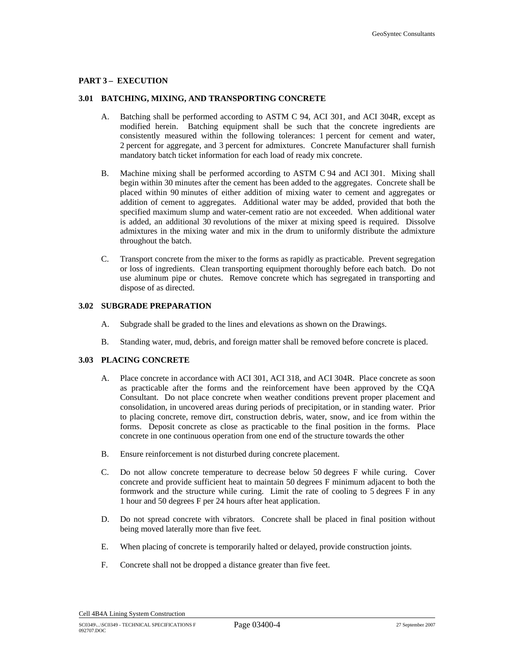## **PART 3 – EXECUTION**

#### **3.01 BATCHING, MIXING, AND TRANSPORTING CONCRETE**

- A. Batching shall be performed according to ASTM C 94, ACI 301, and ACI 304R, except as modified herein. Batching equipment shall be such that the concrete ingredients are consistently measured within the following tolerances: 1 percent for cement and water, 2 percent for aggregate, and 3 percent for admixtures. Concrete Manufacturer shall furnish mandatory batch ticket information for each load of ready mix concrete.
- B. Machine mixing shall be performed according to ASTM C 94 and ACI 301. Mixing shall begin within 30 minutes after the cement has been added to the aggregates. Concrete shall be placed within 90 minutes of either addition of mixing water to cement and aggregates or addition of cement to aggregates. Additional water may be added, provided that both the specified maximum slump and water-cement ratio are not exceeded. When additional water is added, an additional 30 revolutions of the mixer at mixing speed is required. Dissolve admixtures in the mixing water and mix in the drum to uniformly distribute the admixture throughout the batch.
- C. Transport concrete from the mixer to the forms as rapidly as practicable. Prevent segregation or loss of ingredients. Clean transporting equipment thoroughly before each batch. Do not use aluminum pipe or chutes. Remove concrete which has segregated in transporting and dispose of as directed.

#### **3.02 SUBGRADE PREPARATION**

- A. Subgrade shall be graded to the lines and elevations as shown on the Drawings.
- B. Standing water, mud, debris, and foreign matter shall be removed before concrete is placed.

# **3.03 PLACING CONCRETE**

- A. Place concrete in accordance with ACI 301, ACI 318, and ACI 304R. Place concrete as soon as practicable after the forms and the reinforcement have been approved by the CQA Consultant. Do not place concrete when weather conditions prevent proper placement and consolidation, in uncovered areas during periods of precipitation, or in standing water. Prior to placing concrete, remove dirt, construction debris, water, snow, and ice from within the forms. Deposit concrete as close as practicable to the final position in the forms. Place concrete in one continuous operation from one end of the structure towards the other
- B. Ensure reinforcement is not disturbed during concrete placement.
- C. Do not allow concrete temperature to decrease below 50 degrees F while curing. Cover concrete and provide sufficient heat to maintain 50 degrees F minimum adjacent to both the formwork and the structure while curing. Limit the rate of cooling to 5 degrees F in any 1 hour and 50 degrees F per 24 hours after heat application.
- D. Do not spread concrete with vibrators. Concrete shall be placed in final position without being moved laterally more than five feet.
- E. When placing of concrete is temporarily halted or delayed, provide construction joints.
- F. Concrete shall not be dropped a distance greater than five feet.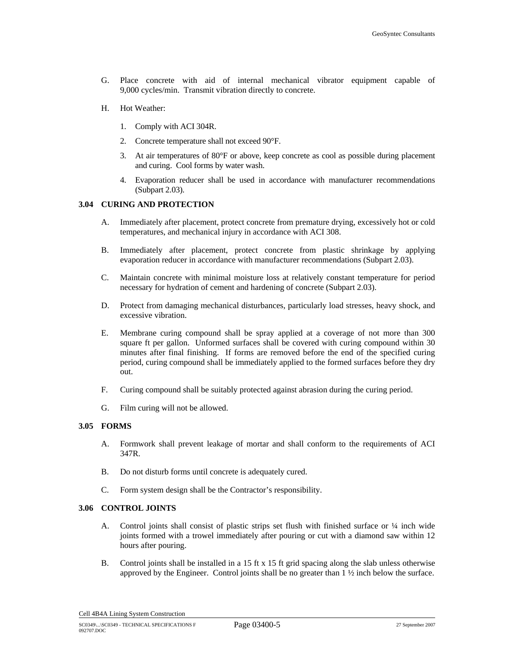- G. Place concrete with aid of internal mechanical vibrator equipment capable of 9,000 cycles/min. Transmit vibration directly to concrete.
- H. Hot Weather:
	- 1. Comply with ACI 304R.
	- 2. Concrete temperature shall not exceed 90°F.
	- 3. At air temperatures of 80°F or above, keep concrete as cool as possible during placement and curing. Cool forms by water wash.
	- 4. Evaporation reducer shall be used in accordance with manufacturer recommendations (Subpart 2.03).

#### **3.04 CURING AND PROTECTION**

- A. Immediately after placement, protect concrete from premature drying, excessively hot or cold temperatures, and mechanical injury in accordance with ACI 308.
- B. Immediately after placement, protect concrete from plastic shrinkage by applying evaporation reducer in accordance with manufacturer recommendations (Subpart 2.03).
- C. Maintain concrete with minimal moisture loss at relatively constant temperature for period necessary for hydration of cement and hardening of concrete (Subpart 2.03).
- D. Protect from damaging mechanical disturbances, particularly load stresses, heavy shock, and excessive vibration.
- E. Membrane curing compound shall be spray applied at a coverage of not more than 300 square ft per gallon. Unformed surfaces shall be covered with curing compound within 30 minutes after final finishing. If forms are removed before the end of the specified curing period, curing compound shall be immediately applied to the formed surfaces before they dry out.
- F. Curing compound shall be suitably protected against abrasion during the curing period.
- G. Film curing will not be allowed.

#### **3.05 FORMS**

- A. Formwork shall prevent leakage of mortar and shall conform to the requirements of ACI 347R.
- B. Do not disturb forms until concrete is adequately cured.
- C. Form system design shall be the Contractor's responsibility.

### **3.06 CONTROL JOINTS**

- A. Control joints shall consist of plastic strips set flush with finished surface or  $\frac{1}{4}$  inch wide joints formed with a trowel immediately after pouring or cut with a diamond saw within 12 hours after pouring.
- B. Control joints shall be installed in a 15 ft x 15 ft grid spacing along the slab unless otherwise approved by the Engineer. Control joints shall be no greater than 1 ½ inch below the surface.